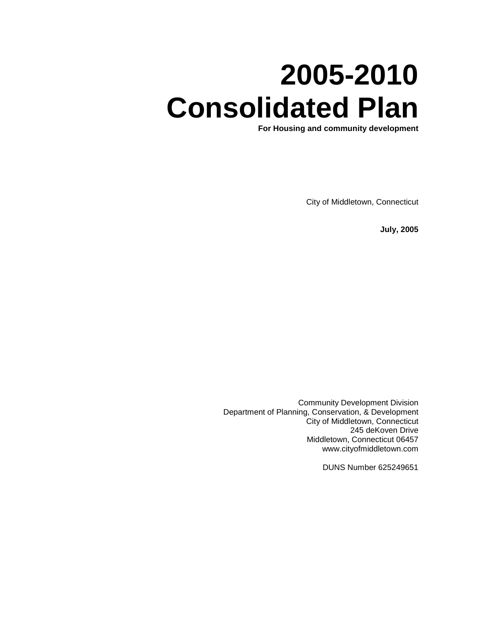# **2005-2010 Consolidated Plan**

**For Housing and community development**

City of Middletown, Connecticut

**July, 2005**

Community Development Division Department of Planning, Conservation, & Development City of Middletown, Connecticut 245 deKoven Drive Middletown, Connecticut 06457 www.cityofmiddletown.com

DUNS Number 625249651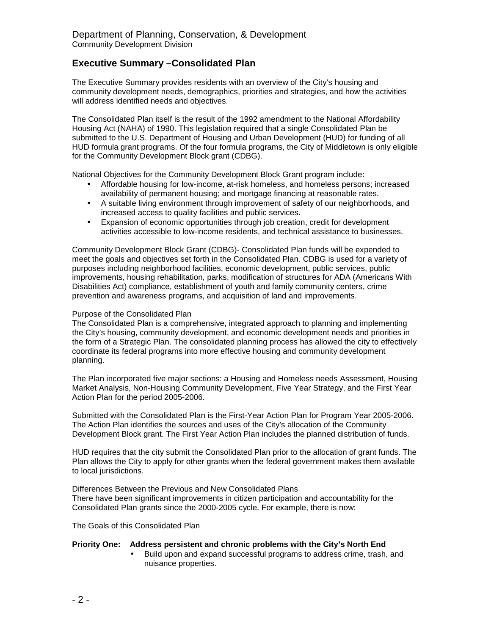## **Executive Summary –Consolidated Plan**

The Executive Summary provides residents with an overview of the City's housing and community development needs, demographics, priorities and strategies, and how the activities will address identified needs and objectives.

The Consolidated Plan itself is the result of the 1992 amendment to the National Affordability Housing Act (NAHA) of 1990. This legislation required that a single Consolidated Plan be submitted to the U.S. Department of Housing and Urban Development (HUD) for funding of all HUD formula grant programs. Of the four formula programs, the City of Middletown is only eligible for the Community Development Block grant (CDBG).

National Objectives for the Community Development Block Grant program include:

- Affordable housing for low-income, at-risk homeless, and homeless persons; increased availability of permanent housing; and mortgage financing at reasonable rates.
- A suitable living environment through improvement of safety of our neighborhoods, and increased access to quality facilities and public services.
- Expansion of economic opportunities through job creation, credit for development activities accessible to low-income residents, and technical assistance to businesses.

Community Development Block Grant (CDBG)- Consolidated Plan funds will be expended to meet the goals and objectives set forth in the Consolidated Plan. CDBG is used for a variety of purposes including neighborhood facilities, economic development, public services, public improvements, housing rehabilitation, parks, modification of structures for ADA (Americans With Disabilities Act) compliance, establishment of youth and family community centers, crime prevention and awareness programs, and acquisition of land and improvements.

#### Purpose of the Consolidated Plan

The Consolidated Plan is a comprehensive, integrated approach to planning and implementing the City's housing, community development, and economic development needs and priorities in the form of a Strategic Plan. The consolidated planning process has allowed the city to effectively coordinate its federal programs into more effective housing and community development planning.

The Plan incorporated five major sections: a Housing and Homeless needs Assessment, Housing Market Analysis, Non-Housing Community Development, Five Year Strategy, and the First Year Action Plan for the period 2005-2006.

Submitted with the Consolidated Plan is the First-Year Action Plan for Program Year 2005-2006. The Action Plan identifies the sources and uses of the City's allocation of the Community Development Block grant. The First Year Action Plan includes the planned distribution of funds.

HUD requires that the city submit the Consolidated Plan prior to the allocation of grant funds. The Plan allows the City to apply for other grants when the federal government makes them available to local jurisdictions.

Differences Between the Previous and New Consolidated Plans There have been significant improvements in citizen participation and accountability for the Consolidated Plan grants since the 2000-2005 cycle. For example, there is now:

The Goals of this Consolidated Plan

#### **Priority One: Address persistent and chronic problems with the City's North End**

• Build upon and expand successful programs to address crime, trash, and nuisance properties.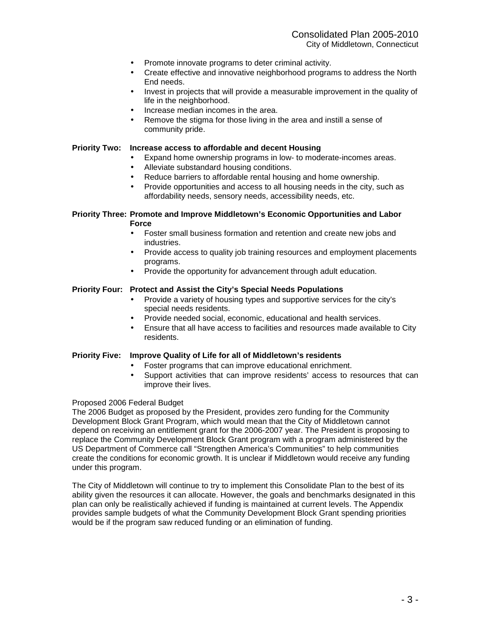- Promote innovate programs to deter criminal activity.
- Create effective and innovative neighborhood programs to address the North End needs.
- Invest in projects that will provide a measurable improvement in the quality of life in the neighborhood.
- Increase median incomes in the area.
- Remove the stigma for those living in the area and instill a sense of community pride.

#### **Priority Two: Increase access to affordable and decent Housing**

- Expand home ownership programs in low- to moderate-incomes areas.
- Alleviate substandard housing conditions.
- Reduce barriers to affordable rental housing and home ownership.
- Provide opportunities and access to all housing needs in the city, such as affordability needs, sensory needs, accessibility needs, etc.

#### **Priority Three: Promote and Improve Middletown's Economic Opportunities and Labor Force**

- Foster small business formation and retention and create new jobs and industries.
- Provide access to quality job training resources and employment placements programs.
- Provide the opportunity for advancement through adult education.

#### **Priority Four: Protect and Assist the City's Special Needs Populations**

- Provide a variety of housing types and supportive services for the city's special needs residents.
- Provide needed social, economic, educational and health services.
- Ensure that all have access to facilities and resources made available to City residents.

#### **Priority Five: Improve Quality of Life for all of Middletown's residents**

- Foster programs that can improve educational enrichment.
- Support activities that can improve residents' access to resources that can improve their lives.

#### Proposed 2006 Federal Budget

The 2006 Budget as proposed by the President, provides zero funding for the Community Development Block Grant Program, which would mean that the City of Middletown cannot depend on receiving an entitlement grant for the 2006-2007 year. The President is proposing to replace the Community Development Block Grant program with a program administered by the US Department of Commerce call "Strengthen America's Communities" to help communities create the conditions for economic growth. It is unclear if Middletown would receive any funding under this program.

The City of Middletown will continue to try to implement this Consolidate Plan to the best of its ability given the resources it can allocate. However, the goals and benchmarks designated in this plan can only be realistically achieved if funding is maintained at current levels. The Appendix provides sample budgets of what the Community Development Block Grant spending priorities would be if the program saw reduced funding or an elimination of funding.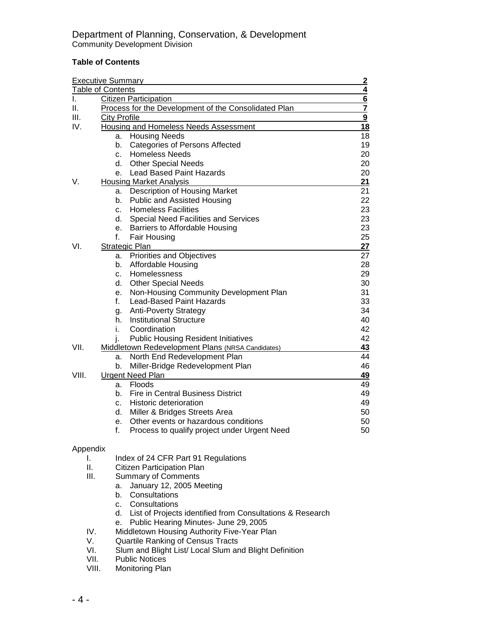## **Table of Contents**

|          | <b>Executive Summary</b><br>$\frac{2}{4}$ |                                                                      |               |  |  |  |  |  |
|----------|-------------------------------------------|----------------------------------------------------------------------|---------------|--|--|--|--|--|
|          | <b>Table of Contents</b>                  |                                                                      |               |  |  |  |  |  |
| I.       |                                           | <b>Citizen Participation</b>                                         | $\frac{6}{7}$ |  |  |  |  |  |
| Ш.       |                                           | Process for the Development of the Consolidated Plan                 |               |  |  |  |  |  |
| III.     | <b>City Profile</b>                       |                                                                      | 9             |  |  |  |  |  |
| IV.      |                                           | <b>Housing and Homeless Needs Assessment</b>                         | 18            |  |  |  |  |  |
|          | a.                                        | <b>Housing Needs</b>                                                 | 18            |  |  |  |  |  |
|          | b.                                        | <b>Categories of Persons Affected</b>                                | 19            |  |  |  |  |  |
|          | C.                                        | <b>Homeless Needs</b>                                                | 20            |  |  |  |  |  |
|          | d.                                        | <b>Other Special Needs</b>                                           | 20            |  |  |  |  |  |
|          | e.                                        | <b>Lead Based Paint Hazards</b>                                      | 20            |  |  |  |  |  |
| V.       |                                           | <b>Housing Market Analysis</b>                                       | 21            |  |  |  |  |  |
|          | а.                                        | Description of Housing Market                                        | 21            |  |  |  |  |  |
|          | b.                                        | Public and Assisted Housing                                          | 22            |  |  |  |  |  |
|          | C.                                        | <b>Homeless Facilities</b>                                           | 23            |  |  |  |  |  |
|          | d.                                        | <b>Special Need Facilities and Services</b>                          | 23            |  |  |  |  |  |
|          | е.                                        | Barriers to Affordable Housing                                       | 23            |  |  |  |  |  |
|          | f.                                        | <b>Fair Housing</b>                                                  | 25            |  |  |  |  |  |
| VI.      |                                           | Strategic Plan                                                       | 27            |  |  |  |  |  |
|          | a.                                        | Priorities and Objectives                                            | 27            |  |  |  |  |  |
|          | b.                                        | Affordable Housing                                                   | 28            |  |  |  |  |  |
|          | C.<br>d.                                  | Homelessness                                                         | 29<br>30      |  |  |  |  |  |
|          | е.                                        | <b>Other Special Needs</b><br>Non-Housing Community Development Plan | 31            |  |  |  |  |  |
|          | f.                                        | <b>Lead-Based Paint Hazards</b>                                      | 33            |  |  |  |  |  |
|          | g.                                        | <b>Anti-Poverty Strategy</b>                                         | 34            |  |  |  |  |  |
|          | h.                                        | <b>Institutional Structure</b>                                       | 40            |  |  |  |  |  |
|          | i.                                        | Coordination                                                         | 42            |  |  |  |  |  |
|          | j.                                        | <b>Public Housing Resident Initiatives</b>                           | 42            |  |  |  |  |  |
| VII.     |                                           | Middletown Redevelopment Plans (NRSA Candidates)                     | 43            |  |  |  |  |  |
|          | a.                                        | North End Redevelopment Plan                                         | 44            |  |  |  |  |  |
|          | b.                                        | Miller-Bridge Redevelopment Plan                                     | 46            |  |  |  |  |  |
| VIII.    |                                           | <b>Urgent Need Plan</b>                                              | 49            |  |  |  |  |  |
|          | a.                                        | Floods                                                               | 49            |  |  |  |  |  |
|          | b.                                        | <b>Fire in Central Business District</b>                             | 49            |  |  |  |  |  |
|          | C.                                        | Historic deterioration                                               | 49            |  |  |  |  |  |
|          | d.                                        | Miller & Bridges Streets Area                                        | 50            |  |  |  |  |  |
|          | е.                                        | Other events or hazardous conditions                                 | 50            |  |  |  |  |  |
|          | f.                                        | Process to qualify project under Urgent Need                         | 50            |  |  |  |  |  |
|          |                                           |                                                                      |               |  |  |  |  |  |
| Appendix |                                           |                                                                      |               |  |  |  |  |  |
| ı.       |                                           | Index of 24 CFR Part 91 Regulations                                  |               |  |  |  |  |  |
| Ш.       |                                           | Citizen Participation Plan                                           |               |  |  |  |  |  |
| III.     |                                           | <b>Summary of Comments</b>                                           |               |  |  |  |  |  |
|          | a.                                        | January 12, 2005 Meeting                                             |               |  |  |  |  |  |
|          | b.                                        | Consultations                                                        |               |  |  |  |  |  |
|          | C.                                        | Consultations                                                        |               |  |  |  |  |  |
|          |                                           | d. List of Projects identified from Consultations & Research         |               |  |  |  |  |  |
|          | е.                                        | Public Hearing Minutes- June 29, 2005                                |               |  |  |  |  |  |
| IV.      |                                           | Middletown Housing Authority Five-Year Plan                          |               |  |  |  |  |  |
| V.       |                                           | <b>Quartile Ranking of Census Tracts</b>                             |               |  |  |  |  |  |
| VI.      |                                           | Slum and Blight List/ Local Slum and Blight Definition               |               |  |  |  |  |  |
| VII.     |                                           | <b>Public Notices</b>                                                |               |  |  |  |  |  |
| VIII.    |                                           | Monitoring Plan                                                      |               |  |  |  |  |  |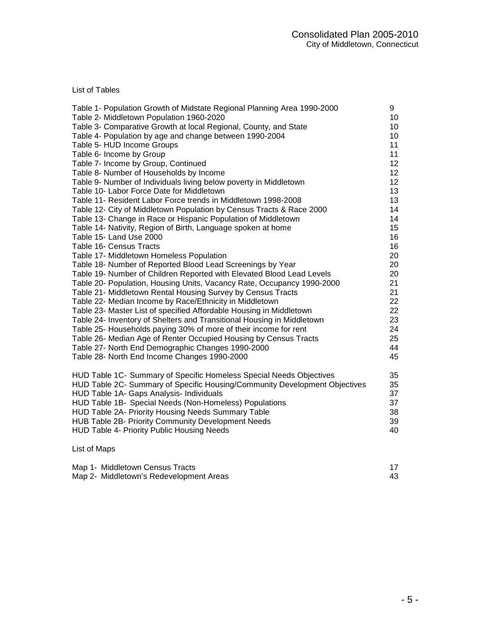List of Tables

| Table 1- Population Growth of Midstate Regional Planning Area 1990-2000                                                               | 9        |
|---------------------------------------------------------------------------------------------------------------------------------------|----------|
| Table 2- Middletown Population 1960-2020                                                                                              | 10       |
| Table 3- Comparative Growth at local Regional, County, and State                                                                      | 10       |
| Table 4- Population by age and change between 1990-2004                                                                               | 10       |
| Table 5- HUD Income Groups                                                                                                            | 11       |
| Table 6- Income by Group                                                                                                              | 11       |
| Table 7- Income by Group, Continued                                                                                                   | 12       |
| Table 8- Number of Households by Income                                                                                               | 12       |
| Table 9- Number of Individuals living below poverty in Middletown                                                                     | 12       |
| Table 10- Labor Force Date for Middletown<br>Table 11- Resident Labor Force trends in Middletown 1998-2008                            | 13<br>13 |
|                                                                                                                                       | 14       |
| Table 12- City of Middletown Population by Census Tracts & Race 2000<br>Table 13- Change in Race or Hispanic Population of Middletown | 14       |
| Table 14- Nativity, Region of Birth, Language spoken at home                                                                          | 15       |
| Table 15- Land Use 2000                                                                                                               | 16       |
| Table 16- Census Tracts                                                                                                               | 16       |
| Table 17- Middletown Homeless Population                                                                                              | 20       |
| Table 18- Number of Reported Blood Lead Screenings by Year                                                                            | 20       |
| Table 19- Number of Children Reported with Elevated Blood Lead Levels                                                                 | 20       |
| Table 20- Population, Housing Units, Vacancy Rate, Occupancy 1990-2000                                                                | 21       |
| Table 21- Middletown Rental Housing Survey by Census Tracts                                                                           | 21       |
| Table 22- Median Income by Race/Ethnicity in Middletown                                                                               | 22       |
| Table 23- Master List of specified Affordable Housing in Middletown                                                                   | 22       |
| Table 24- Inventory of Shelters and Transitional Housing in Middletown                                                                | 23       |
| Table 25- Households paying 30% of more of their income for rent                                                                      | 24       |
| Table 26- Median Age of Renter Occupied Housing by Census Tracts                                                                      | 25       |
| Table 27- North End Demographic Changes 1990-2000                                                                                     | 44       |
| Table 28- North End Income Changes 1990-2000                                                                                          | 45       |
| HUD Table 1C- Summary of Specific Homeless Special Needs Objectives                                                                   | 35       |
| HUD Table 2C- Summary of Specific Housing/Community Development Objectives                                                            | 35       |
| HUD Table 1A- Gaps Analysis- Individuals                                                                                              | 37       |
| HUD Table 1B- Special Needs (Non-Homeless) Populations                                                                                | 37       |
| HUD Table 2A- Priority Housing Needs Summary Table                                                                                    | 38       |
| HUB Table 2B- Priority Community Development Needs                                                                                    | 39       |
| HUD Table 4- Priority Public Housing Needs                                                                                            | 40       |
| List of Maps                                                                                                                          |          |
| Map 1- Middletown Census Tracts                                                                                                       | 17       |

| <b>NO. 1910 - INTO THE CONTROL</b>      |  |
|-----------------------------------------|--|
| Map 2- Middletown's Redevelopment Areas |  |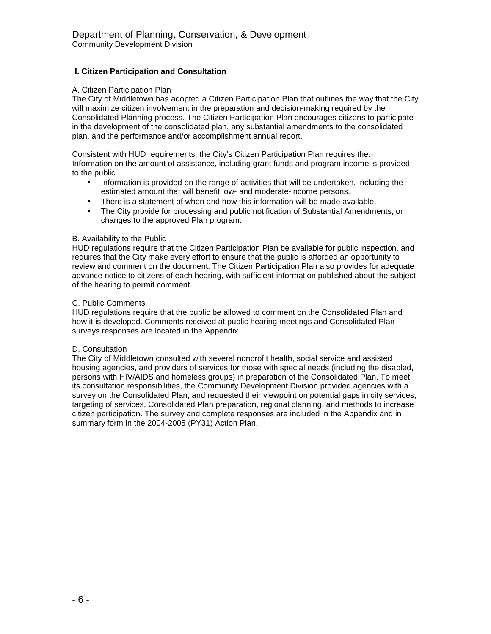## **I. Citizen Participation and Consultation**

#### A. Citizen Participation Plan

The City of Middletown has adopted a Citizen Participation Plan that outlines the way that the City will maximize citizen involvement in the preparation and decision-making required by the Consolidated Planning process. The Citizen Participation Plan encourages citizens to participate in the development of the consolidated plan, any substantial amendments to the consolidated plan, and the performance and/or accomplishment annual report.

Consistent with HUD requirements, the City's Citizen Participation Plan requires the: Information on the amount of assistance, including grant funds and program income is provided to the public

- Information is provided on the range of activities that will be undertaken, including the estimated amount that will benefit low- and moderate-income persons.
- There is a statement of when and how this information will be made available.
- The City provide for processing and public notification of Substantial Amendments, or changes to the approved Plan program.

#### B. Availability to the Public

HUD regulations require that the Citizen Participation Plan be available for public inspection, and requires that the City make every effort to ensure that the public is afforded an opportunity to review and comment on the document. The Citizen Participation Plan also provides for adequate advance notice to citizens of each hearing, with sufficient information published about the subject of the hearing to permit comment.

#### C. Public Comments

HUD regulations require that the public be allowed to comment on the Consolidated Plan and how it is developed. Comments received at public hearing meetings and Consolidated Plan surveys responses are located in the Appendix.

#### D. Consultation

The City of Middletown consulted with several nonprofit health, social service and assisted housing agencies, and providers of services for those with special needs (including the disabled, persons with HIV/AIDS and homeless groups) in preparation of the Consolidated Plan. To meet its consultation responsibilities, the Community Development Division provided agencies with a survey on the Consolidated Plan, and requested their viewpoint on potential gaps in city services, targeting of services, Consolidated Plan preparation, regional planning, and methods to increase citizen participation. The survey and complete responses are included in the Appendix and in summary form in the 2004-2005 (PY31) Action Plan.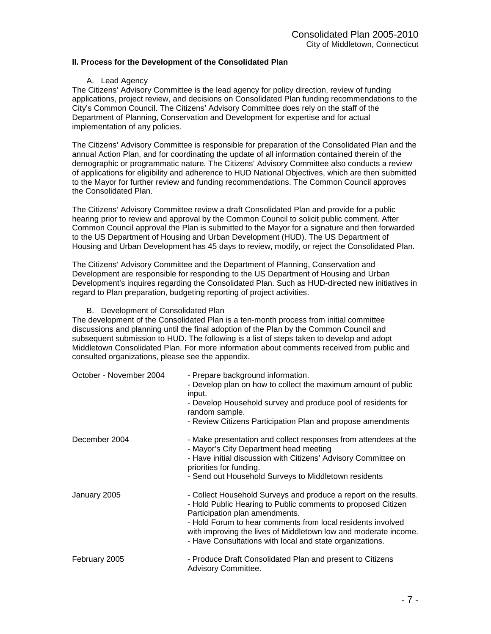## **II. Process for the Development of the Consolidated Plan**

#### A. Lead Agency

The Citizens' Advisory Committee is the lead agency for policy direction, review of funding applications, project review, and decisions on Consolidated Plan funding recommendations to the City's Common Council. The Citizens' Advisory Committee does rely on the staff of the Department of Planning, Conservation and Development for expertise and for actual implementation of any policies.

The Citizens' Advisory Committee is responsible for preparation of the Consolidated Plan and the annual Action Plan, and for coordinating the update of all information contained therein of the demographic or programmatic nature. The Citizens' Advisory Committee also conducts a review of applications for eligibility and adherence to HUD National Objectives, which are then submitted to the Mayor for further review and funding recommendations. The Common Council approves the Consolidated Plan.

The Citizens' Advisory Committee review a draft Consolidated Plan and provide for a public hearing prior to review and approval by the Common Council to solicit public comment. After Common Council approval the Plan is submitted to the Mayor for a signature and then forwarded to the US Department of Housing and Urban Development (HUD). The US Department of Housing and Urban Development has 45 days to review, modify, or reject the Consolidated Plan.

The Citizens' Advisory Committee and the Department of Planning, Conservation and Development are responsible for responding to the US Department of Housing and Urban Development's inquires regarding the Consolidated Plan. Such as HUD-directed new initiatives in regard to Plan preparation, budgeting reporting of project activities.

B. Development of Consolidated Plan

The development of the Consolidated Plan is a ten-month process from initial committee discussions and planning until the final adoption of the Plan by the Common Council and subsequent submission to HUD. The following is a list of steps taken to develop and adopt Middletown Consolidated Plan. For more information about comments received from public and consulted organizations, please see the appendix.

| October - November 2004 | - Prepare background information.<br>- Develop plan on how to collect the maximum amount of public<br>input.<br>- Develop Household survey and produce pool of residents for<br>random sample.<br>- Review Citizens Participation Plan and propose amendments |
|-------------------------|---------------------------------------------------------------------------------------------------------------------------------------------------------------------------------------------------------------------------------------------------------------|
| December 2004           | - Make presentation and collect responses from attendees at the<br>- Mayor's City Department head meeting<br>- Have initial discussion with Citizens' Advisory Committee on<br>priorities for funding.                                                        |
|                         | - Send out Household Surveys to Middletown residents                                                                                                                                                                                                          |
| January 2005            | - Collect Household Surveys and produce a report on the results.<br>- Hold Public Hearing to Public comments to proposed Citizen<br>Participation plan amendments.<br>- Hold Forum to hear comments from local residents involved                             |
|                         | with improving the lives of Middletown low and moderate income.<br>- Have Consultations with local and state organizations.                                                                                                                                   |
| February 2005           | - Produce Draft Consolidated Plan and present to Citizens<br>Advisory Committee.                                                                                                                                                                              |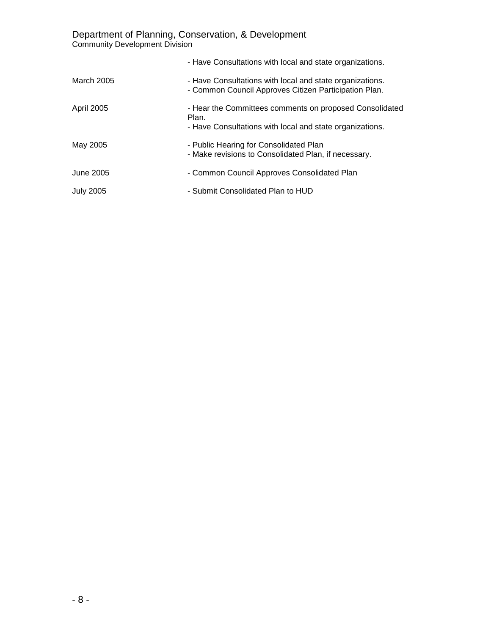Department of Planning, Conservation, & Development Community Development Division

|                  | - Have Consultations with local and state organizations.                                                                     |
|------------------|------------------------------------------------------------------------------------------------------------------------------|
| March 2005       | - Have Consultations with local and state organizations.<br>- Common Council Approves Citizen Participation Plan.            |
| April 2005       | - Hear the Committees comments on proposed Consolidated<br>Plan.<br>- Have Consultations with local and state organizations. |
| May 2005         | - Public Hearing for Consolidated Plan<br>- Make revisions to Consolidated Plan, if necessary.                               |
| June 2005        | - Common Council Approves Consolidated Plan                                                                                  |
| <b>July 2005</b> | - Submit Consolidated Plan to HUD                                                                                            |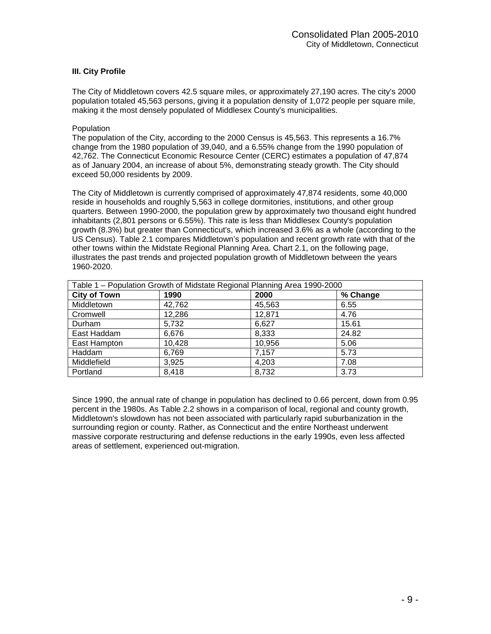## **III. City Profile**

The City of Middletown covers 42.5 square miles, or approximately 27,190 acres. The city's 2000 population totaled 45,563 persons, giving it a population density of 1,072 people per square mile, making it the most densely populated of Middlesex County's municipalities.

#### Population

The population of the City, according to the 2000 Census is 45,563. This represents a 16.7% change from the 1980 population of 39,040, and a 6.55% change from the 1990 population of 42,762. The Connecticut Economic Resource Center (CERC) estimates a population of 47,874 as of January 2004, an increase of about 5%, demonstrating steady growth. The City should exceed 50,000 residents by 2009.

The City of Middletown is currently comprised of approximately 47,874 residents, some 40,000 reside in households and roughly 5,563 in college dormitories, institutions, and other group quarters. Between 1990-2000, the population grew by approximately two thousand eight hundred inhabitants (2,801 persons or 6.55%). This rate is less than Middlesex County's population growth (8.3%) but greater than Connecticut's, which increased 3.6% as a whole (according to the US Census). Table 2.1 compares Middletown's population and recent growth rate with that of the other towns within the Midstate Regional Planning Area. Chart 2.1, on the following page, illustrates the past trends and projected population growth of Middletown between the years 1960-2020.

| Table 1 – Population Growth of Midstate Regional Planning Area 1990-2000 |        |        |          |  |  |
|--------------------------------------------------------------------------|--------|--------|----------|--|--|
| <b>City of Town</b>                                                      | 1990   | 2000   | % Change |  |  |
| Middletown                                                               | 42,762 | 45,563 | 6.55     |  |  |
| Cromwell                                                                 | 12,286 | 12,871 | 4.76     |  |  |
| Durham                                                                   | 5,732  | 6,627  | 15.61    |  |  |
| East Haddam                                                              | 6,676  | 8,333  | 24.82    |  |  |
| East Hampton                                                             | 10,428 | 10,956 | 5.06     |  |  |
| Haddam                                                                   | 6,769  | 7,157  | 5.73     |  |  |
| Middlefield                                                              | 3,925  | 4,203  | 7.08     |  |  |
| Portland                                                                 | 8,418  | 8,732  | 3.73     |  |  |

Since 1990, the annual rate of change in population has declined to 0.66 percent, down from 0.95 percent in the 1980s. As Table 2.2 shows in a comparison of local, regional and county growth, Middletown's slowdown has not been associated with particularly rapid suburbanization in the surrounding region or county. Rather, as Connecticut and the entire Northeast underwent massive corporate restructuring and defense reductions in the early 1990s, even less affected areas of settlement, experienced out-migration.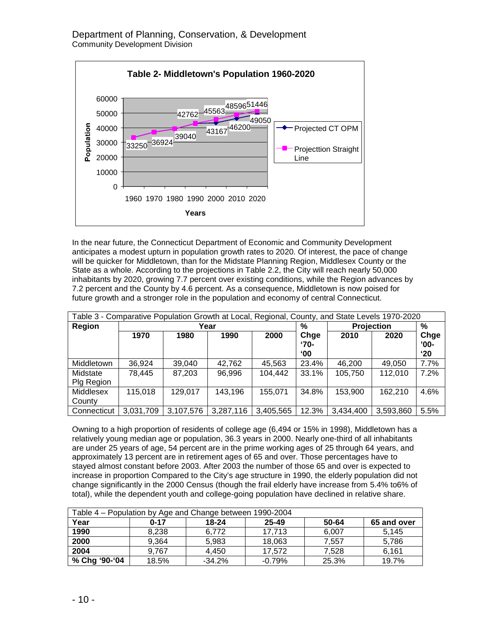

In the near future, the Connecticut Department of Economic and Community Development anticipates a modest upturn in population growth rates to 2020. Of interest, the pace of change will be quicker for Middletown, than for the Midstate Planning Region, Middlesex County or the State as a whole. According to the projections in Table 2.2, the City will reach nearly 50,000 inhabitants by 2020, growing 7.7 percent over existing conditions, while the Region advances by 7.2 percent and the County by 4.6 percent. As a consequence, Middletown is now poised for future growth and a stronger role in the population and economy of central Connecticut.

| Table 3 - Comparative Population Growth at Local, Regional, County, and State Levels 1970-2020 |           |           |           |           |                              |           |            |                                |
|------------------------------------------------------------------------------------------------|-----------|-----------|-----------|-----------|------------------------------|-----------|------------|--------------------------------|
| Region                                                                                         |           |           | Year      |           | %                            |           | Projection | %                              |
|                                                                                                | 1970      | 1980      | 1990      | 2000      | Chge<br>'70-<br>$^{\circ}00$ | 2010      | 2020       | Chge<br>$'00-$<br>$^{\circ}20$ |
| Middletown                                                                                     | 36,924    | 39,040    | 42,762    | 45,563    | 23.4%                        | 46,200    | 49,050     | 7.7%                           |
| Midstate<br>Plg Region                                                                         | 78,445    | 87.203    | 96.996    | 104.442   | 33.1%                        | 105,750   | 112,010    | 7.2%                           |
| Middlesex<br>County                                                                            | 115,018   | 129,017   | 143,196   | 155,071   | 34.8%                        | 153,900   | 162,210    | 4.6%                           |
| Connecticut                                                                                    | 3,031,709 | 3,107,576 | 3,287,116 | 3,405,565 | 12.3%                        | 3,434,400 | 3,593,860  | 5.5%                           |

Owning to a high proportion of residents of college age (6,494 or 15% in 1998), Middletown has a relatively young median age or population, 36.3 years in 2000. Nearly one-third of all inhabitants are under 25 years of age, 54 percent are in the prime working ages of 25 through 64 years, and approximately 13 percent are in retirement ages of 65 and over. Those percentages have to stayed almost constant before 2003. After 2003 the number of those 65 and over is expected to increase in proportion Compared to the City's age structure in 1990, the elderly population did not change significantly in the 2000 Census (though the frail elderly have increase from 5.4% to6% of total), while the dependent youth and college-going population have declined in relative share.

| Table 4 – Population by Age and Change between 1990-2004 |          |          |          |       |             |  |
|----------------------------------------------------------|----------|----------|----------|-------|-------------|--|
| Year                                                     | $0 - 17$ | 18-24    | 25-49    | 50-64 | 65 and over |  |
| 1990                                                     | 8,238    | 6.772    | 17.713   | 6,007 | 5.145       |  |
| 2000                                                     | 9.364    | 5,983    | 18,063   | 7.557 | 5.786       |  |
| 2004                                                     | 9.767    | 4.450    | 17.572   | 7.528 | 6,161       |  |
| % Chg '90-'04                                            | 18.5%    | $-34.2%$ | $-0.79%$ | 25.3% | 19.7%       |  |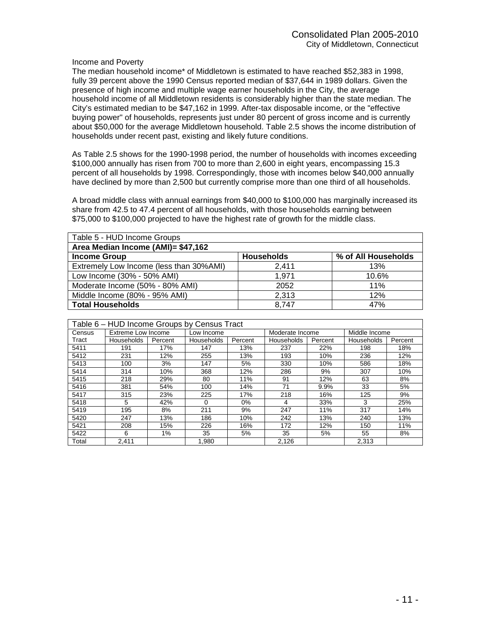#### Income and Poverty

The median household income\* of Middletown is estimated to have reached \$52,383 in 1998, fully 39 percent above the 1990 Census reported median of \$37,644 in 1989 dollars. Given the presence of high income and multiple wage earner households in the City, the average household income of all Middletown residents is considerably higher than the state median. The City's estimated median to be \$47,162 in 1999. After-tax disposable income, or the "effective buying power" of households, represents just under 80 percent of gross income and is currently about \$50,000 for the average Middletown household. Table 2.5 shows the income distribution of households under recent past, existing and likely future conditions.

As Table 2.5 shows for the 1990-1998 period, the number of households with incomes exceeding \$100,000 annually has risen from 700 to more than 2,600 in eight years, encompassing 15.3 percent of all households by 1998. Correspondingly, those with incomes below \$40,000 annually have declined by more than 2,500 but currently comprise more than one third of all households.

A broad middle class with annual earnings from \$40,000 to \$100,000 has marginally increased its share from 42.5 to 47.4 percent of all households, with those households earning between \$75,000 to \$100,000 projected to have the highest rate of growth for the middle class.

| Table 5 - HUD Income Groups             |                   |                     |  |  |  |  |  |
|-----------------------------------------|-------------------|---------------------|--|--|--|--|--|
| Area Median Income (AMI)= \$47,162      |                   |                     |  |  |  |  |  |
| <b>Income Group</b>                     | <b>Households</b> | % of All Households |  |  |  |  |  |
| Extremely Low Income (less than 30%AMI) | 2.411             | 13%                 |  |  |  |  |  |
| Low Income (30% - 50% AMI)              | 1.971             | 10.6%               |  |  |  |  |  |
| Moderate Income (50% - 80% AMI)         | 2052              | 11%                 |  |  |  |  |  |
| Middle Income (80% - 95% AMI)           | 2,313             | 12%                 |  |  |  |  |  |
| <b>Total Households</b>                 | 8.747             | 47%                 |  |  |  |  |  |

| Table 6 - HUD Income Groups by Census Tract |                    |         |            |         |                 |         |                   |         |
|---------------------------------------------|--------------------|---------|------------|---------|-----------------|---------|-------------------|---------|
| Census                                      | Extreme Low Income |         | Low Income |         | Moderate Income |         | Middle Income     |         |
| Tract                                       | <b>Households</b>  | Percent | Households | Percent | Households      | Percent | <b>Households</b> | Percent |
| 5411                                        | 191                | 17%     | 147        | 13%     | 237             | 22%     | 198               | 18%     |
| 5412                                        | 231                | 12%     | 255        | 13%     | 193             | 10%     | 236               | 12%     |
| 5413                                        | 100                | 3%      | 147        | 5%      | 330             | 10%     | 586               | 18%     |
| 5414                                        | 314                | 10%     | 368        | 12%     | 286             | 9%      | 307               | 10%     |
| 5415                                        | 218                | 29%     | 80         | 11%     | 91              | 12%     | 63                | 8%      |
| 5416                                        | 381                | 54%     | 100        | 14%     | 71              | 9.9%    | 33                | 5%      |
| 5417                                        | 315                | 23%     | 225        | 17%     | 218             | 16%     | 125               | 9%      |
| 5418                                        | 5                  | 42%     | 0          | 0%      | 4               | 33%     | 3                 | 25%     |
| 5419                                        | 195                | 8%      | 211        | 9%      | 247             | 11%     | 317               | 14%     |
| 5420                                        | 247                | 13%     | 186        | 10%     | 242             | 13%     | 240               | 13%     |
| 5421                                        | 208                | 15%     | 226        | 16%     | 172             | 12%     | 150               | 11%     |
| 5422                                        | 6                  | 1%      | 35         | 5%      | 35              | 5%      | 55                | 8%      |
| Total                                       | 2.411              |         | 1,980      |         | 2,126           |         | 2.313             |         |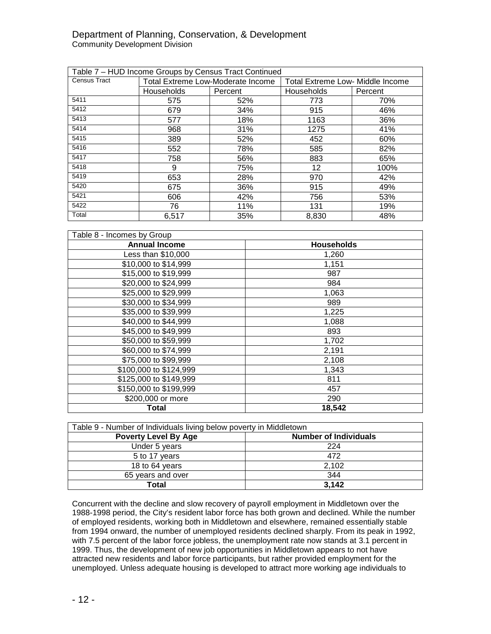## Department of Planning, Conservation, & Development Community Development Division

| Table 7 - HUD Income Groups by Census Tract Continued |                                          |         |                                         |         |  |  |
|-------------------------------------------------------|------------------------------------------|---------|-----------------------------------------|---------|--|--|
| <b>Census Tract</b>                                   | <b>Total Extreme Low-Moderate Income</b> |         | <b>Total Extreme Low- Middle Income</b> |         |  |  |
|                                                       | Households                               | Percent | <b>Households</b>                       | Percent |  |  |
| 5411                                                  | 575                                      | 52%     | 773                                     | 70%     |  |  |
| 5412                                                  | 679                                      | 34%     | 915                                     | 46%     |  |  |
| 5413                                                  | 577                                      | 18%     | 1163                                    | 36%     |  |  |
| 5414                                                  | 968                                      | 31%     | 1275                                    | 41%     |  |  |
| 5415                                                  | 389                                      | 52%     | 452                                     | 60%     |  |  |
| 5416                                                  | 552                                      | 78%     | 585                                     | 82%     |  |  |
| 5417                                                  | 758                                      | 56%     | 883                                     | 65%     |  |  |
| 5418                                                  | 9                                        | 75%     | 12                                      | 100%    |  |  |
| 5419                                                  | 653                                      | 28%     | 970                                     | 42%     |  |  |
| 5420                                                  | 675                                      | 36%     | 915                                     | 49%     |  |  |
| 5421                                                  | 606                                      | 42%     | 756                                     | 53%     |  |  |
| 5422                                                  | 76                                       | 11%     | 131                                     | 19%     |  |  |
| Total                                                 | 6,517                                    | 35%     | 8,830                                   | 48%     |  |  |

| Table 8 - Incomes by Group |                   |  |  |  |  |
|----------------------------|-------------------|--|--|--|--|
| <b>Annual Income</b>       | <b>Households</b> |  |  |  |  |
| Less than \$10,000         | 1,260             |  |  |  |  |
| \$10,000 to \$14,999       | 1,151             |  |  |  |  |
| \$15,000 to \$19,999       | 987               |  |  |  |  |
| \$20,000 to \$24,999       | 984               |  |  |  |  |
| \$25,000 to \$29,999       | 1,063             |  |  |  |  |
| \$30,000 to \$34,999       | 989               |  |  |  |  |
| \$35,000 to \$39,999       | 1,225             |  |  |  |  |
| \$40,000 to \$44,999       | 1,088             |  |  |  |  |
| \$45,000 to \$49,999       | 893               |  |  |  |  |
| \$50,000 to \$59,999       | 1,702             |  |  |  |  |
| \$60,000 to \$74,999       | 2,191             |  |  |  |  |
| \$75,000 to \$99,999       | 2,108             |  |  |  |  |
| \$100,000 to \$124,999     | 1,343             |  |  |  |  |
| \$125,000 to \$149,999     | 811               |  |  |  |  |
| \$150,000 to \$199,999     | 457               |  |  |  |  |
| \$200,000 or more          | 290               |  |  |  |  |
| Total                      | 18,542            |  |  |  |  |

| Table 9 - Number of Individuals living below poverty in Middletown |       |  |  |  |  |
|--------------------------------------------------------------------|-------|--|--|--|--|
| <b>Poverty Level By Age</b><br><b>Number of Individuals</b>        |       |  |  |  |  |
| Under 5 years                                                      | 224   |  |  |  |  |
| 5 to 17 years                                                      | 472   |  |  |  |  |
| 18 to 64 years                                                     | 2,102 |  |  |  |  |
| 65 years and over                                                  | 344   |  |  |  |  |
| Total                                                              | 3,142 |  |  |  |  |

Concurrent with the decline and slow recovery of payroll employment in Middletown over the 1988-1998 period, the City's resident labor force has both grown and declined. While the number of employed residents, working both in Middletown and elsewhere, remained essentially stable from 1994 onward, the number of unemployed residents declined sharply. From its peak in 1992, with 7.5 percent of the labor force jobless, the unemployment rate now stands at 3.1 percent in 1999. Thus, the development of new job opportunities in Middletown appears to not have attracted new residents and labor force participants, but rather provided employment for the unemployed. Unless adequate housing is developed to attract more working age individuals to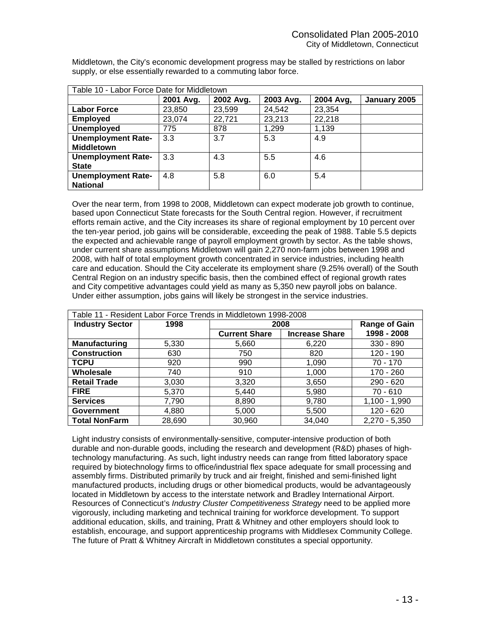| Table 10 - Labor Force Date for Middletown |           |           |           |           |              |  |  |
|--------------------------------------------|-----------|-----------|-----------|-----------|--------------|--|--|
|                                            | 2001 Avg. | 2002 Avg. | 2003 Avg. | 2004 Avg, | January 2005 |  |  |
| <b>Labor Force</b>                         | 23,850    | 23,599    | 24,542    | 23,354    |              |  |  |
| <b>Employed</b>                            | 23,074    | 22,721    | 23,213    | 22,218    |              |  |  |
| <b>Unemployed</b>                          | 775       | 878       | 1,299     | 1,139     |              |  |  |
| <b>Unemployment Rate-</b>                  | 3.3       | 3.7       | 5.3       | 4.9       |              |  |  |
| <b>Middletown</b>                          |           |           |           |           |              |  |  |
| <b>Unemployment Rate-</b>                  | 3.3       | 4.3       | 5.5       | 4.6       |              |  |  |
| <b>State</b>                               |           |           |           |           |              |  |  |
| <b>Unemployment Rate-</b>                  | 4.8       | 5.8       | 6.0       | 5.4       |              |  |  |
| <b>National</b>                            |           |           |           |           |              |  |  |

Middletown, the City's economic development progress may be stalled by restrictions on labor supply, or else essentially rewarded to a commuting labor force.

Over the near term, from 1998 to 2008, Middletown can expect moderate job growth to continue, based upon Connecticut State forecasts for the South Central region. However, if recruitment efforts remain active, and the City increases its share of regional employment by 10 percent over the ten-year period, job gains will be considerable, exceeding the peak of 1988. Table 5.5 depicts the expected and achievable range of payroll employment growth by sector. As the table shows, under current share assumptions Middletown will gain 2,270 non-farm jobs between 1998 and 2008, with half of total employment growth concentrated in service industries, including health care and education. Should the City accelerate its employment share (9.25% overall) of the South Central Region on an industry specific basis, then the combined effect of regional growth rates and City competitive advantages could yield as many as 5,350 new payroll jobs on balance. Under either assumption, jobs gains will likely be strongest in the service industries.

| Table 11 - Resident Labor Force Trends in Middletown 1998-2008 |        |                      |                       |                      |  |  |  |
|----------------------------------------------------------------|--------|----------------------|-----------------------|----------------------|--|--|--|
| <b>Industry Sector</b>                                         | 1998   |                      | 2008                  | <b>Range of Gain</b> |  |  |  |
|                                                                |        | <b>Current Share</b> | <b>Increase Share</b> | 1998 - 2008          |  |  |  |
| Manufacturing                                                  | 5,330  | 5,660                | 6,220                 | 330 - 890            |  |  |  |
| <b>Construction</b>                                            | 630    | 750                  | 820                   | 120 - 190            |  |  |  |
| <b>TCPU</b>                                                    | 920    | 990                  | 1,090                 | 70 - 170             |  |  |  |
| Wholesale                                                      | 740    | 910                  | 1,000                 | 170 - 260            |  |  |  |
| <b>Retail Trade</b>                                            | 3,030  | 3,320                | 3,650                 | $290 - 620$          |  |  |  |
| <b>FIRE</b>                                                    | 5,370  | 5,440                | 5,980                 | $70 - 610$           |  |  |  |
| <b>Services</b>                                                | 7,790  | 8,890                | 9,780                 | $1,100 - 1,990$      |  |  |  |
| <b>Government</b>                                              | 4,880  | 5,000                | 5,500                 | 120 - 620            |  |  |  |
| <b>Total NonFarm</b>                                           | 28,690 | 30,960               | 34,040                | $2,270 - 5,350$      |  |  |  |

Light industry consists of environmentally-sensitive, computer-intensive production of both durable and non-durable goods, including the research and development (R&D) phases of hightechnology manufacturing. As such, light industry needs can range from fitted laboratory space required by biotechnology firms to office/industrial flex space adequate for small processing and assembly firms. Distributed primarily by truck and air freight, finished and semi-finished light manufactured products, including drugs or other biomedical products, would be advantageously located in Middletown by access to the interstate network and Bradley International Airport. Resources of Connecticut's *Industry Cluster Competitiveness Strategy* need to be applied more vigorously, including marketing and technical training for workforce development. To support additional education, skills, and training, Pratt & Whitney and other employers should look to establish, encourage, and support apprenticeship programs with Middlesex Community College. The future of Pratt & Whitney Aircraft in Middletown constitutes a special opportunity.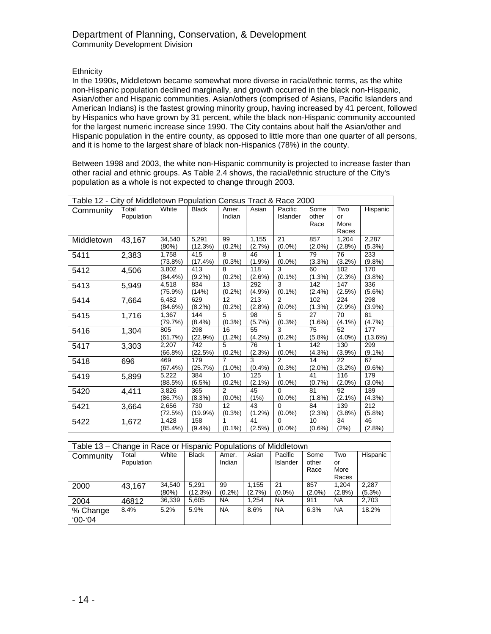## **Ethnicity**

In the 1990s, Middletown became somewhat more diverse in racial/ethnic terms, as the white non-Hispanic population declined marginally, and growth occurred in the black non-Hispanic, Asian/other and Hispanic communities. Asian/others (comprised of Asians, Pacific Islanders and American Indians) is the fastest growing minority group, having increased by 41 percent, followed by Hispanics who have grown by 31 percent, while the black non-Hispanic community accounted for the largest numeric increase since 1990. The City contains about half the Asian/other and Hispanic population in the entire county, as opposed to little more than one quarter of all persons, and it is home to the largest share of black non-Hispanics (78%) in the county.

Between 1998 and 2003, the white non-Hispanic community is projected to increase faster than other racial and ethnic groups. As Table 2.4 shows, the racial/ethnic structure of the City's population as a whole is not expected to change through 2003.

| Table 12 - City of Middletown Population Census Tract & Race 2000 |                     |                     |                   |                             |                  |                             |                       |                            |                    |
|-------------------------------------------------------------------|---------------------|---------------------|-------------------|-----------------------------|------------------|-----------------------------|-----------------------|----------------------------|--------------------|
| Community                                                         | Total<br>Population | White               | <b>Black</b>      | Amer.<br>Indian             | Asian            | Pacific<br>Islander         | Some<br>other<br>Race | Two<br>or<br>More<br>Races | Hispanic           |
| Middletown                                                        | 43,167              | 34,540<br>(80%)     | 5,291<br>(12.3%)  | 99<br>(0.2%)                | 1,155<br>(2.7%   | 21<br>$(0.0\%)$             | 857<br>$(2.0\%)$      | 1,204<br>(2.8%)            | 2,287<br>$(5.3\%)$ |
| 5411                                                              | 2,383               | 1,758<br>$(73.8\%)$ | 415<br>$(17.4\%)$ | 8<br>(0.3% )                | 46<br>(1.9%      | 1<br>$(0.0\%)$              | 79<br>$(3.3\%)$       | 76<br>(3.2%)               | 233<br>(9.8%)      |
| 5412                                                              | 4,506               | 3,802<br>$(84.4\%)$ | 413<br>$(9.2\%)$  | 8<br>(0.2%                  | 118<br>$(2.6\%)$ | 3<br>$(0.1\%)$              | 60<br>$(1.3\%)$       | 102<br>(2.3%)              | 170<br>(3.8%)      |
| 5413                                                              | 5,949               | 4,518<br>$(75.9\%)$ | 834<br>(14%)      | 13<br>$(0.2\%)$             | 292<br>(4.9%     | 3<br>$(0.1\%)$              | 142<br>$(2.4\%)$      | 147<br>(2.5%)              | 336<br>$(5.6\%)$   |
| 5414                                                              | 7,664               | 6,482<br>(84.6%)    | 629<br>(8.2%)     | 12<br>$(0.2\%)$             | 213<br>(2.8%)    | $\mathfrak{p}$<br>$(0.0\%)$ | 102<br>(1.3%)         | 224<br>(2.9%)              | 298<br>(3.9%)      |
| 5415                                                              | 1,716               | 1,367<br>(79.7%)    | 144<br>$(8.4\%)$  | 5<br>$(0.3\%)$              | 98<br>(5.7%)     | 5<br>(0.3% )                | 27<br>$(1.6\%)$       | 70<br>$(4.1\%)$            | 81<br>(4.7%        |
| 5416                                                              | 1,304               | 805<br>(61.7%)      | 298<br>(22.9%)    | 16<br>$(1.2\%)$             | 55<br>$(4.2\%)$  | 3<br>(0.2%)                 | 75<br>(5.8%)          | 52<br>$(4.0\%)$            | 177<br>(13.6%)     |
| 5417                                                              | 3,303               | 2,207<br>(66.8%)    | 742<br>(22.5%)    | 5<br>(0.2%)                 | 76<br>(2.3%)     | $(0.0\%)$                   | 142<br>$(4.3\%)$      | 130<br>(3.9%)              | 299<br>$(9.1\%)$   |
| 5418                                                              | 696                 | 469<br>(67.4%)      | 179<br>(25.7%)    | 7<br>$(1.0\%)$              | 3<br>(0.4% )     | $\mathcal{P}$<br>(0.3% )    | 14<br>$(2.0\%)$       | 22<br>(3.2%)               | 67<br>$(9.6\%)$    |
| 5419                                                              | 5,899               | 5,222<br>(88.5%)    | 384<br>$(6.5\%)$  | 10<br>$(0.2\%)$             | 125<br>$(2.1\%)$ | 1<br>$(0.0\%)$              | 41<br>(0.7%           | 116<br>$(2.0\%)$           | 179<br>$(3.0\%)$   |
| 5420                                                              | 4,411               | 3,826<br>(86.7%)    | 365<br>(8.3%)     | $\overline{2}$<br>$(0.0\%)$ | 45<br>(1%)       | $\Omega$<br>$(0.0\%)$       | 81<br>$(1.8\%)$       | 92<br>$(2.1\%)$            | 189<br>$(4.3\%)$   |
| 5421                                                              | 3,664               | 2,656<br>(72.5%)    | 730<br>$(19.9\%)$ | 12<br>(0.3%)                | 43<br>(1.2%)     | $\Omega$<br>$(0.0\%)$       | 84<br>(2.3%)          | 139<br>(3.8%)              | 212<br>$(5.8\%)$   |
| 5422                                                              | 1,672               | 1,428<br>$(85.4\%)$ | 158<br>$(9.4\%)$  | 1<br>$(0.1\%)$              | 41<br>(2.5%)     | 0<br>$(0.0\%)$              | 10<br>$(0.6\%)$       | 34<br>(2%)                 | 46<br>(2.8%)       |

| Table 13 – Change in Race or Hispanic Populations of Middletown |                     |                 |                  |                 |                 |                     |                       |                            |                    |
|-----------------------------------------------------------------|---------------------|-----------------|------------------|-----------------|-----------------|---------------------|-----------------------|----------------------------|--------------------|
| Community                                                       | Total<br>Population | White           | <b>Black</b>     | Amer.<br>Indian | Asian           | Pacific<br>Islander | Some<br>other<br>Race | Two<br>or<br>More<br>Races | Hispanic           |
| 2000                                                            | 43,167              | 34,540<br>(80%) | 5.291<br>(12.3%) | 99<br>$(0.2\%)$ | 1.155<br>(2.7%) | 21<br>$(0.0\%)$     | 857<br>$(2.0\%)$      | 1.204<br>$(2.8\%)$         | 2,287<br>$(5.3\%)$ |
| 2004                                                            | 46812               | 36,339          | 5,605            | <b>NA</b>       | 1.254           | <b>NA</b>           | 911                   | <b>NA</b>                  | 2,703              |
| % Change<br>$00 - 04$                                           | 8.4%                | 5.2%            | 5.9%             | <b>NA</b>       | 8.6%            | <b>NA</b>           | 6.3%                  | <b>NA</b>                  | 18.2%              |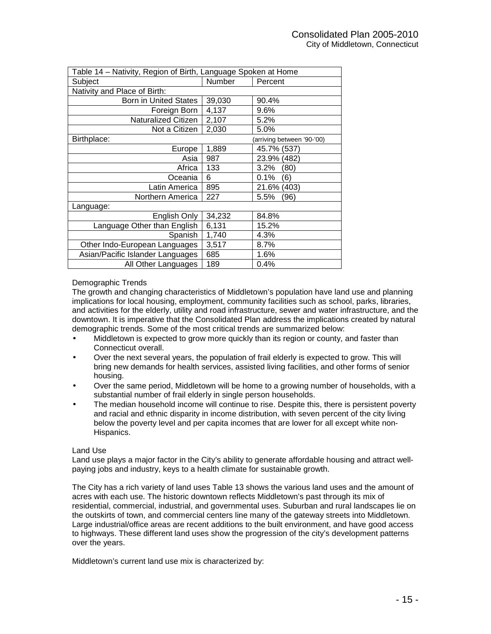| Table 14 - Nativity, Region of Birth, Language Spoken at Home |        |                           |  |  |  |
|---------------------------------------------------------------|--------|---------------------------|--|--|--|
| Subject                                                       | Number | Percent                   |  |  |  |
| Nativity and Place of Birth:                                  |        |                           |  |  |  |
| <b>Born in United States</b>                                  | 39,030 | 90.4%                     |  |  |  |
| Foreign Born                                                  | 4,137  | 9.6%                      |  |  |  |
| <b>Naturalized Citizen</b>                                    | 2,107  | 5.2%                      |  |  |  |
| Not a Citizen                                                 | 2,030  | 5.0%                      |  |  |  |
| Birthplace:                                                   |        | arriving between '90-'00) |  |  |  |
| Europe                                                        | 1,889  | 45.7% (537)               |  |  |  |
| Asia                                                          | 987    | 23.9% (482)               |  |  |  |
| Africa                                                        | 133    | $3.2\%$<br>(80)           |  |  |  |
| Oceania                                                       | 6      | $0.1\%$<br>(6)            |  |  |  |
| Latin America                                                 | 895    | 21.6% (403)               |  |  |  |
| Northern America                                              | 227    | 5.5%<br>(96               |  |  |  |
| Language:                                                     |        |                           |  |  |  |
| English Only                                                  | 34,232 | 84.8%                     |  |  |  |
| Language Other than English                                   | 6,131  | 15.2%                     |  |  |  |
| Spanish                                                       | 1,740  | 4.3%                      |  |  |  |
| Other Indo-European Languages                                 | 3,517  | 8.7%                      |  |  |  |
| Asian/Pacific Islander Languages                              | 685    | 1.6%                      |  |  |  |
| All Other Languages                                           | 189    | 0.4%                      |  |  |  |

## Demographic Trends

The growth and changing characteristics of Middletown's population have land use and planning implications for local housing, employment, community facilities such as school, parks, libraries, and activities for the elderly, utility and road infrastructure, sewer and water infrastructure, and the downtown. It is imperative that the Consolidated Plan address the implications created by natural demographic trends. Some of the most critical trends are summarized below:

- Middletown is expected to grow more quickly than its region or county, and faster than Connecticut overall.
- Over the next several years, the population of frail elderly is expected to grow. This will bring new demands for health services, assisted living facilities, and other forms of senior housing.
- Over the same period, Middletown will be home to a growing number of households, with a substantial number of frail elderly in single person households.
- The median household income will continue to rise. Despite this, there is persistent poverty and racial and ethnic disparity in income distribution, with seven percent of the city living below the poverty level and per capita incomes that are lower for all except white non-Hispanics.

#### Land Use

Land use plays a major factor in the City's ability to generate affordable housing and attract wellpaying jobs and industry, keys to a health climate for sustainable growth.

The City has a rich variety of land uses Table 13 shows the various land uses and the amount of acres with each use. The historic downtown reflects Middletown's past through its mix of residential, commercial, industrial, and governmental uses. Suburban and rural landscapes lie on the outskirts of town, and commercial centers line many of the gateway streets into Middletown. Large industrial/office areas are recent additions to the built environment, and have good access to highways. These different land uses show the progression of the city's development patterns over the years.

Middletown's current land use mix is characterized by: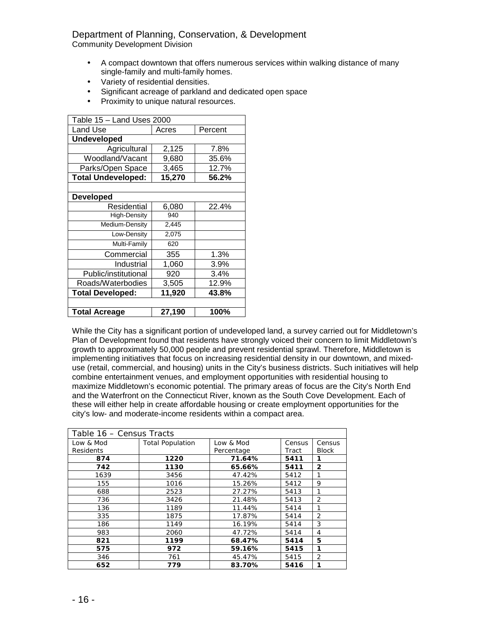## Department of Planning, Conservation, & Development

Community Development Division

- A compact downtown that offers numerous services within walking distance of many single-family and multi-family homes.
- Variety of residential densities.
- Significant acreage of parkland and dedicated open space
- Proximity to unique natural resources.

| Table 15 - Land Uses 2000 |        |         |  |  |  |  |  |
|---------------------------|--------|---------|--|--|--|--|--|
| Land Use                  | Acres  | Percent |  |  |  |  |  |
| <b>Undeveloped</b>        |        |         |  |  |  |  |  |
| Agricultural              | 2,125  | 7.8%    |  |  |  |  |  |
| Woodland/Vacant           | 9,680  | 35.6%   |  |  |  |  |  |
| Parks/Open Space          | 3,465  | 12.7%   |  |  |  |  |  |
| <b>Total Undeveloped:</b> | 15,270 | 56.2%   |  |  |  |  |  |
|                           |        |         |  |  |  |  |  |
| <b>Developed</b>          |        |         |  |  |  |  |  |
| Residential               | 6,080  | 22.4%   |  |  |  |  |  |
| <b>High-Density</b>       | 940    |         |  |  |  |  |  |
| Medium-Density            | 2,445  |         |  |  |  |  |  |
| Low-Density               | 2,075  |         |  |  |  |  |  |
| Multi-Family              | 620    |         |  |  |  |  |  |
| Commercial                | 355    | 1.3%    |  |  |  |  |  |
| Industrial                | 1,060  | 3.9%    |  |  |  |  |  |
| Public/institutional      | 920    | 3.4%    |  |  |  |  |  |
| Roads/Waterbodies         | 3,505  | 12.9%   |  |  |  |  |  |
| <b>Total Developed:</b>   | 11,920 | 43.8%   |  |  |  |  |  |
|                           |        |         |  |  |  |  |  |
| <b>Total Acreage</b>      | 27,190 | 100%    |  |  |  |  |  |

While the City has a significant portion of undeveloped land, a survey carried out for Middletown's Plan of Development found that residents have strongly voiced their concern to limit Middletown's growth to approximately 50,000 people and prevent residential sprawl. Therefore, Middletown is implementing initiatives that focus on increasing residential density in our downtown, and mixeduse (retail, commercial, and housing) units in the City's business districts. Such initiatives will help combine entertainment venues, and employment opportunities with residential housing to maximize Middletown's economic potential. The primary areas of focus are the City's North End and the Waterfront on the Connecticut River, known as the South Cove Development. Each of these will either help in create affordable housing or create employment opportunities for the city's low- and moderate-income residents within a compact area.

| Table 16 - Census Tracts |                         |                         |                 |                        |  |  |
|--------------------------|-------------------------|-------------------------|-----------------|------------------------|--|--|
| Low & Mod<br>Residents   | <b>Total Population</b> | Low & Mod<br>Percentage | Census<br>Tract | Census<br><b>Block</b> |  |  |
| 874                      | 1220                    | 71.64%                  | 5411            | 1                      |  |  |
| 742                      | 1130                    | 65.66%                  | 5411            | 2                      |  |  |
| 1639                     | 3456                    | 47.42%                  | 5412            |                        |  |  |
| 155                      | 1016                    | 15.26%                  | 5412            | 9                      |  |  |
| 688                      | 2523                    | 27.27%                  | 5413            | 1                      |  |  |
| 736                      | 3426                    | 21.48%                  | 5413            | $\overline{2}$         |  |  |
| 136                      | 1189                    | 11.44%                  | 5414            | 1                      |  |  |
| 335                      | 1875                    | 17.87%                  | 5414            | 2                      |  |  |
| 186                      | 1149                    | 16.19%                  | 5414            | 3                      |  |  |
| 983                      | 2060                    | 47.72%                  | 5414            | 4                      |  |  |
| 821                      | 1199                    | 68.47%                  | 5414            | 5                      |  |  |
| 575                      | 972                     | 59.16%                  | 5415            | 1                      |  |  |
| 346                      | 761                     | 45.47%                  | 5415            | 2                      |  |  |
| 652                      | 779                     | 83.70%                  | 5416            | 1                      |  |  |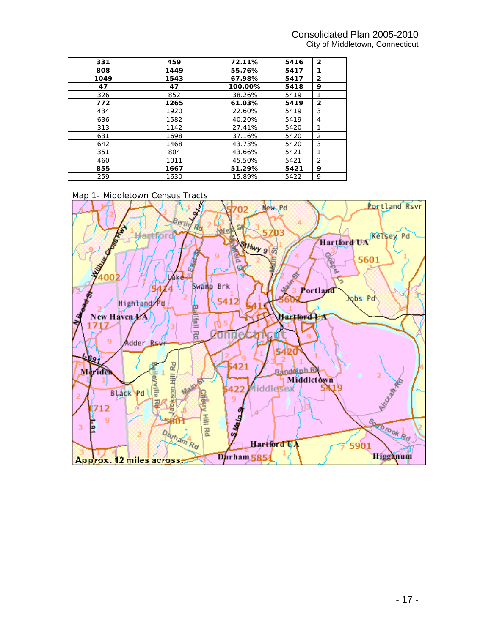## Consolidated Plan 2005-2010 City of Middletown, Connecticut

| 331  | 459  | 72.11%  | 5416 | $\overline{2}$ |
|------|------|---------|------|----------------|
| 808  | 1449 | 55.76%  | 5417 | 1              |
| 1049 | 1543 | 67.98%  | 5417 | $\overline{2}$ |
| 47   | 47   | 100.00% | 5418 | 9              |
| 326  | 852  | 38.26%  | 5419 | 1              |
| 772  | 1265 | 61.03%  | 5419 | 2              |
| 434  | 1920 | 22.60%  | 5419 | 3              |
| 636  | 1582 | 40.20%  | 5419 | 4              |
| 313  | 1142 | 27.41%  | 5420 | 1              |
| 631  | 1698 | 37.16%  | 5420 | 2              |
| 642  | 1468 | 43.73%  | 5420 | 3              |
| 351  | 804  | 43.66%  | 5421 | 1              |
| 460  | 1011 | 45.50%  | 5421 | 2              |
| 855  | 1667 | 51.29%  | 5421 | 9              |
| 259  | 1630 | 15.89%  | 5422 | 9              |



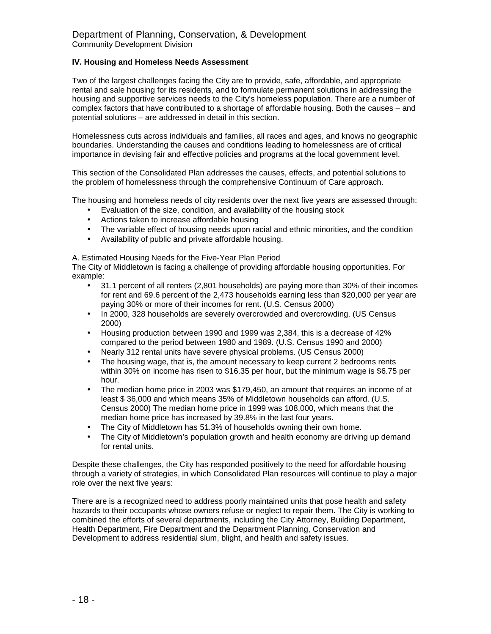## **IV. Housing and Homeless Needs Assessment**

Two of the largest challenges facing the City are to provide, safe, affordable, and appropriate rental and sale housing for its residents, and to formulate permanent solutions in addressing the housing and supportive services needs to the City's homeless population. There are a number of complex factors that have contributed to a shortage of affordable housing. Both the causes – and potential solutions – are addressed in detail in this section.

Homelessness cuts across individuals and families, all races and ages, and knows no geographic boundaries. Understanding the causes and conditions leading to homelessness are of critical importance in devising fair and effective policies and programs at the local government level.

This section of the Consolidated Plan addresses the causes, effects, and potential solutions to the problem of homelessness through the comprehensive Continuum of Care approach.

The housing and homeless needs of city residents over the next five years are assessed through:

- Evaluation of the size, condition, and availability of the housing stock
- Actions taken to increase affordable housing
- The variable effect of housing needs upon racial and ethnic minorities, and the condition
- Availability of public and private affordable housing.

A. Estimated Housing Needs for the Five-Year Plan Period

The City of Middletown is facing a challenge of providing affordable housing opportunities. For example:

- 31.1 percent of all renters (2,801 households) are paying more than 30% of their incomes for rent and 69.6 percent of the 2,473 households earning less than \$20,000 per year are paying 30% or more of their incomes for rent. (U.S. Census 2000)
- In 2000, 328 households are severely overcrowded and overcrowding. (US Census 2000)
- Housing production between 1990 and 1999 was 2,384, this is a decrease of 42% compared to the period between 1980 and 1989. (U.S. Census 1990 and 2000)
- Nearly 312 rental units have severe physical problems. (US Census 2000)
- The housing wage, that is, the amount necessary to keep current 2 bedrooms rents within 30% on income has risen to \$16.35 per hour, but the minimum wage is \$6.75 per hour.
- The median home price in 2003 was \$179,450, an amount that requires an income of at least \$ 36,000 and which means 35% of Middletown households can afford. (U.S. Census 2000) The median home price in 1999 was 108,000, which means that the median home price has increased by 39.8% in the last four years.
- The City of Middletown has 51.3% of households owning their own home.
- The City of Middletown's population growth and health economy are driving up demand for rental units.

Despite these challenges, the City has responded positively to the need for affordable housing through a variety of strategies, in which Consolidated Plan resources will continue to play a major role over the next five years:

There are is a recognized need to address poorly maintained units that pose health and safety hazards to their occupants whose owners refuse or neglect to repair them. The City is working to combined the efforts of several departments, including the City Attorney, Building Department, Health Department, Fire Department and the Department Planning, Conservation and Development to address residential slum, blight, and health and safety issues.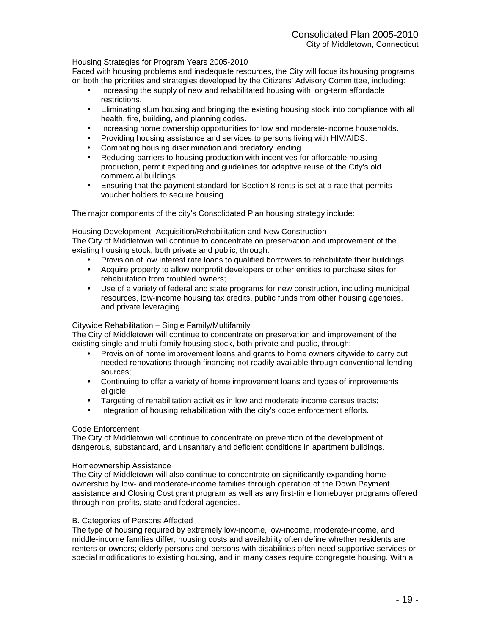#### Housing Strategies for Program Years 2005-2010

Faced with housing problems and inadequate resources, the City will focus its housing programs on both the priorities and strategies developed by the Citizens' Advisory Committee, including:

- Increasing the supply of new and rehabilitated housing with long-term affordable restrictions.
- Eliminating slum housing and bringing the existing housing stock into compliance with all health, fire, building, and planning codes.
- Increasing home ownership opportunities for low and moderate-income households.
- Providing housing assistance and services to persons living with HIV/AIDS.
- Combating housing discrimination and predatory lending.
- Reducing barriers to housing production with incentives for affordable housing production, permit expediting and guidelines for adaptive reuse of the City's old commercial buildings.
- Ensuring that the payment standard for Section 8 rents is set at a rate that permits voucher holders to secure housing.

The major components of the city's Consolidated Plan housing strategy include:

Housing Development- Acquisition/Rehabilitation and New Construction

The City of Middletown will continue to concentrate on preservation and improvement of the existing housing stock, both private and public, through:

- Provision of low interest rate loans to qualified borrowers to rehabilitate their buildings;
- Acquire property to allow nonprofit developers or other entities to purchase sites for rehabilitation from troubled owners;
- Use of a variety of federal and state programs for new construction, including municipal resources, low-income housing tax credits, public funds from other housing agencies, and private leveraging.

#### Citywide Rehabilitation – Single Family/Multifamily

The City of Middletown will continue to concentrate on preservation and improvement of the existing single and multi-family housing stock, both private and public, through:

- Provision of home improvement loans and grants to home owners citywide to carry out needed renovations through financing not readily available through conventional lending sources;
- Continuing to offer a variety of home improvement loans and types of improvements eligible;
- Targeting of rehabilitation activities in low and moderate income census tracts;
- Integration of housing rehabilitation with the city's code enforcement efforts.

#### Code Enforcement

The City of Middletown will continue to concentrate on prevention of the development of dangerous, substandard, and unsanitary and deficient conditions in apartment buildings.

#### Homeownership Assistance

The City of Middletown will also continue to concentrate on significantly expanding home ownership by low- and moderate-income families through operation of the Down Payment assistance and Closing Cost grant program as well as any first-time homebuyer programs offered through non-profits, state and federal agencies.

#### B. Categories of Persons Affected

The type of housing required by extremely low-income, low-income, moderate-income, and middle-income families differ; housing costs and availability often define whether residents are renters or owners; elderly persons and persons with disabilities often need supportive services or special modifications to existing housing, and in many cases require congregate housing. With a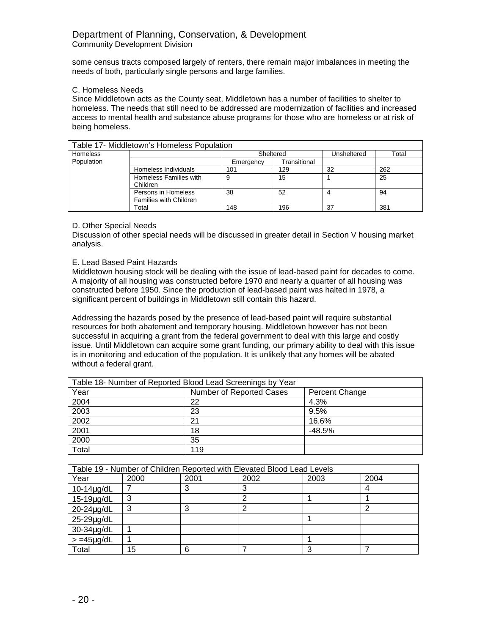some census tracts composed largely of renters, there remain major imbalances in meeting the needs of both, particularly single persons and large families.

## C. Homeless Needs

Since Middletown acts as the County seat, Middletown has a number of facilities to shelter to homeless. The needs that still need to be addressed are modernization of facilities and increased access to mental health and substance abuse programs for those who are homeless or at risk of being homeless.

| Table 17- Middletown's Homeless Population |                               |           |              |             |       |  |  |
|--------------------------------------------|-------------------------------|-----------|--------------|-------------|-------|--|--|
| <b>Homeless</b>                            |                               | Sheltered |              | Unsheltered | Total |  |  |
| Population                                 |                               | Emergency | Transitional |             |       |  |  |
|                                            | Homeless Individuals          | 101       | 129          | 32          | 262   |  |  |
|                                            | Homeless Families with        |           | 15           |             | 25    |  |  |
|                                            | Children                      |           |              |             |       |  |  |
|                                            | Persons in Homeless           | 38        | 52           | 4           | 94    |  |  |
|                                            | <b>Families with Children</b> |           |              |             |       |  |  |
|                                            | Total                         | 148       | 196          | 37          | 381   |  |  |

## D. Other Special Needs

Discussion of other special needs will be discussed in greater detail in Section V housing market analysis.

## E. Lead Based Paint Hazards

Middletown housing stock will be dealing with the issue of lead-based paint for decades to come. A majority of all housing was constructed before 1970 and nearly a quarter of all housing was constructed before 1950. Since the production of lead-based paint was halted in 1978, a significant percent of buildings in Middletown still contain this hazard.

Addressing the hazards posed by the presence of lead-based paint will require substantial resources for both abatement and temporary housing. Middletown however has not been successful in acquiring a grant from the federal government to deal with this large and costly issue. Until Middletown can acquire some grant funding, our primary ability to deal with this issue is in monitoring and education of the population. It is unlikely that any homes will be abated without a federal grant.

| Table 18- Number of Reported Blood Lead Screenings by Year |                                            |          |  |  |  |
|------------------------------------------------------------|--------------------------------------------|----------|--|--|--|
| Year                                                       | Number of Reported Cases<br>Percent Change |          |  |  |  |
| 2004                                                       | 22                                         | 4.3%     |  |  |  |
| 2003                                                       | 23                                         | 9.5%     |  |  |  |
| 2002                                                       | 2 <sup>1</sup>                             | 16.6%    |  |  |  |
| 2001                                                       | 18                                         | $-48.5%$ |  |  |  |
| 2000                                                       | 35                                         |          |  |  |  |
| Total                                                      | 119                                        |          |  |  |  |

| Table 19 - Number of Children Reported with Elevated Blood Lead Levels |        |      |      |      |      |  |  |
|------------------------------------------------------------------------|--------|------|------|------|------|--|--|
| Year                                                                   | 2000   | 2001 | 2002 | 2003 | 2004 |  |  |
| $10-14\mu g/dL$                                                        |        |      | 3    |      | 4    |  |  |
| $15-19\mu g/dL$                                                        | ົ<br>J |      |      |      |      |  |  |
| 20-24µg/dL                                                             | っ      |      |      |      |      |  |  |
| 25-29µg/dL                                                             |        |      |      |      |      |  |  |
| 30-34µg/dL                                                             |        |      |      |      |      |  |  |
| $> = 45 \mu g/dL$                                                      |        |      |      |      |      |  |  |
| Total                                                                  | 15     | 6    |      | 3    |      |  |  |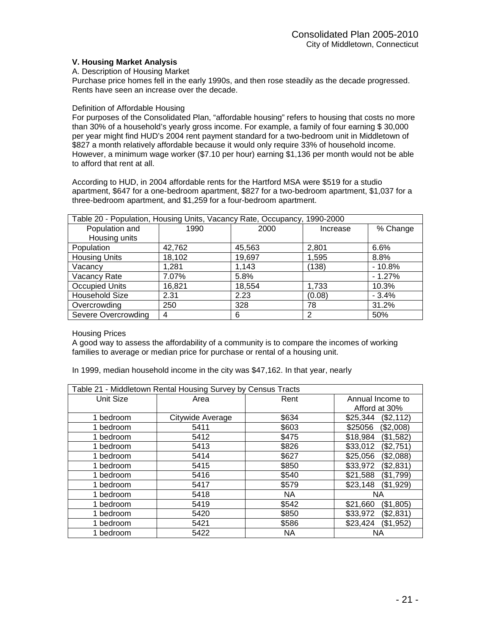## **V. Housing Market Analysis**

#### A. Description of Housing Market

Purchase price homes fell in the early 1990s, and then rose steadily as the decade progressed. Rents have seen an increase over the decade.

#### Definition of Affordable Housing

For purposes of the Consolidated Plan, "affordable housing" refers to housing that costs no more than 30% of a household's yearly gross income. For example, a family of four earning \$ 30,000 per year might find HUD's 2004 rent payment standard for a two-bedroom unit in Middletown of \$827 a month relatively affordable because it would only require 33% of household income. However, a minimum wage worker (\$7.10 per hour) earning \$1,136 per month would not be able to afford that rent at all.

According to HUD, in 2004 affordable rents for the Hartford MSA were \$519 for a studio apartment, \$647 for a one-bedroom apartment, \$827 for a two-bedroom apartment, \$1,037 for a three-bedroom apartment, and \$1,259 for a four-bedroom apartment.

| Table 20 - Population, Housing Units, Vacancy Rate, Occupancy, 1990-2000 |        |        |          |          |  |
|--------------------------------------------------------------------------|--------|--------|----------|----------|--|
| Population and                                                           | 1990   | 2000   | Increase | % Change |  |
| Housing units                                                            |        |        |          |          |  |
| Population                                                               | 42,762 | 45,563 | 2,801    | 6.6%     |  |
| <b>Housing Units</b>                                                     | 18,102 | 19,697 | 1,595    | 8.8%     |  |
| Vacancy                                                                  | 1.281  | 1.143  | (138)    | $-10.8%$ |  |
| Vacancy Rate                                                             | 7.07%  | 5.8%   |          | $-1.27%$ |  |
| <b>Occupied Units</b>                                                    | 16,821 | 18,554 | 1,733    | 10.3%    |  |
| Household Size                                                           | 2.31   | 2.23   | (0.08)   | $-3.4%$  |  |
| Overcrowding                                                             | 250    | 328    | 78       | 31.2%    |  |
| Severe Overcrowding                                                      | 4      | 6      | 2        | 50%      |  |

Housing Prices

A good way to assess the affordability of a community is to compare the incomes of working families to average or median price for purchase or rental of a housing unit.

In 1999, median household income in the city was \$47,162. In that year, nearly

| Table 21 - Middletown Rental Housing Survey by Census Tracts |                  |           |                       |  |  |
|--------------------------------------------------------------|------------------|-----------|-----------------------|--|--|
| Unit Size                                                    | Area             | Rent      | Annual Income to      |  |  |
|                                                              |                  |           | Afford at 30%         |  |  |
| 1 bedroom                                                    | Citywide Average | \$634     | (\$2,112)<br>\$25,344 |  |  |
| 1 bedroom                                                    | 5411             | \$603     | \$25056<br>(\$2,008)  |  |  |
| 1 bedroom                                                    | 5412             | \$475     | \$18,984<br>(\$1,582) |  |  |
| 1 bedroom                                                    | 5413             | \$826     | (\$2,751)<br>\$33,012 |  |  |
| 1 bedroom                                                    | 5414             | \$627     | (\$2,088)<br>\$25,056 |  |  |
| 1 bedroom                                                    | 5415             | \$850     | \$33,972<br>(\$2,831) |  |  |
| 1 bedroom                                                    | 5416             | \$540     | (\$1,799)<br>\$21,588 |  |  |
| 1 bedroom                                                    | 5417             | \$579     | (\$1,929)<br>\$23,148 |  |  |
| 1 bedroom                                                    | 5418             | <b>NA</b> | NA                    |  |  |
| 1 bedroom                                                    | 5419             | \$542     | (\$1,805)<br>\$21,660 |  |  |
| 1 bedroom                                                    | 5420             | \$850     | \$33,972<br>(\$2,831) |  |  |
| 1 bedroom                                                    | 5421             | \$586     | \$23,424<br>(\$1,952) |  |  |
| 1 bedroom                                                    | 5422             | <b>NA</b> | ΝA                    |  |  |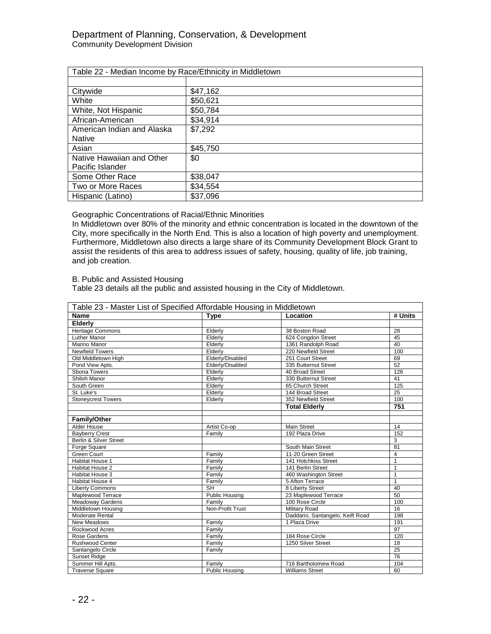| Table 22 - Median Income by Race/Ethnicity in Middletown |          |  |  |  |
|----------------------------------------------------------|----------|--|--|--|
|                                                          |          |  |  |  |
| Citywide                                                 | \$47,162 |  |  |  |
| White                                                    | \$50,621 |  |  |  |
| White, Not Hispanic                                      | \$50,784 |  |  |  |
| African-American                                         | \$34,914 |  |  |  |
| American Indian and Alaska                               | \$7,292  |  |  |  |
| <b>Native</b>                                            |          |  |  |  |
| Asian                                                    | \$45,750 |  |  |  |
| Native Hawaiian and Other                                | \$0      |  |  |  |
| Pacific Islander                                         |          |  |  |  |
| Some Other Race                                          | \$38,047 |  |  |  |
| Two or More Races                                        | \$34,554 |  |  |  |
| Hispanic (Latino)                                        | \$37,096 |  |  |  |

## Geographic Concentrations of Racial/Ethnic Minorities

In Middletown over 80% of the minority and ethnic concentration is located in the downtown of the City, more specifically in the North End. This is also a location of high poverty and unemployment. Furthermore, Middletown also directs a large share of its Community Development Block Grant to assist the residents of this area to address issues of safety, housing, quality of life, job training, and job creation.

## B. Public and Assisted Housing

Table 23 details all the public and assisted housing in the City of Middletown.

| Table 23 - Master List of Specified Affordable Housing in Middletown |                       |                                  |                 |  |
|----------------------------------------------------------------------|-----------------------|----------------------------------|-----------------|--|
| <b>Name</b>                                                          | <b>Type</b>           | Location                         | # Units         |  |
| Elderly                                                              |                       |                                  |                 |  |
| <b>Heritage Commons</b>                                              | Elderly               | 38 Boston Road                   | 28              |  |
| <b>Luther Manor</b>                                                  | Elderly               | 624 Congdon Street               | 45              |  |
| Marino Manor                                                         | Elderly               | 1361 Randolph Road               | 40              |  |
| <b>Newfield Towers</b>                                               | Elderly               | 220 Newfield Street              | 100             |  |
| Old Middletown High                                                  | Elderly/Disabled      | 251 Court Street                 | 69              |  |
| Pond View Apts.                                                      | Elderly/Disabled      | 335 Butternut Street             | 52              |  |
| Sbona Towers                                                         | Elderly               | 40 Broad Street                  | 126             |  |
| Shiloh Manor                                                         | Elderly               | 330 Butternut Street             | 41              |  |
| South Green                                                          | Elderly               | 65 Church Street                 | 125             |  |
| St. Luke's                                                           | Elderly               | 144 Broad Street                 | $\overline{25}$ |  |
| <b>Stoneycrest Towers</b>                                            | Elderly               | 352 Newfield Street              | 100             |  |
|                                                                      |                       | <b>Total Elderly</b>             | 751             |  |
|                                                                      |                       |                                  |                 |  |
| <b>Family/Other</b>                                                  |                       |                                  |                 |  |
| Alder House                                                          | Artist Co-op          | <b>Main Street</b>               | 14              |  |
| <b>Bayberry Crest</b>                                                | Family                | 192 Plaza Drive                  | 152             |  |
| Berlin & Silver Street                                               |                       |                                  | 3               |  |
| Forge Square                                                         |                       | South Main Street                | 81              |  |
| Green Court                                                          | Family                | 11-20 Green Street               | $\overline{4}$  |  |
| <b>Habitat House 1</b>                                               | Family                | 141 Hotchkiss Street             | $\mathbf{1}$    |  |
| <b>Habitat House 2</b>                                               | Family                | 141 Berlin Street                | $\mathbf{1}$    |  |
| Habitat House 3                                                      | Family                | 460 Washington Street            | $\mathbf{1}$    |  |
| Habitat House 4                                                      | Family                | 5 Afton Terrace                  | $\mathbf{1}$    |  |
| <b>Liberty Commons</b>                                               | <b>SH</b>             | 8 Liberty Street                 | 40              |  |
| Maplewood Terrace                                                    | <b>Public Housing</b> | 23 Maplewood Terrace             | 50              |  |
| <b>Meadoway Gardens</b>                                              | Family                | 100 Rose Circle                  | 100             |  |
| Middletown Housing                                                   | Non-Profit Trust      | Military Road                    | 16              |  |
| <b>Moderate Rental</b>                                               |                       | Daddario, Santangelo, Keift Road | 198             |  |
| New Meadows                                                          | Family                | 1 Plaza Drive                    | 191             |  |
| Rockwood Acres                                                       | Family                |                                  | 97              |  |
| Rose Gardens                                                         | Family                | 184 Rose Circle                  | 120             |  |
| <b>Rushwood Center</b>                                               | Family                | 1250 Silver Street               | 18              |  |
| Santangelo Circle                                                    | Family                |                                  | 25              |  |
| <b>Sunset Ridge</b>                                                  |                       |                                  | $\overline{76}$ |  |
| Summer Hill Apts.                                                    | Family                | 716 Bartholomew Road             | 104             |  |
| <b>Traverse Square</b>                                               | Public Housing        | <b>Williams Street</b>           | 60              |  |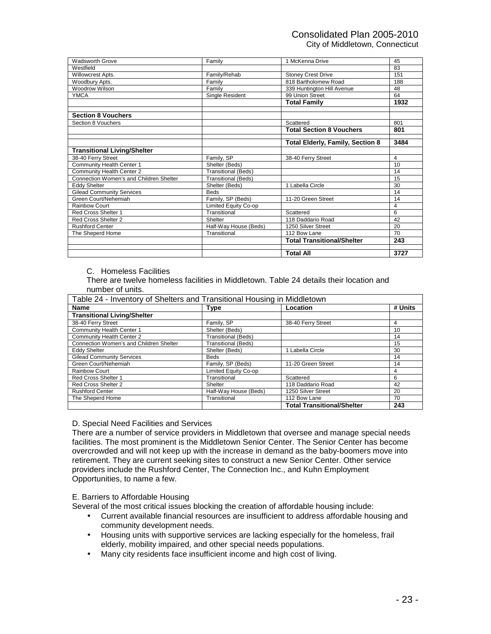## Consolidated Plan 2005-2010 City of Middletown, Connecticut

Madsworth Grove **Family** Family 1 McKenna Drive 45<br>
Westfield 83 Westfield 83 Willowcrest Apts. **Family/Rehab** Stoney Crest Drive 151<sup>1</sup> Woodbury Apts. Family 818 Bartholomew Road 188 Woodrow Wilson **Family** Family **Family** 339 Huntington Hill Avenue 48 YMCA Single Resident 99 Union Street 64 **Total Family 1932 Section 8 Vouchers**  Section 8 Vouchers Scattered 801 **Total Section 8 Vouchers Total Elderly, Family, Section 8 3484 Transitional Living/Shelter**  Family, SP 38-40 Ferry Street 4<br>
Shelter (Beds) 1 Community Health Center 1 Shelter (Beds) 10<br>
Community Health Center 2 Transitional (Beds) 14 Community Health Center 2 Connection Women's and Children Shelter Transitional (Beds) 15 Eddy Shelter Shelter (Beds) 1 Labella Circle 30 Gilead Community Services Beds Beds 14<br>
Green Court/Nehemiah **14**<br>
14 Green Court/Nehemiah 14 Green Court/Nehemiah<br>Rainbow Court Limited Equity Co-op 4 Red Cross Shelter 1 Transitional Scattered 6 Red Cross Shelter 2 Shelter Rushford Center **Half-Way House (Beds)** 1250 Silver Street 20<br>The Sheperd Home **Transitional** 112 Bow Lane 1012 Bow Lane The Sheperd Home Transitional 112 Bow Lane 70 **Total Transitional/Shelter 243 Total All 3727** 

#### C. Homeless Facilities

There are twelve homeless facilities in Middletown. Table 24 details their location and number of units.

| Table 24 - Inventory of Shelters and Transitional Housing in Middletown |                            |                                   |         |  |  |
|-------------------------------------------------------------------------|----------------------------|-----------------------------------|---------|--|--|
| Location<br><b>Name</b><br>Type                                         |                            |                                   | # Units |  |  |
| <b>Transitional Living/Shelter</b>                                      |                            |                                   |         |  |  |
| 38-40 Ferry Street                                                      | Family, SP                 | 38-40 Ferry Street                | 4       |  |  |
| Community Health Center 1                                               | Shelter (Beds)             |                                   | 10      |  |  |
| Community Health Center 2                                               | <b>Transitional (Beds)</b> |                                   | 14      |  |  |
| Connection Women's and Children Shelter                                 | <b>Transitional (Beds)</b> |                                   | 15      |  |  |
| <b>Eddy Shelter</b>                                                     | Shelter (Beds)             | 1 Labella Circle                  | 30      |  |  |
| <b>Gilead Community Services</b>                                        | <b>Beds</b>                |                                   | 14      |  |  |
| Green Court/Nehemiah                                                    | Family, SP (Beds)          | 11-20 Green Street                | 14      |  |  |
| <b>Rainbow Court</b>                                                    | Limited Equity Co-op       |                                   | 4       |  |  |
| Red Cross Shelter 1                                                     | Transitional               | Scattered                         | 6       |  |  |
| Red Cross Shelter 2                                                     | Shelter                    | 118 Daddario Road                 | 42      |  |  |
| <b>Rushford Center</b>                                                  | Half-Way House (Beds)      | 1250 Silver Street                | 20      |  |  |
| The Sheperd Home                                                        | Transitional               | 112 Bow Lane                      | 70      |  |  |
|                                                                         |                            | <b>Total Transitional/Shelter</b> | 243     |  |  |

#### D. Special Need Facilities and Services

There are a number of service providers in Middletown that oversee and manage special needs facilities. The most prominent is the Middletown Senior Center. The Senior Center has become overcrowded and will not keep up with the increase in demand as the baby-boomers move into retirement. They are current seeking sites to construct a new Senior Center. Other service providers include the Rushford Center, The Connection Inc., and Kuhn Employment Opportunities, to name a few.

#### E. Barriers to Affordable Housing

Several of the most critical issues blocking the creation of affordable housing include:

- Current available financial resources are insufficient to address affordable housing and community development needs.
- Housing units with supportive services are lacking especially for the homeless, frail elderly, mobility impaired, and other special needs populations.
- Many city residents face insufficient income and high cost of living.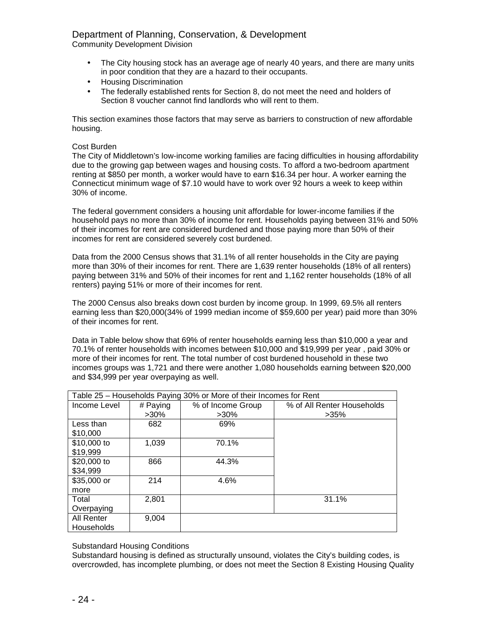## Department of Planning, Conservation, & Development

Community Development Division

- The City housing stock has an average age of nearly 40 years, and there are many units in poor condition that they are a hazard to their occupants.
- Housing Discrimination
- The federally established rents for Section 8, do not meet the need and holders of Section 8 voucher cannot find landlords who will rent to them.

This section examines those factors that may serve as barriers to construction of new affordable housing.

## Cost Burden

The City of Middletown's low-income working families are facing difficulties in housing affordability due to the growing gap between wages and housing costs. To afford a two-bedroom apartment renting at \$850 per month, a worker would have to earn \$16.34 per hour. A worker earning the Connecticut minimum wage of \$7.10 would have to work over 92 hours a week to keep within 30% of income.

The federal government considers a housing unit affordable for lower-income families if the household pays no more than 30% of income for rent. Households paying between 31% and 50% of their incomes for rent are considered burdened and those paying more than 50% of their incomes for rent are considered severely cost burdened.

Data from the 2000 Census shows that 31.1% of all renter households in the City are paying more than 30% of their incomes for rent. There are 1,639 renter households (18% of all renters) paying between 31% and 50% of their incomes for rent and 1,162 renter households (18% of all renters) paying 51% or more of their incomes for rent.

The 2000 Census also breaks down cost burden by income group. In 1999, 69.5% all renters earning less than \$20,000(34% of 1999 median income of \$59,600 per year) paid more than 30% of their incomes for rent.

Data in Table below show that 69% of renter households earning less than \$10,000 a year and 70.1% of renter households with incomes between \$10,000 and \$19,999 per year , paid 30% or more of their incomes for rent. The total number of cost burdened household in these two incomes groups was 1,721 and there were another 1,080 households earning between \$20,000 and \$34,999 per year overpaying as well.

| Table 25 - Households Paying 30% or More of their Incomes for Rent |          |                   |                            |  |  |
|--------------------------------------------------------------------|----------|-------------------|----------------------------|--|--|
| Income Level                                                       | # Paying | % of Income Group | % of All Renter Households |  |  |
|                                                                    | $>30\%$  | $>30\%$           | $>35\%$                    |  |  |
| Less than                                                          | 682      | 69%               |                            |  |  |
| \$10,000                                                           |          |                   |                            |  |  |
| \$10,000 to                                                        | 1,039    | 70.1%             |                            |  |  |
| \$19,999                                                           |          |                   |                            |  |  |
| \$20,000 to                                                        | 866      | 44.3%             |                            |  |  |
| \$34,999                                                           |          |                   |                            |  |  |
| \$35,000 or                                                        | 214      | 4.6%              |                            |  |  |
| more                                                               |          |                   |                            |  |  |
| Total                                                              | 2,801    |                   | 31.1%                      |  |  |
| Overpaying                                                         |          |                   |                            |  |  |
| All Renter                                                         | 9,004    |                   |                            |  |  |
| Households                                                         |          |                   |                            |  |  |

Substandard Housing Conditions

Substandard housing is defined as structurally unsound, violates the City's building codes, is overcrowded, has incomplete plumbing, or does not meet the Section 8 Existing Housing Quality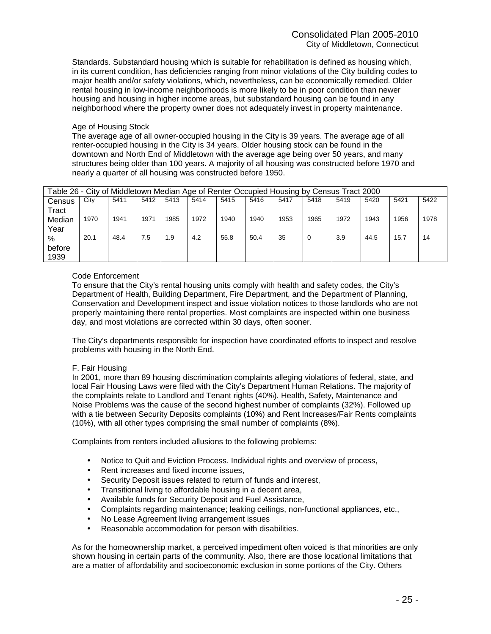Standards. Substandard housing which is suitable for rehabilitation is defined as housing which, in its current condition, has deficiencies ranging from minor violations of the City building codes to major health and/or safety violations, which, nevertheless, can be economically remedied. Older rental housing in low-income neighborhoods is more likely to be in poor condition than newer housing and housing in higher income areas, but substandard housing can be found in any neighborhood where the property owner does not adequately invest in property maintenance.

## Age of Housing Stock

The average age of all owner-occupied housing in the City is 39 years. The average age of all renter-occupied housing in the City is 34 years. Older housing stock can be found in the downtown and North End of Middletown with the average age being over 50 years, and many structures being older than 100 years. A majority of all housing was constructed before 1970 and nearly a quarter of all housing was constructed before 1950.

|        | Table 26 - City of Middletown Median Age of Renter Occupied Housing by Census Tract 2000 |      |      |      |      |      |      |      |      |      |      |      |      |
|--------|------------------------------------------------------------------------------------------|------|------|------|------|------|------|------|------|------|------|------|------|
| Census | City                                                                                     | 5411 | 5412 | 5413 | 5414 | 5415 | 5416 | 5417 | 5418 | 5419 | 5420 | 5421 | 5422 |
| Tract  |                                                                                          |      |      |      |      |      |      |      |      |      |      |      |      |
| Median | 1970                                                                                     | 1941 | 1971 | 1985 | 1972 | 1940 | 1940 | 1953 | 1965 | 1972 | 1943 | 1956 | 1978 |
| Year   |                                                                                          |      |      |      |      |      |      |      |      |      |      |      |      |
| %      | 20.1                                                                                     | 48.4 | 7.5  | 1.9  | 4.2  | 55.8 | 50.4 | 35   |      | 3.9  | 44.5 | 15.7 | 14   |
| before |                                                                                          |      |      |      |      |      |      |      |      |      |      |      |      |
| 1939   |                                                                                          |      |      |      |      |      |      |      |      |      |      |      |      |

## Code Enforcement

To ensure that the City's rental housing units comply with health and safety codes, the City's Department of Health, Building Department, Fire Department, and the Department of Planning, Conservation and Development inspect and issue violation notices to those landlords who are not properly maintaining there rental properties. Most complaints are inspected within one business day, and most violations are corrected within 30 days, often sooner.

The City's departments responsible for inspection have coordinated efforts to inspect and resolve problems with housing in the North End.

#### F. Fair Housing

In 2001, more than 89 housing discrimination complaints alleging violations of federal, state, and local Fair Housing Laws were filed with the City's Department Human Relations. The majority of the complaints relate to Landlord and Tenant rights (40%). Health, Safety, Maintenance and Noise Problems was the cause of the second highest number of complaints (32%). Followed up with a tie between Security Deposits complaints (10%) and Rent Increases/Fair Rents complaints (10%), with all other types comprising the small number of complaints (8%).

Complaints from renters included allusions to the following problems:

- Notice to Quit and Eviction Process. Individual rights and overview of process,
- Rent increases and fixed income issues,
- Security Deposit issues related to return of funds and interest,
- Transitional living to affordable housing in a decent area,
- Available funds for Security Deposit and Fuel Assistance,
- Complaints regarding maintenance; leaking ceilings, non-functional appliances, etc.,
- No Lease Agreement living arrangement issues
- Reasonable accommodation for person with disabilities.

As for the homeownership market, a perceived impediment often voiced is that minorities are only shown housing in certain parts of the community. Also, there are those locational limitations that are a matter of affordability and socioeconomic exclusion in some portions of the City. Others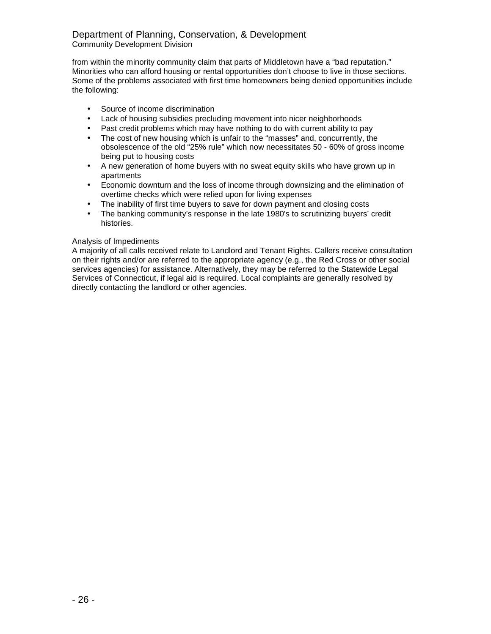## Department of Planning, Conservation, & Development Community Development Division

from within the minority community claim that parts of Middletown have a "bad reputation." Minorities who can afford housing or rental opportunities don't choose to live in those sections. Some of the problems associated with first time homeowners being denied opportunities include the following:

- Source of income discrimination
- Lack of housing subsidies precluding movement into nicer neighborhoods
- Past credit problems which may have nothing to do with current ability to pay
- The cost of new housing which is unfair to the "masses" and, concurrently, the obsolescence of the old "25% rule" which now necessitates 50 - 60% of gross income being put to housing costs
- A new generation of home buyers with no sweat equity skills who have grown up in apartments
- Economic downturn and the loss of income through downsizing and the elimination of overtime checks which were relied upon for living expenses
- The inability of first time buyers to save for down payment and closing costs
- The banking community's response in the late 1980's to scrutinizing buyers' credit histories.

## Analysis of Impediments

A majority of all calls received relate to Landlord and Tenant Rights. Callers receive consultation on their rights and/or are referred to the appropriate agency (e.g., the Red Cross or other social services agencies) for assistance. Alternatively, they may be referred to the Statewide Legal Services of Connecticut, if legal aid is required. Local complaints are generally resolved by directly contacting the landlord or other agencies.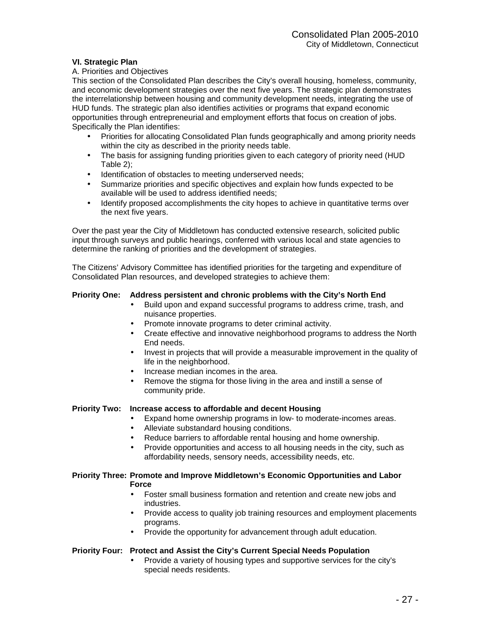## **VI. Strategic Plan**

## A. Priorities and Objectives

This section of the Consolidated Plan describes the City's overall housing, homeless, community, and economic development strategies over the next five years. The strategic plan demonstrates the interrelationship between housing and community development needs, integrating the use of HUD funds. The strategic plan also identifies activities or programs that expand economic opportunities through entrepreneurial and employment efforts that focus on creation of jobs. Specifically the Plan identifies:

- Priorities for allocating Consolidated Plan funds geographically and among priority needs within the city as described in the priority needs table.
- The basis for assigning funding priorities given to each category of priority need (HUD Table 2);
- Identification of obstacles to meeting underserved needs;
- Summarize priorities and specific objectives and explain how funds expected to be available will be used to address identified needs;
- Identify proposed accomplishments the city hopes to achieve in quantitative terms over the next five years.

Over the past year the City of Middletown has conducted extensive research, solicited public input through surveys and public hearings, conferred with various local and state agencies to determine the ranking of priorities and the development of strategies.

The Citizens' Advisory Committee has identified priorities for the targeting and expenditure of Consolidated Plan resources, and developed strategies to achieve them:

## **Priority One: Address persistent and chronic problems with the City's North End**

- Build upon and expand successful programs to address crime, trash, and nuisance properties.
- Promote innovate programs to deter criminal activity.
- Create effective and innovative neighborhood programs to address the North End needs.
- Invest in projects that will provide a measurable improvement in the quality of life in the neighborhood.
- Increase median incomes in the area.
- Remove the stigma for those living in the area and instill a sense of community pride.

#### **Priority Two: Increase access to affordable and decent Housing**

- Expand home ownership programs in low- to moderate-incomes areas.
- Alleviate substandard housing conditions.
- Reduce barriers to affordable rental housing and home ownership.
- Provide opportunities and access to all housing needs in the city, such as affordability needs, sensory needs, accessibility needs, etc.

#### **Priority Three: Promote and Improve Middletown's Economic Opportunities and Labor Force**

- Foster small business formation and retention and create new jobs and industries.
- Provide access to quality job training resources and employment placements programs.
- Provide the opportunity for advancement through adult education.

## **Priority Four: Protect and Assist the City's Current Special Needs Population**

• Provide a variety of housing types and supportive services for the city's special needs residents.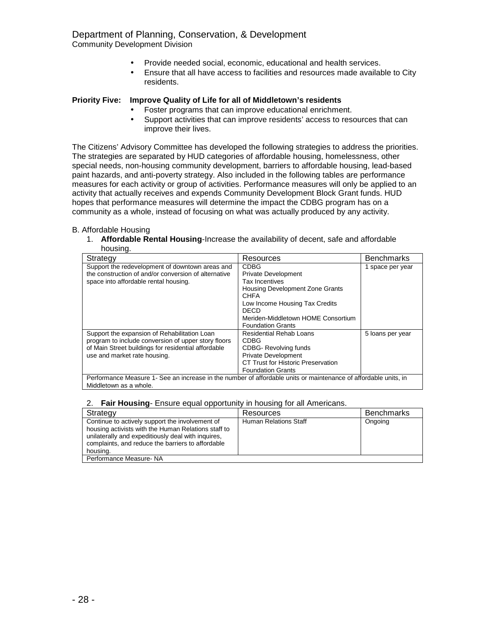- - Provide needed social, economic, educational and health services.
	- Ensure that all have access to facilities and resources made available to City residents.

## **Priority Five: Improve Quality of Life for all of Middletown's residents**

- Foster programs that can improve educational enrichment.
- Support activities that can improve residents' access to resources that can improve their lives.

The Citizens' Advisory Committee has developed the following strategies to address the priorities. The strategies are separated by HUD categories of affordable housing, homelessness, other special needs, non-housing community development, barriers to affordable housing, lead-based paint hazards, and anti-poverty strategy. Also included in the following tables are performance measures for each activity or group of activities. Performance measures will only be applied to an activity that actually receives and expends Community Development Block Grant funds. HUD hopes that performance measures will determine the impact the CDBG program has on a community as a whole, instead of focusing on what was actually produced by any activity.

## B. Affordable Housing

1. **Affordable Rental Housing**-Increase the availability of decent, safe and affordable housing.

| Strategy                                                                                                        | Resources                              | <b>Benchmarks</b> |
|-----------------------------------------------------------------------------------------------------------------|----------------------------------------|-------------------|
| Support the redevelopment of downtown areas and                                                                 | <b>CDBG</b>                            | 1 space per year  |
| the construction of and/or conversion of alternative                                                            | <b>Private Development</b>             |                   |
| space into affordable rental housing.                                                                           | Tax Incentives                         |                   |
|                                                                                                                 | <b>Housing Development Zone Grants</b> |                   |
|                                                                                                                 | <b>CHFA</b>                            |                   |
|                                                                                                                 | Low Income Housing Tax Credits         |                   |
|                                                                                                                 | <b>DECD</b>                            |                   |
|                                                                                                                 | Meriden-Middletown HOME Consortium     |                   |
|                                                                                                                 | <b>Foundation Grants</b>               |                   |
| Support the expansion of Rehabilitation Loan                                                                    | Residential Rehab Loans                | 5 loans per year  |
| program to include conversion of upper story floors                                                             | CDBG                                   |                   |
| of Main Street buildings for residential affordable                                                             | <b>CDBG-Revolving funds</b>            |                   |
| use and market rate housing.                                                                                    | <b>Private Development</b>             |                   |
|                                                                                                                 | CT Trust for Historic Preservation     |                   |
|                                                                                                                 | <b>Foundation Grants</b>               |                   |
| Performance Measure 1- See an increase in the number of affordable units or maintenance of affordable units, in |                                        |                   |
| Middletown as a whole.                                                                                          |                                        |                   |

#### 2. **Fair Housing**- Ensure equal opportunity in housing for all Americans.

| Strategy                                                                                                                                                                                                                      | Resources                    | <b>Benchmarks</b> |
|-------------------------------------------------------------------------------------------------------------------------------------------------------------------------------------------------------------------------------|------------------------------|-------------------|
| Continue to actively support the involvement of<br>housing activists with the Human Relations staff to<br>unilaterally and expeditiously deal with inquires.<br>complaints, and reduce the barriers to affordable<br>housing. | <b>Human Relations Staff</b> | Ongoing           |
| Performance Measure- NA                                                                                                                                                                                                       |                              |                   |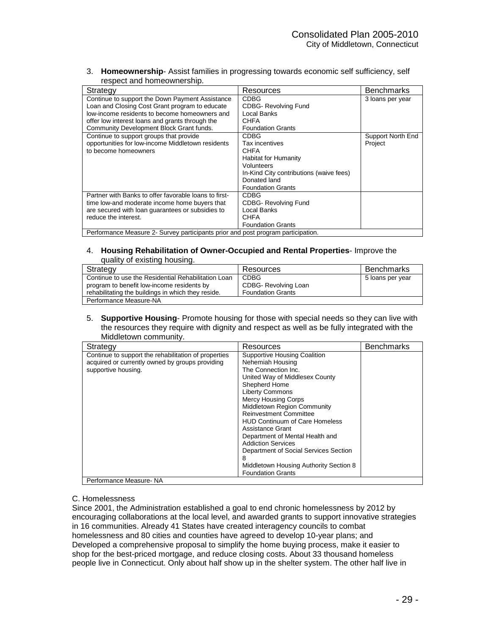3. **Homeownership**- Assist families in progressing towards economic self sufficiency, self respect and homeownership.

| Strategy                                                                         | Resources                               | <b>Benchmarks</b> |
|----------------------------------------------------------------------------------|-----------------------------------------|-------------------|
| Continue to support the Down Payment Assistance                                  | <b>CDBG</b>                             | 3 loans per year  |
| Loan and Closing Cost Grant program to educate                                   | <b>CDBG-Revolving Fund</b>              |                   |
| low-income residents to become homeowners and                                    | Local Banks                             |                   |
| offer low interest loans and grants through the                                  | <b>CHFA</b>                             |                   |
| Community Development Block Grant funds.                                         | <b>Foundation Grants</b>                |                   |
| Continue to support groups that provide                                          | <b>CDBG</b>                             | Support North End |
| opportunities for low-income Middletown residents                                | Tax incentives                          | Project           |
| to become homeowners                                                             | <b>CHFA</b>                             |                   |
|                                                                                  | Habitat for Humanity                    |                   |
|                                                                                  | Volunteers                              |                   |
|                                                                                  | In-Kind City contributions (waive fees) |                   |
|                                                                                  | Donated land                            |                   |
|                                                                                  | <b>Foundation Grants</b>                |                   |
| Partner with Banks to offer favorable loans to first-                            | <b>CDBG</b>                             |                   |
| time low-and moderate income home buyers that                                    | <b>CDBG-Revolving Fund</b>              |                   |
| are secured with loan quarantees or subsidies to                                 | Local Banks                             |                   |
| reduce the interest.                                                             | <b>CHFA</b>                             |                   |
|                                                                                  | <b>Foundation Grants</b>                |                   |
| Performance Measure 2- Survey participants prior and post program participation. |                                         |                   |

#### 4. **Housing Rehabilitation of Owner-Occupied and Rental Properties**- Improve the quality of existing housing.

| Strategy                                            | Resources                | <b>Benchmarks</b> |
|-----------------------------------------------------|--------------------------|-------------------|
| Continue to use the Residential Rehabilitation Loan | <b>CDBG</b>              | 5 loans per year  |
| program to benefit low-income residents by          | CDBG- Revolving Loan     |                   |
| rehabilitating the buildings in which they reside.  | <b>Foundation Grants</b> |                   |
| Performance Measure-NA                              |                          |                   |

5. **Supportive Housing**- Promote housing for those with special needs so they can live with the resources they require with dignity and respect as well as be fully integrated with the Middletown community.

| Strategy                                                                                                                       | Resources                                                                                                                                                                                                                                                                                                                                                                                                                                                                                                  | <b>Benchmarks</b> |
|--------------------------------------------------------------------------------------------------------------------------------|------------------------------------------------------------------------------------------------------------------------------------------------------------------------------------------------------------------------------------------------------------------------------------------------------------------------------------------------------------------------------------------------------------------------------------------------------------------------------------------------------------|-------------------|
| Continue to support the rehabilitation of properties<br>acquired or currently owned by groups providing<br>supportive housing. | <b>Supportive Housing Coalition</b><br>Nehemiah Housing<br>The Connection Inc.<br>United Way of Middlesex County<br>Shepherd Home<br><b>Liberty Commons</b><br><b>Mercy Housing Corps</b><br>Middletown Region Community<br><b>Reinvestment Committee</b><br><b>HUD Continuum of Care Homeless</b><br>Assistance Grant<br>Department of Mental Health and<br><b>Addiction Services</b><br>Department of Social Services Section<br>8<br>Middletown Housing Authority Section 8<br><b>Foundation Grants</b> |                   |
| Performance Measure-NA                                                                                                         |                                                                                                                                                                                                                                                                                                                                                                                                                                                                                                            |                   |

## C. Homelessness

Since 2001, the Administration established a goal to end chronic homelessness by 2012 by encouraging collaborations at the local level, and awarded grants to support innovative strategies in 16 communities. Already 41 States have created interagency councils to combat homelessness and 80 cities and counties have agreed to develop 10-year plans; and Developed a comprehensive proposal to simplify the home buying process, make it easier to shop for the best-priced mortgage, and reduce closing costs. About 33 thousand homeless people live in Connecticut. Only about half show up in the shelter system. The other half live in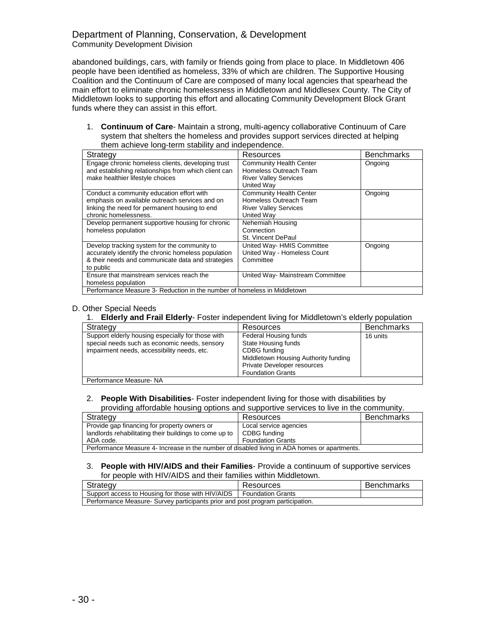## Department of Planning, Conservation, & Development Community Development Division

abandoned buildings, cars, with family or friends going from place to place. In Middletown 406 people have been identified as homeless, 33% of which are children. The Supportive Housing Coalition and the Continuum of Care are composed of many local agencies that spearhead the main effort to eliminate chronic homelessness in Middletown and Middlesex County. The City of Middletown looks to supporting this effort and allocating Community Development Block Grant funds where they can assist in this effort.

1. **Continuum of Care**- Maintain a strong, multi-agency collaborative Continuum of Care system that shelters the homeless and provides support services directed at helping them achieve long-term stability and independence.

| Strategy                                                                 | Resources                        | <b>Benchmarks</b> |  |
|--------------------------------------------------------------------------|----------------------------------|-------------------|--|
| Engage chronic homeless clients, developing trust                        | <b>Community Health Center</b>   | Ongoing           |  |
| and establishing relationships from which client can                     | Homeless Outreach Team           |                   |  |
| make healthier lifestyle choices                                         | <b>River Valley Services</b>     |                   |  |
|                                                                          | United Way                       |                   |  |
| Conduct a community education effort with                                | <b>Community Health Center</b>   | Ongoing           |  |
| emphasis on available outreach services and on                           | Homeless Outreach Team           |                   |  |
| linking the need for permanent housing to end                            | <b>River Valley Services</b>     |                   |  |
| chronic homelessness.                                                    | United Way                       |                   |  |
| Develop permanent supportive housing for chronic                         | Nehemiah Housing                 |                   |  |
| homeless population                                                      | Connection                       |                   |  |
|                                                                          | St. Vincent DePaul               |                   |  |
| Develop tracking system for the community to                             | United Way-HMIS Committee        | Ongoing           |  |
| accurately identify the chronic homeless population                      | United Way - Homeless Count      |                   |  |
| & their needs and communicate data and strategies                        | Committee                        |                   |  |
| to public                                                                |                                  |                   |  |
| Ensure that mainstream services reach the                                | United Way- Mainstream Committee |                   |  |
| homeless population                                                      |                                  |                   |  |
| Performance Measure 3- Reduction in the number of homeless in Middletown |                                  |                   |  |

#### D. Other Special Needs

#### 1. **Elderly and Frail Elderly**- Foster independent living for Middletown's elderly population

| Strategy                                                                                                                                          | Resources                                                                                                                                                              | <b>Benchmarks</b> |
|---------------------------------------------------------------------------------------------------------------------------------------------------|------------------------------------------------------------------------------------------------------------------------------------------------------------------------|-------------------|
| Support elderly housing especially for those with<br>special needs such as economic needs, sensory<br>impairment needs, accessibility needs, etc. | Federal Housing funds<br>State Housing funds<br>CDBG funding<br>Middletown Housing Authority funding<br><b>Private Developer resources</b><br><b>Foundation Grants</b> | 16 units          |
| Performance Measure-NA                                                                                                                            |                                                                                                                                                                        |                   |

#### 2. **People With Disabilities**- Foster independent living for those with disabilities by providing affordable housing options and supportive services to live in the community.

| providing anordable neading options and cappentre corricos to irre in the community.         |                          |                   |
|----------------------------------------------------------------------------------------------|--------------------------|-------------------|
| Strategy                                                                                     | Resources                | <b>Benchmarks</b> |
| Provide gap financing for property owners or                                                 | Local service agencies   |                   |
| landlords rehabilitating their buildings to come up to                                       | CDBG funding             |                   |
| ADA code.                                                                                    | <b>Foundation Grants</b> |                   |
| Performance Measure 4- Increase in the number of disabled living in ADA homes or apartments. |                          |                   |

#### 3. **People with HIV/AIDS and their Families**- Provide a continuum of supportive services for people with HIV/AIDS and their families within Middletown.

| Strategy                                                                       | Resources                | Benchmarks |
|--------------------------------------------------------------------------------|--------------------------|------------|
| Support access to Housing for those with HIV/AIDS                              | <b>Foundation Grants</b> |            |
| Performance Measure- Survey participants prior and post program participation. |                          |            |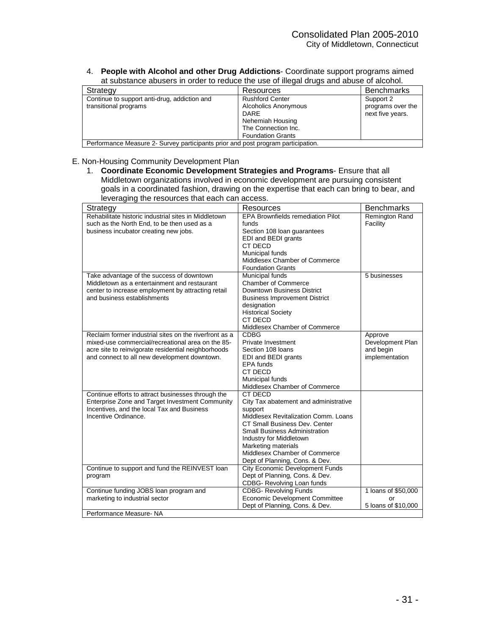#### 4. **People with Alcohol and other Drug Addictions**- Coordinate support programs aimed at substance abusers in order to reduce the use of illegal drugs and abuse of alcohol.

| Strategy                                                                         | Resources                                                                                                                            | <b>Benchmarks</b>                                  |
|----------------------------------------------------------------------------------|--------------------------------------------------------------------------------------------------------------------------------------|----------------------------------------------------|
| Continue to support anti-drug, addiction and<br>transitional programs            | <b>Rushford Center</b><br>Alcoholics Anonymous<br><b>DARE</b><br>Nehemiah Housing<br>The Connection Inc.<br><b>Foundation Grants</b> | Support 2<br>programs over the<br>next five years. |
| Performance Measure 2- Survey participants prior and post program participation. |                                                                                                                                      |                                                    |

## E. Non-Housing Community Development Plan

1. **Coordinate Economic Development Strategies and Programs**- Ensure that all Middletown organizations involved in economic development are pursuing consistent goals in a coordinated fashion, drawing on the expertise that each can bring to bear, and leveraging the resources that each can access.

| <b>EPA Brownfields remediation Pilot</b><br>Rehabilitate historic industrial sites in Middletown<br>Remington Rand<br>Facility<br>such as the North End, to be then used as a<br>funds<br>business incubator creating new jobs.<br>Section 108 loan guarantees<br>EDI and BEDI grants<br>CT DECD<br>Municipal funds<br>Middlesex Chamber of Commerce<br><b>Foundation Grants</b><br>Take advantage of the success of downtown<br>Municipal funds<br>5 businesses<br>Middletown as a entertainment and restaurant<br><b>Chamber of Commerce</b><br>Downtown Business District<br>center to increase employment by attracting retail<br>and business establishments<br><b>Business Improvement District</b><br>designation<br><b>Historical Society</b><br>CT DECD<br>Middlesex Chamber of Commerce<br><b>CDBG</b><br>Reclaim former industrial sites on the riverfront as a<br>Approve<br>Development Plan<br>mixed-use commercial/recreational area on the 85-<br>Private Investment<br>Section 108 loans<br>and begin<br>acre site to reinvigorate residential neighborhoods<br>and connect to all new development downtown.<br>implementation<br>EDI and BEDI grants<br>EPA funds<br>CT DECD<br>Municipal funds<br>Middlesex Chamber of Commerce<br><b>CT DECD</b><br>Continue efforts to attract businesses through the<br>Enterprise Zone and Target Investment Community<br>City Tax abatement and administrative<br>Incentives, and the local Tax and Business<br>support<br>Incentive Ordinance.<br>Middlesex Revitalization Comm. Loans<br>CT Small Business Dev. Center<br><b>Small Business Administration</b><br>Industry for Middletown<br>Marketing materials<br>Middlesex Chamber of Commerce<br>Dept of Planning, Cons. & Dev.<br>Continue to support and fund the REINVEST loan<br><b>City Economic Development Funds</b><br>Dept of Planning, Cons. & Dev.<br>program<br>CDBG- Revolving Loan funds<br><b>CDBG- Revolving Funds</b><br>1 loans of \$50,000<br>Continue funding JOBS loan program and<br><b>Economic Development Committee</b><br>marketing to industrial sector<br>or<br>Dept of Planning, Cons. & Dev.<br>5 loans of \$10,000<br>Performance Measure-NA | Strategy | Resources | <b>Benchmarks</b> |
|-------------------------------------------------------------------------------------------------------------------------------------------------------------------------------------------------------------------------------------------------------------------------------------------------------------------------------------------------------------------------------------------------------------------------------------------------------------------------------------------------------------------------------------------------------------------------------------------------------------------------------------------------------------------------------------------------------------------------------------------------------------------------------------------------------------------------------------------------------------------------------------------------------------------------------------------------------------------------------------------------------------------------------------------------------------------------------------------------------------------------------------------------------------------------------------------------------------------------------------------------------------------------------------------------------------------------------------------------------------------------------------------------------------------------------------------------------------------------------------------------------------------------------------------------------------------------------------------------------------------------------------------------------------------------------------------------------------------------------------------------------------------------------------------------------------------------------------------------------------------------------------------------------------------------------------------------------------------------------------------------------------------------------------------------------------------------------------------------------------------------------------------------------------------------------------------|----------|-----------|-------------------|
|                                                                                                                                                                                                                                                                                                                                                                                                                                                                                                                                                                                                                                                                                                                                                                                                                                                                                                                                                                                                                                                                                                                                                                                                                                                                                                                                                                                                                                                                                                                                                                                                                                                                                                                                                                                                                                                                                                                                                                                                                                                                                                                                                                                           |          |           |                   |
|                                                                                                                                                                                                                                                                                                                                                                                                                                                                                                                                                                                                                                                                                                                                                                                                                                                                                                                                                                                                                                                                                                                                                                                                                                                                                                                                                                                                                                                                                                                                                                                                                                                                                                                                                                                                                                                                                                                                                                                                                                                                                                                                                                                           |          |           |                   |
|                                                                                                                                                                                                                                                                                                                                                                                                                                                                                                                                                                                                                                                                                                                                                                                                                                                                                                                                                                                                                                                                                                                                                                                                                                                                                                                                                                                                                                                                                                                                                                                                                                                                                                                                                                                                                                                                                                                                                                                                                                                                                                                                                                                           |          |           |                   |
|                                                                                                                                                                                                                                                                                                                                                                                                                                                                                                                                                                                                                                                                                                                                                                                                                                                                                                                                                                                                                                                                                                                                                                                                                                                                                                                                                                                                                                                                                                                                                                                                                                                                                                                                                                                                                                                                                                                                                                                                                                                                                                                                                                                           |          |           |                   |
|                                                                                                                                                                                                                                                                                                                                                                                                                                                                                                                                                                                                                                                                                                                                                                                                                                                                                                                                                                                                                                                                                                                                                                                                                                                                                                                                                                                                                                                                                                                                                                                                                                                                                                                                                                                                                                                                                                                                                                                                                                                                                                                                                                                           |          |           |                   |
|                                                                                                                                                                                                                                                                                                                                                                                                                                                                                                                                                                                                                                                                                                                                                                                                                                                                                                                                                                                                                                                                                                                                                                                                                                                                                                                                                                                                                                                                                                                                                                                                                                                                                                                                                                                                                                                                                                                                                                                                                                                                                                                                                                                           |          |           |                   |
|                                                                                                                                                                                                                                                                                                                                                                                                                                                                                                                                                                                                                                                                                                                                                                                                                                                                                                                                                                                                                                                                                                                                                                                                                                                                                                                                                                                                                                                                                                                                                                                                                                                                                                                                                                                                                                                                                                                                                                                                                                                                                                                                                                                           |          |           |                   |
|                                                                                                                                                                                                                                                                                                                                                                                                                                                                                                                                                                                                                                                                                                                                                                                                                                                                                                                                                                                                                                                                                                                                                                                                                                                                                                                                                                                                                                                                                                                                                                                                                                                                                                                                                                                                                                                                                                                                                                                                                                                                                                                                                                                           |          |           |                   |
|                                                                                                                                                                                                                                                                                                                                                                                                                                                                                                                                                                                                                                                                                                                                                                                                                                                                                                                                                                                                                                                                                                                                                                                                                                                                                                                                                                                                                                                                                                                                                                                                                                                                                                                                                                                                                                                                                                                                                                                                                                                                                                                                                                                           |          |           |                   |
|                                                                                                                                                                                                                                                                                                                                                                                                                                                                                                                                                                                                                                                                                                                                                                                                                                                                                                                                                                                                                                                                                                                                                                                                                                                                                                                                                                                                                                                                                                                                                                                                                                                                                                                                                                                                                                                                                                                                                                                                                                                                                                                                                                                           |          |           |                   |
|                                                                                                                                                                                                                                                                                                                                                                                                                                                                                                                                                                                                                                                                                                                                                                                                                                                                                                                                                                                                                                                                                                                                                                                                                                                                                                                                                                                                                                                                                                                                                                                                                                                                                                                                                                                                                                                                                                                                                                                                                                                                                                                                                                                           |          |           |                   |
|                                                                                                                                                                                                                                                                                                                                                                                                                                                                                                                                                                                                                                                                                                                                                                                                                                                                                                                                                                                                                                                                                                                                                                                                                                                                                                                                                                                                                                                                                                                                                                                                                                                                                                                                                                                                                                                                                                                                                                                                                                                                                                                                                                                           |          |           |                   |
|                                                                                                                                                                                                                                                                                                                                                                                                                                                                                                                                                                                                                                                                                                                                                                                                                                                                                                                                                                                                                                                                                                                                                                                                                                                                                                                                                                                                                                                                                                                                                                                                                                                                                                                                                                                                                                                                                                                                                                                                                                                                                                                                                                                           |          |           |                   |
|                                                                                                                                                                                                                                                                                                                                                                                                                                                                                                                                                                                                                                                                                                                                                                                                                                                                                                                                                                                                                                                                                                                                                                                                                                                                                                                                                                                                                                                                                                                                                                                                                                                                                                                                                                                                                                                                                                                                                                                                                                                                                                                                                                                           |          |           |                   |
|                                                                                                                                                                                                                                                                                                                                                                                                                                                                                                                                                                                                                                                                                                                                                                                                                                                                                                                                                                                                                                                                                                                                                                                                                                                                                                                                                                                                                                                                                                                                                                                                                                                                                                                                                                                                                                                                                                                                                                                                                                                                                                                                                                                           |          |           |                   |
|                                                                                                                                                                                                                                                                                                                                                                                                                                                                                                                                                                                                                                                                                                                                                                                                                                                                                                                                                                                                                                                                                                                                                                                                                                                                                                                                                                                                                                                                                                                                                                                                                                                                                                                                                                                                                                                                                                                                                                                                                                                                                                                                                                                           |          |           |                   |
|                                                                                                                                                                                                                                                                                                                                                                                                                                                                                                                                                                                                                                                                                                                                                                                                                                                                                                                                                                                                                                                                                                                                                                                                                                                                                                                                                                                                                                                                                                                                                                                                                                                                                                                                                                                                                                                                                                                                                                                                                                                                                                                                                                                           |          |           |                   |
|                                                                                                                                                                                                                                                                                                                                                                                                                                                                                                                                                                                                                                                                                                                                                                                                                                                                                                                                                                                                                                                                                                                                                                                                                                                                                                                                                                                                                                                                                                                                                                                                                                                                                                                                                                                                                                                                                                                                                                                                                                                                                                                                                                                           |          |           |                   |
|                                                                                                                                                                                                                                                                                                                                                                                                                                                                                                                                                                                                                                                                                                                                                                                                                                                                                                                                                                                                                                                                                                                                                                                                                                                                                                                                                                                                                                                                                                                                                                                                                                                                                                                                                                                                                                                                                                                                                                                                                                                                                                                                                                                           |          |           |                   |
|                                                                                                                                                                                                                                                                                                                                                                                                                                                                                                                                                                                                                                                                                                                                                                                                                                                                                                                                                                                                                                                                                                                                                                                                                                                                                                                                                                                                                                                                                                                                                                                                                                                                                                                                                                                                                                                                                                                                                                                                                                                                                                                                                                                           |          |           |                   |
|                                                                                                                                                                                                                                                                                                                                                                                                                                                                                                                                                                                                                                                                                                                                                                                                                                                                                                                                                                                                                                                                                                                                                                                                                                                                                                                                                                                                                                                                                                                                                                                                                                                                                                                                                                                                                                                                                                                                                                                                                                                                                                                                                                                           |          |           |                   |
|                                                                                                                                                                                                                                                                                                                                                                                                                                                                                                                                                                                                                                                                                                                                                                                                                                                                                                                                                                                                                                                                                                                                                                                                                                                                                                                                                                                                                                                                                                                                                                                                                                                                                                                                                                                                                                                                                                                                                                                                                                                                                                                                                                                           |          |           |                   |
|                                                                                                                                                                                                                                                                                                                                                                                                                                                                                                                                                                                                                                                                                                                                                                                                                                                                                                                                                                                                                                                                                                                                                                                                                                                                                                                                                                                                                                                                                                                                                                                                                                                                                                                                                                                                                                                                                                                                                                                                                                                                                                                                                                                           |          |           |                   |
|                                                                                                                                                                                                                                                                                                                                                                                                                                                                                                                                                                                                                                                                                                                                                                                                                                                                                                                                                                                                                                                                                                                                                                                                                                                                                                                                                                                                                                                                                                                                                                                                                                                                                                                                                                                                                                                                                                                                                                                                                                                                                                                                                                                           |          |           |                   |
|                                                                                                                                                                                                                                                                                                                                                                                                                                                                                                                                                                                                                                                                                                                                                                                                                                                                                                                                                                                                                                                                                                                                                                                                                                                                                                                                                                                                                                                                                                                                                                                                                                                                                                                                                                                                                                                                                                                                                                                                                                                                                                                                                                                           |          |           |                   |
|                                                                                                                                                                                                                                                                                                                                                                                                                                                                                                                                                                                                                                                                                                                                                                                                                                                                                                                                                                                                                                                                                                                                                                                                                                                                                                                                                                                                                                                                                                                                                                                                                                                                                                                                                                                                                                                                                                                                                                                                                                                                                                                                                                                           |          |           |                   |
|                                                                                                                                                                                                                                                                                                                                                                                                                                                                                                                                                                                                                                                                                                                                                                                                                                                                                                                                                                                                                                                                                                                                                                                                                                                                                                                                                                                                                                                                                                                                                                                                                                                                                                                                                                                                                                                                                                                                                                                                                                                                                                                                                                                           |          |           |                   |
|                                                                                                                                                                                                                                                                                                                                                                                                                                                                                                                                                                                                                                                                                                                                                                                                                                                                                                                                                                                                                                                                                                                                                                                                                                                                                                                                                                                                                                                                                                                                                                                                                                                                                                                                                                                                                                                                                                                                                                                                                                                                                                                                                                                           |          |           |                   |
|                                                                                                                                                                                                                                                                                                                                                                                                                                                                                                                                                                                                                                                                                                                                                                                                                                                                                                                                                                                                                                                                                                                                                                                                                                                                                                                                                                                                                                                                                                                                                                                                                                                                                                                                                                                                                                                                                                                                                                                                                                                                                                                                                                                           |          |           |                   |
|                                                                                                                                                                                                                                                                                                                                                                                                                                                                                                                                                                                                                                                                                                                                                                                                                                                                                                                                                                                                                                                                                                                                                                                                                                                                                                                                                                                                                                                                                                                                                                                                                                                                                                                                                                                                                                                                                                                                                                                                                                                                                                                                                                                           |          |           |                   |
|                                                                                                                                                                                                                                                                                                                                                                                                                                                                                                                                                                                                                                                                                                                                                                                                                                                                                                                                                                                                                                                                                                                                                                                                                                                                                                                                                                                                                                                                                                                                                                                                                                                                                                                                                                                                                                                                                                                                                                                                                                                                                                                                                                                           |          |           |                   |
|                                                                                                                                                                                                                                                                                                                                                                                                                                                                                                                                                                                                                                                                                                                                                                                                                                                                                                                                                                                                                                                                                                                                                                                                                                                                                                                                                                                                                                                                                                                                                                                                                                                                                                                                                                                                                                                                                                                                                                                                                                                                                                                                                                                           |          |           |                   |
|                                                                                                                                                                                                                                                                                                                                                                                                                                                                                                                                                                                                                                                                                                                                                                                                                                                                                                                                                                                                                                                                                                                                                                                                                                                                                                                                                                                                                                                                                                                                                                                                                                                                                                                                                                                                                                                                                                                                                                                                                                                                                                                                                                                           |          |           |                   |
|                                                                                                                                                                                                                                                                                                                                                                                                                                                                                                                                                                                                                                                                                                                                                                                                                                                                                                                                                                                                                                                                                                                                                                                                                                                                                                                                                                                                                                                                                                                                                                                                                                                                                                                                                                                                                                                                                                                                                                                                                                                                                                                                                                                           |          |           |                   |
|                                                                                                                                                                                                                                                                                                                                                                                                                                                                                                                                                                                                                                                                                                                                                                                                                                                                                                                                                                                                                                                                                                                                                                                                                                                                                                                                                                                                                                                                                                                                                                                                                                                                                                                                                                                                                                                                                                                                                                                                                                                                                                                                                                                           |          |           |                   |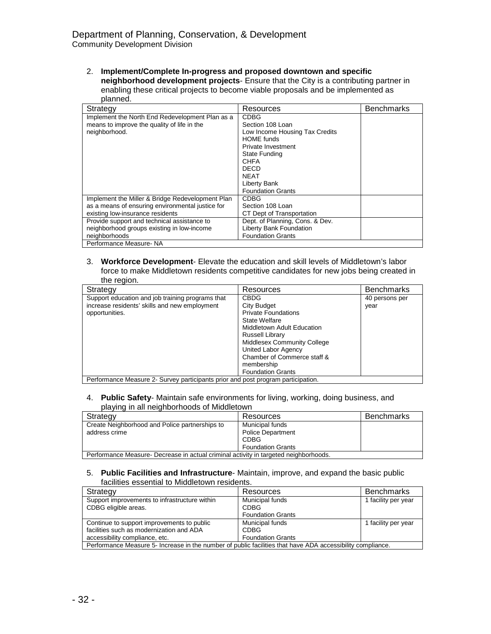2. **Implement/Complete In-progress and proposed downtown and specific neighborhood development projects**- Ensure that the City is a contributing partner in enabling these critical projects to become viable proposals and be implemented as planned.

| Strategy                                         | Resources                       | <b>Benchmarks</b> |
|--------------------------------------------------|---------------------------------|-------------------|
| Implement the North End Redevelopment Plan as a  | <b>CDBG</b>                     |                   |
| means to improve the quality of life in the      | Section 108 Loan                |                   |
| neighborhood.                                    | Low Income Housing Tax Credits  |                   |
|                                                  | <b>HOME</b> funds               |                   |
|                                                  | Private Investment              |                   |
|                                                  | <b>State Funding</b>            |                   |
|                                                  | <b>CHFA</b>                     |                   |
|                                                  | <b>DECD</b>                     |                   |
|                                                  | <b>NEAT</b>                     |                   |
|                                                  | Liberty Bank                    |                   |
|                                                  | <b>Foundation Grants</b>        |                   |
| Implement the Miller & Bridge Redevelopment Plan | <b>CDBG</b>                     |                   |
| as a means of ensuring environmental justice for | Section 108 Loan                |                   |
| existing low-insurance residents                 | CT Dept of Transportation       |                   |
| Provide support and technical assistance to      | Dept. of Planning, Cons. & Dev. |                   |
| neighborhood groups existing in low-income       | Liberty Bank Foundation         |                   |
| neighborhoods                                    | <b>Foundation Grants</b>        |                   |
| Performance Measure-NA                           |                                 |                   |

3. **Workforce Development**- Elevate the education and skill levels of Middletown's labor force to make Middletown residents competitive candidates for new jobs being created in the region.

| Strategy                                                                         | Resources                          | <b>Benchmarks</b> |
|----------------------------------------------------------------------------------|------------------------------------|-------------------|
| Support education and job training programs that                                 | <b>CBDG</b>                        | 40 persons per    |
| increase residents' skills and new employment                                    | City Budget                        | year              |
| opportunities.                                                                   | <b>Private Foundations</b>         |                   |
|                                                                                  | State Welfare                      |                   |
|                                                                                  | Middletown Adult Education         |                   |
|                                                                                  | Russell Library                    |                   |
|                                                                                  | <b>Middlesex Community College</b> |                   |
|                                                                                  | United Labor Agency                |                   |
|                                                                                  | Chamber of Commerce staff &        |                   |
|                                                                                  | membership                         |                   |
|                                                                                  | <b>Foundation Grants</b>           |                   |
| Performance Measure 2- Survey participants prior and post program participation. |                                    |                   |

#### 4. **Public Safety**- Maintain safe environments for living, working, doing business, and playing in all neighborhoods of Middletown

| Strategy                                                                             | Resources                               | <b>Benchmarks</b> |
|--------------------------------------------------------------------------------------|-----------------------------------------|-------------------|
| Create Neighborhood and Police partnerships to                                       | Municipal funds                         |                   |
| address crime                                                                        | <b>Police Department</b><br><b>CDBG</b> |                   |
|                                                                                      | <b>Foundation Grants</b>                |                   |
| Performance Measure- Decrease in actual criminal activity in targeted neighborhoods. |                                         |                   |

#### 5. **Public Facilities and Infrastructure**- Maintain, improve, and expand the basic public facilities essential to Middletown residents.

| Strategy                                                                                                   | Resources                | <b>Benchmarks</b>   |
|------------------------------------------------------------------------------------------------------------|--------------------------|---------------------|
| Support improvements to infrastructure within                                                              | Municipal funds          | 1 facility per year |
| CDBG eligible areas.                                                                                       | <b>CDBG</b>              |                     |
|                                                                                                            | <b>Foundation Grants</b> |                     |
| Continue to support improvements to public                                                                 | Municipal funds          | 1 facility per year |
| facilities such as modernization and ADA                                                                   | <b>CDBG</b>              |                     |
| accessibility compliance, etc.                                                                             | <b>Foundation Grants</b> |                     |
| Performance Measure 5- Increase in the number of public facilities that have ADA accessibility compliance. |                          |                     |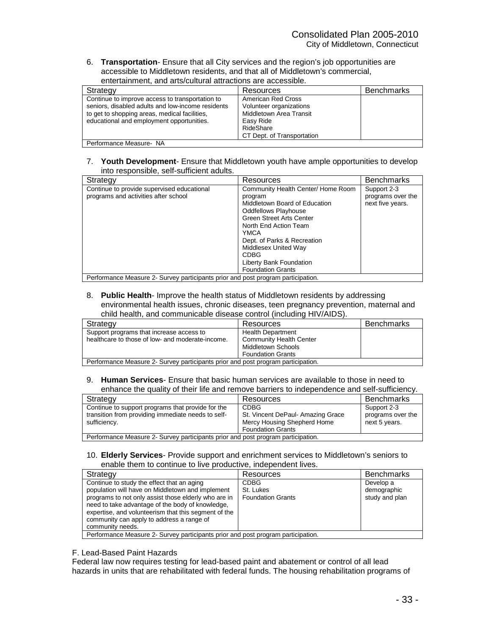6. **Transportation**- Ensure that all City services and the region's job opportunities are accessible to Middletown residents, and that all of Middletown's commercial, entertainment, and arts/cultural attractions are accessible.

| Strategy                                                                                                                                                                                           | Resources                                                                                                                        | <b>Benchmarks</b> |
|----------------------------------------------------------------------------------------------------------------------------------------------------------------------------------------------------|----------------------------------------------------------------------------------------------------------------------------------|-------------------|
| Continue to improve access to transportation to<br>seniors, disabled adults and low-income residents<br>to get to shopping areas, medical facilities,<br>educational and employment opportunities. | American Red Cross<br>Volunteer organizations<br>Middletown Area Transit<br>Easy Ride<br>RideShare<br>CT Dept. of Transportation |                   |
| Performance Measure- NA                                                                                                                                                                            |                                                                                                                                  |                   |

## 7. **Youth Development**- Ensure that Middletown youth have ample opportunities to develop into responsible, self-sufficient adults.

| Strategy                                                                         | Resources                          | <b>Benchmarks</b> |
|----------------------------------------------------------------------------------|------------------------------------|-------------------|
| Continue to provide supervised educational                                       | Community Health Center/ Home Room | Support 2-3       |
| programs and activities after school                                             | program                            | programs over the |
|                                                                                  | Middletown Board of Education      | next five years.  |
|                                                                                  | <b>Oddfellows Playhouse</b>        |                   |
|                                                                                  | <b>Green Street Arts Center</b>    |                   |
|                                                                                  | North End Action Team              |                   |
|                                                                                  | YMCA                               |                   |
|                                                                                  | Dept. of Parks & Recreation        |                   |
|                                                                                  | Middlesex United Way               |                   |
|                                                                                  | <b>CDBG</b>                        |                   |
|                                                                                  | Liberty Bank Foundation            |                   |
|                                                                                  | <b>Foundation Grants</b>           |                   |
| Performance Measure 2- Survey participants prior and post program participation. |                                    |                   |

#### 8. **Public Health**- Improve the health status of Middletown residents by addressing environmental health issues, chronic diseases, teen pregnancy prevention, maternal and child health, and communicable disease control (including HIV/AIDS).

| Strategy                                                                         | Resources                      | <b>Benchmarks</b> |  |
|----------------------------------------------------------------------------------|--------------------------------|-------------------|--|
| Support programs that increase access to                                         | <b>Health Department</b>       |                   |  |
| healthcare to those of low- and moderate-income.                                 | <b>Community Health Center</b> |                   |  |
|                                                                                  | Middletown Schools             |                   |  |
|                                                                                  | <b>Foundation Grants</b>       |                   |  |
| Performance Measure 2- Survey participants prior and post program participation. |                                |                   |  |

#### 9. **Human Services**- Ensure that basic human services are available to those in need to enhance the quality of their life and remove barriers to independence and self-sufficiency.

| Strategy                                                                         | Resources                        | <b>Benchmarks</b> |  |
|----------------------------------------------------------------------------------|----------------------------------|-------------------|--|
|                                                                                  |                                  |                   |  |
| Continue to support programs that provide for the                                | CDBG                             | Support 2-3       |  |
| transition from providing immediate needs to self-                               | St. Vincent DePaul-Amazing Grace | programs over the |  |
| sufficiency.                                                                     | Mercy Housing Shepherd Home      | next 5 years.     |  |
|                                                                                  | <b>Foundation Grants</b>         |                   |  |
| Performance Measure 2- Survey participants prior and post program participation. |                                  |                   |  |

10. **Elderly Services**- Provide support and enrichment services to Middletown's seniors to enable them to continue to live productive, independent lives.

| Strategy                                                                                                                                                                                                                                                                                                                            |                          | Resources                | <b>Benchmarks</b>                          |
|-------------------------------------------------------------------------------------------------------------------------------------------------------------------------------------------------------------------------------------------------------------------------------------------------------------------------------------|--------------------------|--------------------------|--------------------------------------------|
| Continue to study the effect that an aging<br>population will have on Middletown and implement<br>programs to not only assist those elderly who are in<br>need to take advantage of the body of knowledge,<br>expertise, and volunteerism that this segment of the<br>community can apply to address a range of<br>community needs. | <b>CDBG</b><br>St. Lukes | <b>Foundation Grants</b> | Develop a<br>demographic<br>study and plan |
| Performance Measure 2- Survey participants prior and post program participation.                                                                                                                                                                                                                                                    |                          |                          |                                            |

#### F. Lead-Based Paint Hazards

Federal law now requires testing for lead-based paint and abatement or control of all lead hazards in units that are rehabilitated with federal funds. The housing rehabilitation programs of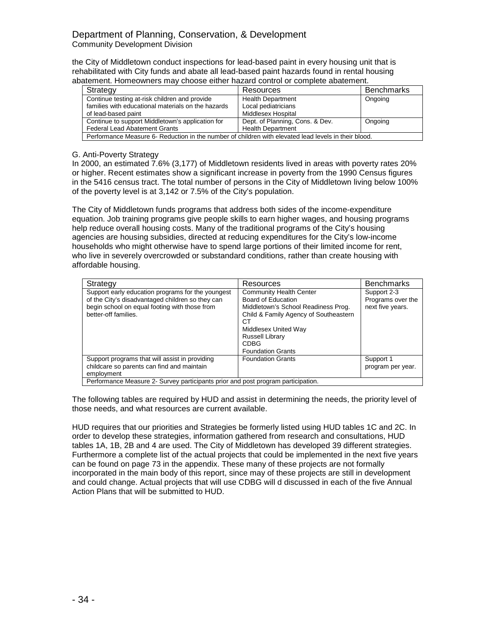## Department of Planning, Conservation, & Development Community Development Division

the City of Middletown conduct inspections for lead-based paint in every housing unit that is rehabilitated with City funds and abate all lead-based paint hazards found in rental housing abatement. Homeowners may choose either hazard control or complete abatement.

| Strategy                                                                                             | Resources                       | <b>Benchmarks</b> |  |
|------------------------------------------------------------------------------------------------------|---------------------------------|-------------------|--|
| Continue testing at-risk children and provide                                                        | <b>Health Department</b>        | Ongoing           |  |
| families with educational materials on the hazards                                                   | Local pediatricians             |                   |  |
| of lead-based paint                                                                                  | Middlesex Hospital              |                   |  |
| Continue to support Middletown's application for                                                     | Dept. of Planning, Cons. & Dev. | Ongoing           |  |
| <b>Health Department</b><br><b>Federal Lead Abatement Grants</b>                                     |                                 |                   |  |
| Performance Measure 6- Reduction in the number of children with elevated lead levels in their blood. |                                 |                   |  |

## G. Anti-Poverty Strategy

In 2000, an estimated 7.6% (3,177) of Middletown residents lived in areas with poverty rates 20% or higher. Recent estimates show a significant increase in poverty from the 1990 Census figures in the 5416 census tract. The total number of persons in the City of Middletown living below 100% of the poverty level is at 3,142 or 7.5% of the City's population.

The City of Middletown funds programs that address both sides of the income-expenditure equation. Job training programs give people skills to earn higher wages, and housing programs help reduce overall housing costs. Many of the traditional programs of the City's housing agencies are housing subsidies, directed at reducing expenditures for the City's low-income households who might otherwise have to spend large portions of their limited income for rent, who live in severely overcrowded or substandard conditions, rather than create housing with affordable housing.

| Strategy                                                                                                                                                                       | Resources                                                                                                                                                                                                                               | <b>Benchmarks</b>                                    |  |
|--------------------------------------------------------------------------------------------------------------------------------------------------------------------------------|-----------------------------------------------------------------------------------------------------------------------------------------------------------------------------------------------------------------------------------------|------------------------------------------------------|--|
| Support early education programs for the youngest<br>of the City's disadvantaged children so they can<br>begin school on equal footing with those from<br>better-off families. | <b>Community Health Center</b><br>Board of Education<br>Middletown's School Readiness Prog.<br>Child & Family Agency of Southeastern<br>CТ<br>Middlesex United Way<br><b>Russell Library</b><br><b>CDBG</b><br><b>Foundation Grants</b> | Support 2-3<br>Programs over the<br>next five years. |  |
| Support programs that will assist in providing<br>childcare so parents can find and maintain<br>employment                                                                     | <b>Foundation Grants</b>                                                                                                                                                                                                                | Support 1<br>program per year.                       |  |
| Performance Measure 2- Survey participants prior and post program participation.                                                                                               |                                                                                                                                                                                                                                         |                                                      |  |

The following tables are required by HUD and assist in determining the needs, the priority level of those needs, and what resources are current available.

HUD requires that our priorities and Strategies be formerly listed using HUD tables 1C and 2C. In order to develop these strategies, information gathered from research and consultations, HUD tables 1A, 1B, 2B and 4 are used. The City of Middletown has developed 39 different strategies. Furthermore a complete list of the actual projects that could be implemented in the next five years can be found on page 73 in the appendix. These many of these projects are not formally incorporated in the main body of this report, since may of these projects are still in development and could change. Actual projects that will use CDBG will d discussed in each of the five Annual Action Plans that will be submitted to HUD.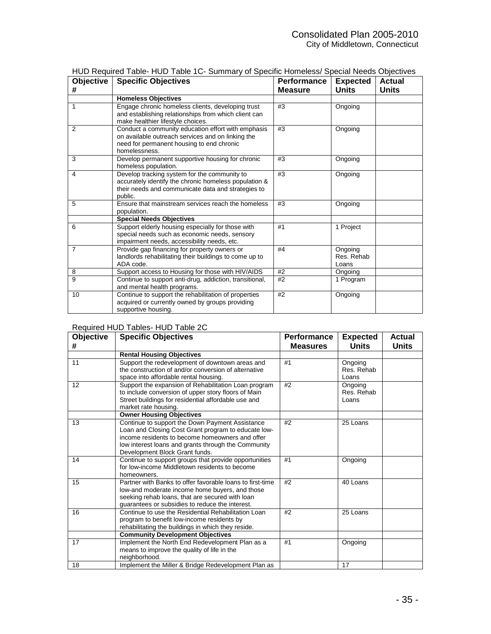| Objective<br># | <b>Specific Objectives</b>                                                                                                                                             | Performance<br>Measure | <b>Expected</b><br><b>Units</b> | <b>Actual</b><br>Units |
|----------------|------------------------------------------------------------------------------------------------------------------------------------------------------------------------|------------------------|---------------------------------|------------------------|
|                | <b>Homeless Objectives</b>                                                                                                                                             |                        |                                 |                        |
| 1              | Engage chronic homeless clients, developing trust<br>and establishing relationships from which client can<br>make healthier lifestyle choices.                         | #3                     | Ongoing                         |                        |
| $\mathfrak{p}$ | Conduct a community education effort with emphasis<br>on available outreach services and on linking the<br>need for permanent housing to end chronic<br>homelessness.  | #3                     | Ongoing                         |                        |
| 3              | Develop permanent supportive housing for chronic<br>homeless population.                                                                                               | #3                     | Ongoing                         |                        |
| 4              | Develop tracking system for the community to<br>accurately identify the chronic homeless population &<br>their needs and communicate data and strategies to<br>public. | #3                     | Ongoing                         |                        |
| 5              | Ensure that mainstream services reach the homeless<br>population.                                                                                                      | #3                     | Ongoing                         |                        |
|                | <b>Special Needs Objectives</b>                                                                                                                                        |                        |                                 |                        |
| 6              | Support elderly housing especially for those with<br>special needs such as economic needs, sensory<br>impairment needs, accessibility needs, etc.                      | #1                     | 1 Project                       |                        |
| 7              | Provide gap financing for property owners or<br>landlords rehabilitating their buildings to come up to<br>ADA code.                                                    | #4                     | Ongoing<br>Res. Rehab<br>Loans  |                        |
| 8              | Support access to Housing for those with HIV/AIDS                                                                                                                      | #2                     | Ongoing                         |                        |
| 9              | Continue to support anti-drug, addiction, transitional,<br>and mental health programs.                                                                                 | #2                     | $\overline{1}$ Program          |                        |
| 10             | Continue to support the rehabilitation of properties<br>acquired or currently owned by groups providing<br>supportive housing.                                         | #2                     | Ongoing                         |                        |

|  |  | HUD Required Table-HUD Table 1C- Summary of Specific Homeless/ Special Needs Objectives |  |  |  |
|--|--|-----------------------------------------------------------------------------------------|--|--|--|
|--|--|-----------------------------------------------------------------------------------------|--|--|--|

## Required HUD Tables- HUD Table 2C

| Objective<br># | <b>Specific Objectives</b>                                                                                                                                                                                                                         | Performance<br><b>Measures</b> | <b>Expected</b><br><b>Units</b> | <b>Actual</b><br>Units |
|----------------|----------------------------------------------------------------------------------------------------------------------------------------------------------------------------------------------------------------------------------------------------|--------------------------------|---------------------------------|------------------------|
|                | <b>Rental Housing Objectives</b>                                                                                                                                                                                                                   |                                |                                 |                        |
| 11             | Support the redevelopment of downtown areas and<br>the construction of and/or conversion of alternative<br>space into affordable rental housing.                                                                                                   | #1                             | Ongoing<br>Res. Rehab<br>Loans  |                        |
| 12             | Support the expansion of Rehabilitation Loan program<br>to include conversion of upper story floors of Main<br>Street buildings for residential affordable use and<br>market rate housing.                                                         | #2                             | Ongoing<br>Res. Rehab<br>Loans  |                        |
|                | <b>Owner Housing Objectives</b>                                                                                                                                                                                                                    |                                |                                 |                        |
| 13             | Continue to support the Down Payment Assistance<br>Loan and Closing Cost Grant program to educate low-<br>income residents to become homeowners and offer<br>low interest loans and grants through the Community<br>Development Block Grant funds. | #2                             | 25 Loans                        |                        |
| 14             | Continue to support groups that provide opportunities<br>for low-income Middletown residents to become<br>homeowners.                                                                                                                              | #1                             | Ongoing                         |                        |
| 15             | Partner with Banks to offer favorable loans to first-time<br>low-and moderate income home buyers, and those<br>seeking rehab loans, that are secured with loan<br>quarantees or subsidies to reduce the interest.                                  | #2                             | 40 Loans                        |                        |
| 16             | Continue to use the Residential Rehabilitation Loan<br>program to benefit low-income residents by<br>rehabilitating the buildings in which they reside.                                                                                            | #2                             | 25 Loans                        |                        |
|                | <b>Community Development Objectives</b>                                                                                                                                                                                                            |                                |                                 |                        |
| 17             | Implement the North End Redevelopment Plan as a<br>means to improve the quality of life in the<br>neighborhood.                                                                                                                                    | #1                             | Ongoing                         |                        |
| 18             | Implement the Miller & Bridge Redevelopment Plan as                                                                                                                                                                                                |                                | 17                              |                        |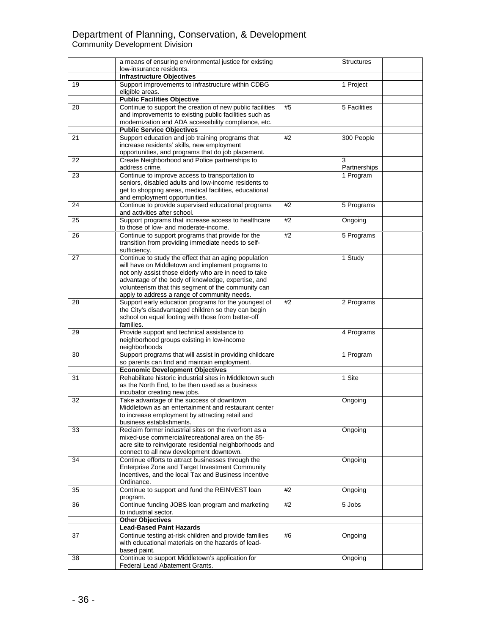## Department of Planning, Conservation, & Development Community Development Division

|    | a means of ensuring environmental justice for existing                                                         |    | <b>Structures</b> |
|----|----------------------------------------------------------------------------------------------------------------|----|-------------------|
|    | low-insurance residents.                                                                                       |    |                   |
| 19 | <b>Infrastructure Objectives</b><br>Support improvements to infrastructure within CDBG                         |    | 1 Project         |
|    | eligible areas.                                                                                                |    |                   |
|    | <b>Public Facilities Objective</b>                                                                             |    |                   |
| 20 | Continue to support the creation of new public facilities                                                      | #5 | 5 Facilities      |
|    | and improvements to existing public facilities such as                                                         |    |                   |
|    | modernization and ADA accessibility compliance, etc.                                                           |    |                   |
| 21 | <b>Public Service Objectives</b><br>Support education and job training programs that                           | #2 | 300 People        |
|    | increase residents' skills, new employment                                                                     |    |                   |
|    | opportunities, and programs that do job placement.                                                             |    |                   |
| 22 | Create Neighborhood and Police partnerships to                                                                 |    | 3                 |
|    | address crime.                                                                                                 |    | Partnerships      |
| 23 | Continue to improve access to transportation to                                                                |    | 1 Program         |
|    | seniors, disabled adults and low-income residents to<br>get to shopping areas, medical facilities, educational |    |                   |
|    | and employment opportunities.                                                                                  |    |                   |
| 24 | Continue to provide supervised educational programs                                                            | #2 | 5 Programs        |
|    | and activities after school.                                                                                   |    |                   |
| 25 | Support programs that increase access to healthcare                                                            | #2 | Ongoing           |
| 26 | to those of low- and moderate-income.                                                                          | #2 |                   |
|    | Continue to support programs that provide for the<br>transition from providing immediate needs to self-        |    | 5 Programs        |
|    | sufficiency.                                                                                                   |    |                   |
| 27 | Continue to study the effect that an aging population                                                          |    | 1 Study           |
|    | will have on Middletown and implement programs to                                                              |    |                   |
|    | not only assist those elderly who are in need to take                                                          |    |                   |
|    | advantage of the body of knowledge, expertise, and<br>volunteerism that this segment of the community can      |    |                   |
|    | apply to address a range of community needs.                                                                   |    |                   |
| 28 | Support early education programs for the youngest of                                                           | #2 | 2 Programs        |
|    | the City's disadvantaged children so they can begin                                                            |    |                   |
|    | school on equal footing with those from better-off                                                             |    |                   |
| 29 | families.<br>Provide support and technical assistance to                                                       |    | 4 Programs        |
|    | neighborhood groups existing in low-income                                                                     |    |                   |
|    | neighborhoods                                                                                                  |    |                   |
| 30 | Support programs that will assist in providing childcare                                                       |    | 1 Program         |
|    | so parents can find and maintain employment.                                                                   |    |                   |
|    | <b>Economic Development Objectives</b><br>Rehabilitate historic industrial sites in Middletown such            |    | 1 Site            |
| 31 | as the North End, to be then used as a business                                                                |    |                   |
|    | incubator creating new jobs.                                                                                   |    |                   |
| 32 | Take advantage of the success of downtown                                                                      |    | Ongoing           |
|    | Middletown as an entertainment and restaurant center                                                           |    |                   |
|    | to increase employment by attracting retail and                                                                |    |                   |
| 33 | business establishments.<br>Reclaim former industrial sites on the riverfront as a                             |    | Ongoing           |
|    | mixed-use commercial/recreational area on the 85-                                                              |    |                   |
|    | acre site to reinvigorate residential neighborhoods and                                                        |    |                   |
|    | connect to all new development downtown.                                                                       |    |                   |
| 34 | Continue efforts to attract businesses through the                                                             |    | Ongoing           |
|    | Enterprise Zone and Target Investment Community<br>Incentives, and the local Tax and Business Incentive        |    |                   |
|    | Ordinance.                                                                                                     |    |                   |
| 35 | Continue to support and fund the REINVEST loan                                                                 | #2 | Ongoing           |
|    | program.                                                                                                       |    |                   |
| 36 | Continue funding JOBS loan program and marketing                                                               | #2 | 5 Jobs            |
|    | to industrial sector.                                                                                          |    |                   |
|    | <b>Other Objectives</b><br><b>Lead-Based Paint Hazards</b>                                                     |    |                   |
| 37 | Continue testing at-risk children and provide families                                                         | #6 | Ongoing           |
|    | with educational materials on the hazards of lead-                                                             |    |                   |
|    | based paint.                                                                                                   |    |                   |
| 38 | Continue to support Middletown's application for                                                               |    | Ongoing           |
|    | Federal Lead Abatement Grants.                                                                                 |    |                   |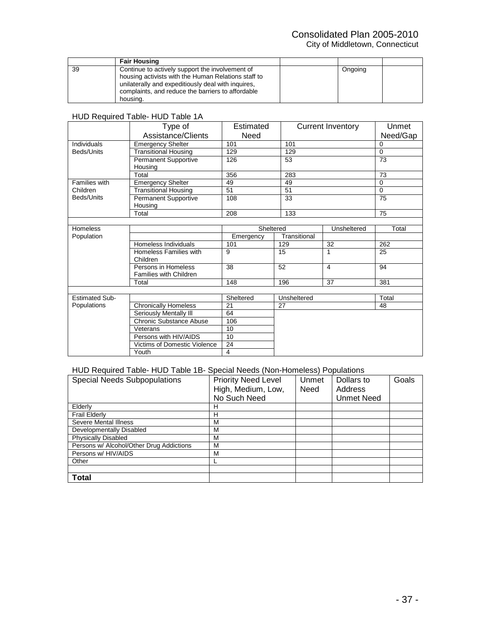# Consolidated Plan 2005-2010

City of Middletown, Connecticut

|    | <b>Fair Housing</b>                                                                                                                                                                                                           |         |  |
|----|-------------------------------------------------------------------------------------------------------------------------------------------------------------------------------------------------------------------------------|---------|--|
| 39 | Continue to actively support the involvement of<br>housing activists with the Human Relations staff to<br>unilaterally and expeditiously deal with inquires,<br>complaints, and reduce the barriers to affordable<br>housing. | Ongoing |  |

### HUD Required Table- HUD Table 1A

|                       | Type of                                       | Estimated |              | <b>Current Inventory</b> | Unmet    |
|-----------------------|-----------------------------------------------|-----------|--------------|--------------------------|----------|
|                       | Assistance/Clients                            | Need      |              |                          | Need/Gap |
| Individuals           | <b>Emergency Shelter</b>                      | 101       | 101          |                          | 0        |
| Beds/Units            | <b>Transitional Housing</b>                   | 129       | 129          |                          | $\Omega$ |
|                       | Permanent Supportive<br>Housing               | 126       | 53           |                          | 73       |
|                       | Total                                         | 356       | 283          |                          | 73       |
| Families with         | <b>Emergency Shelter</b>                      | 49        | 49           |                          | $\Omega$ |
| Children              | <b>Transitional Housing</b>                   | 51        | 51           |                          | $\Omega$ |
| Beds/Units            | Permanent Supportive<br>Housing               | 108       | 33           |                          | 75       |
|                       | Total                                         | 208       | 133          |                          | 75       |
|                       |                                               |           |              |                          |          |
| <b>Homeless</b>       |                                               | Sheltered |              | Unsheltered              | Total    |
| Population            |                                               | Emergency | Transitional |                          |          |
|                       | Homeless Individuals                          | 101       | 129          | 32                       | 262      |
|                       | Homeless Families with<br>Children            | 9         | 15           | 1                        | 25       |
|                       | Persons in Homeless<br>Families with Children | 38        | 52           | 4                        | 94       |
|                       | Total                                         | 148       | 196          | 37                       | 381      |
|                       |                                               |           |              |                          |          |
| <b>Estimated Sub-</b> |                                               | Sheltered | Unsheltered  |                          | Total    |
| Populations           | <b>Chronically Homeless</b>                   | 21        | 27           |                          | 48       |
|                       | Seriously Mentally III                        | 64        |              |                          |          |
|                       | Chronic Substance Abuse                       | 106       |              |                          |          |
|                       | Veterans                                      | 10        |              |                          |          |
|                       | Persons with HIV/AIDS                         | 10        |              |                          |          |
|                       | <b>Victims of Domestic Violence</b>           | 24        |              |                          |          |
|                       | Youth                                         | 4         |              |                          |          |

## HUD Required Table- HUD Table 1B- Special Needs (Non-Homeless) Populations

| <b>Special Needs Subpopulations</b>      | <b>Priority Need Level</b> | Unmet | Dollars to | Goals |
|------------------------------------------|----------------------------|-------|------------|-------|
|                                          | High, Medium, Low,         | Need  | Address    |       |
|                                          | No Such Need               |       | Unmet Need |       |
| Elderly                                  | н                          |       |            |       |
| <b>Frail Elderly</b>                     | н                          |       |            |       |
| Severe Mental Illness                    | М                          |       |            |       |
| Developmentally Disabled                 | м                          |       |            |       |
| <b>Physically Disabled</b>               | М                          |       |            |       |
| Persons w/ Alcohol/Other Drug Addictions | M                          |       |            |       |
| Persons w/ HIV/AIDS                      | М                          |       |            |       |
| Other                                    |                            |       |            |       |
|                                          |                            |       |            |       |
| <b>Total</b>                             |                            |       |            |       |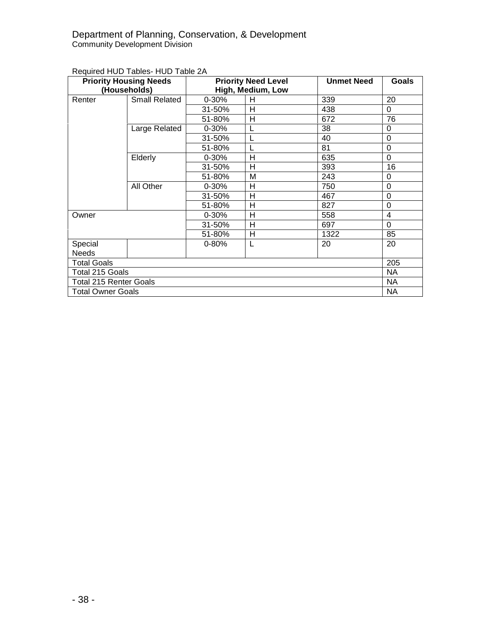## Department of Planning, Conservation, & Development Community Development Division

## Required HUD Tables- HUD Table 2A

| <b>Priority Housing Needs</b> |                      | <b>Priority Need Level</b> |    | <b>Unmet Need</b> | Goals    |
|-------------------------------|----------------------|----------------------------|----|-------------------|----------|
| (Households)                  |                      | High, Medium, Low          |    |                   |          |
| Renter                        | <b>Small Related</b> | 0-30%                      | H  | 339               | 20       |
|                               |                      | 31-50%                     | н  | 438               | 0        |
|                               |                      | 51-80%                     | Н  | 672               | 76       |
|                               | Large Related        | 0-30%                      | L  | 38                | 0        |
|                               |                      | 31-50%                     | L  | 40                | 0        |
|                               |                      | 51-80%                     |    | 81                | 0        |
|                               | Elderly              | $0 - 30%$                  | H  | 635               | $\Omega$ |
|                               |                      | 31-50%                     | H  | 393               | 16       |
|                               |                      | 51-80%                     | M  | 243               | 0        |
|                               | All Other            | $0 - 30%$                  | н  | 750               | 0        |
|                               |                      | 31-50%                     | н  | 467               | 0        |
|                               |                      | 51-80%                     | H  | 827               | $\Omega$ |
| Owner                         |                      | $0 - 30%$                  | Н  | 558               | 4        |
|                               |                      | 31-50%                     | Н  | 697               | 0        |
|                               |                      | 51-80%                     | н  | 1322              | 85       |
| Special                       |                      | $0 - 80%$                  | L  | 20                | 20       |
| <b>Needs</b>                  |                      |                            |    |                   |          |
| <b>Total Goals</b>            |                      |                            |    | 205               |          |
| Total 215 Goals               |                      |                            | NA |                   |          |
| <b>Total 215 Renter Goals</b> |                      |                            |    | NA.               |          |
| <b>Total Owner Goals</b>      |                      |                            |    |                   | NA.      |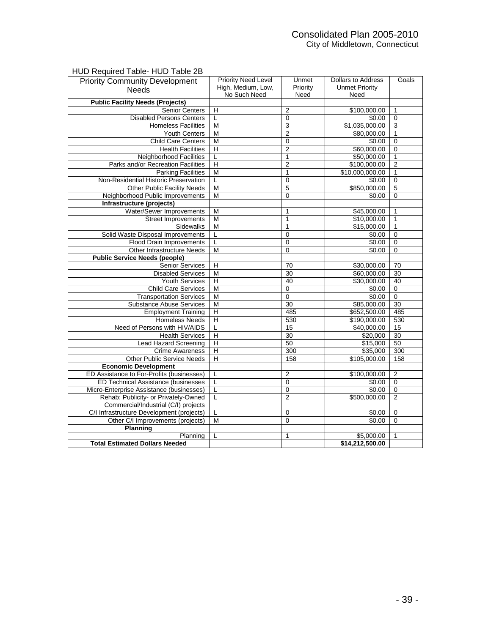## Consolidated Plan 2005-2010 City of Middletown, Connecticut

## HUD Required Table- HUD Table 2B

| <b>Priority Community Development</b>      | <b>Priority Need Level</b> | Unmet           | <b>Dollars to Address</b> | Goals          |
|--------------------------------------------|----------------------------|-----------------|---------------------------|----------------|
| <b>Needs</b>                               | High, Medium, Low,         | Priority        | <b>Unmet Priority</b>     |                |
|                                            | No Such Need               | Need            | Need                      |                |
| <b>Public Facility Needs (Projects)</b>    |                            |                 |                           |                |
| <b>Senior Centers</b>                      | H                          | $\overline{2}$  | \$100,000.00              | $\mathbf{1}$   |
| <b>Disabled Persons Centers</b>            | L                          | $\mathbf 0$     | \$0.00                    | $\overline{0}$ |
| <b>Homeless Facilities</b>                 | M                          | 3               | \$1,035,000.00            | 3              |
| <b>Youth Centers</b>                       | M                          | $\overline{2}$  | \$80,000.00               | 1              |
| <b>Child Care Centers</b>                  | M                          | $\mathbf 0$     | \$0.00                    | $\overline{0}$ |
| <b>Health Facilities</b>                   | $\overline{\mathsf{H}}$    | $\overline{2}$  | \$60,000.00               | $\overline{0}$ |
| <b>Neighborhood Facilities</b>             | L                          | $\overline{1}$  | \$50,000.00               | $\overline{1}$ |
| Parks and/or Recreation Facilities         | $\overline{\mathsf{H}}$    | $\overline{2}$  | \$100,000.00              | $\overline{2}$ |
| <b>Parking Facilities</b>                  | M                          | $\overline{1}$  | \$10,000,000.00           | $\overline{1}$ |
| Non-Residential Historic Preservation      | L                          | $\mathbf 0$     | \$0.00                    | $\overline{0}$ |
| Other Public Facility Needs                | $\overline{M}$             | 5               | \$850,000.00              | $\overline{5}$ |
| Neighborhood Public Improvements           | M                          | $\mathbf 0$     | \$0.00                    | $\mathbf 0$    |
| Infrastructure (projects)                  |                            |                 |                           |                |
| Water/Sewer Improvements                   | M                          | 1               | \$45,000.00               | 1              |
| <b>Street Improvements</b>                 | M                          | $\overline{1}$  | \$10,000.00               | $\overline{1}$ |
| Sidewalks                                  | M                          | $\overline{1}$  | \$15,000.00               | $\overline{1}$ |
| Solid Waste Disposal Improvements          | Г                          | $\overline{0}$  | \$0.00                    | $\overline{0}$ |
| <b>Flood Drain Improvements</b>            | L                          | $\overline{0}$  | \$0.00                    | $\overline{0}$ |
| Other Infrastructure Needs                 | M                          | 0               | \$0.00                    | $\mathbf 0$    |
| <b>Public Service Needs (people)</b>       |                            |                 |                           |                |
| Senior Services                            | Н                          | 70              | \$30,000.00               | 70             |
| <b>Disabled Services</b>                   | M                          | $\overline{30}$ | \$60,000.00               | 30             |
| <b>Youth Services</b>                      | $\overline{H}$             | 40              | \$30,000.00               | 40             |
| <b>Child Care Services</b>                 | M                          | 0               | \$0.00                    | $\overline{0}$ |
| <b>Transportation Services</b>             | M                          | $\overline{0}$  | \$0.00                    | $\overline{0}$ |
| <b>Substance Abuse Services</b>            | $\overline{\mathsf{M}}$    | 30              | \$85,000.00               | 30             |
| <b>Employment Training</b>                 | $\overline{\mathsf{H}}$    | 485             | \$652,500.00              | 485            |
| Homeless Needs                             | Н                          | 530             | \$190,000.00              | 530            |
| Need of Persons with HIV/AIDS              | L                          | 15              | \$40,000.00               | 15             |
| <b>Health Services</b>                     | Н                          | 30              | \$20,000                  | 30             |
| Lead Hazard Screening                      | $\overline{\mathsf{H}}$    | 50              | \$15,000                  | 50             |
| <b>Crime Awareness</b>                     | H                          | 300             | \$35,000                  | 300            |
| Other Public Service Needs                 | $\overline{H}$             | 158             | \$105,000.00              | 158            |
| <b>Economic Development</b>                |                            |                 |                           |                |
| ED Assistance to For-Profits (businesses)  | L                          | $\overline{2}$  | \$100,000.00              | $\overline{2}$ |
| <b>ED Technical Assistance (businesses</b> | $\overline{L}$             | $\overline{0}$  | \$0.00                    | $\overline{0}$ |
| Micro-Enterprise Assistance (businesses)   | L                          | $\overline{0}$  | \$0.00                    | $\overline{0}$ |
| Rehab; Publicity- or Privately-Owned       | L                          | $\overline{2}$  | \$500,000.00              | $\overline{2}$ |
| Commercial/Industrial (C/I) projects       |                            |                 |                           |                |
| C/I Infrastructure Development (projects)  | L                          | 0               | \$0.00                    | $\mathbf 0$    |
| Other C/I Improvements (projects)          | M                          | $\mathbf 0$     | \$0.00                    | $\overline{0}$ |
| <b>Planning</b>                            |                            |                 |                           |                |
| Planning                                   | L                          | 1               | \$5,000.00                | 1              |
| <b>Total Estimated Dollars Needed</b>      |                            |                 | \$14,212,500.00           |                |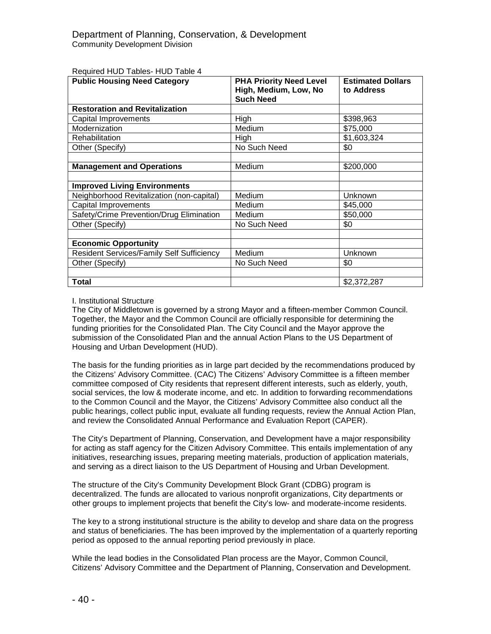| <b>Public Housing Need Category</b>              | <b>PHA Priority Need Level</b><br>High, Medium, Low, No<br><b>Such Need</b> | <b>Estimated Dollars</b><br>to Address |
|--------------------------------------------------|-----------------------------------------------------------------------------|----------------------------------------|
| <b>Restoration and Revitalization</b>            |                                                                             |                                        |
| Capital Improvements                             | High                                                                        | \$398,963                              |
| Modernization                                    | Medium                                                                      | \$75,000                               |
| Rehabilitation                                   | High                                                                        | \$1,603,324                            |
| Other (Specify)                                  | No Such Need                                                                | \$0                                    |
|                                                  |                                                                             |                                        |
| <b>Management and Operations</b>                 | Medium                                                                      | \$200,000                              |
|                                                  |                                                                             |                                        |
| <b>Improved Living Environments</b>              |                                                                             |                                        |
| Neighborhood Revitalization (non-capital)        | Medium                                                                      | Unknown                                |
| Capital Improvements                             | Medium                                                                      | \$45,000                               |
| Safety/Crime Prevention/Drug Elimination         | Medium                                                                      | \$50,000                               |
| Other (Specify)                                  | No Such Need                                                                | \$0                                    |
|                                                  |                                                                             |                                        |
| <b>Economic Opportunity</b>                      |                                                                             |                                        |
| <b>Resident Services/Family Self Sufficiency</b> | Medium                                                                      | Unknown                                |
| Other (Specify)                                  | No Such Need                                                                | \$0                                    |
|                                                  |                                                                             |                                        |
| <b>Total</b>                                     |                                                                             | \$2,372,287                            |

Required HUD Tables- HUD Table 4

#### I. Institutional Structure

The City of Middletown is governed by a strong Mayor and a fifteen-member Common Council. Together, the Mayor and the Common Council are officially responsible for determining the funding priorities for the Consolidated Plan. The City Council and the Mayor approve the submission of the Consolidated Plan and the annual Action Plans to the US Department of Housing and Urban Development (HUD).

The basis for the funding priorities as in large part decided by the recommendations produced by the Citizens' Advisory Committee. (CAC) The Citizens' Advisory Committee is a fifteen member committee composed of City residents that represent different interests, such as elderly, youth, social services, the low & moderate income, and etc. In addition to forwarding recommendations to the Common Council and the Mayor, the Citizens' Advisory Committee also conduct all the public hearings, collect public input, evaluate all funding requests, review the Annual Action Plan, and review the Consolidated Annual Performance and Evaluation Report (CAPER).

The City's Department of Planning, Conservation, and Development have a major responsibility for acting as staff agency for the Citizen Advisory Committee. This entails implementation of any initiatives, researching issues, preparing meeting materials, production of application materials, and serving as a direct liaison to the US Department of Housing and Urban Development.

The structure of the City's Community Development Block Grant (CDBG) program is decentralized. The funds are allocated to various nonprofit organizations, City departments or other groups to implement projects that benefit the City's low- and moderate-income residents.

The key to a strong institutional structure is the ability to develop and share data on the progress and status of beneficiaries. The has been improved by the implementation of a quarterly reporting period as opposed to the annual reporting period previously in place.

While the lead bodies in the Consolidated Plan process are the Mayor, Common Council, Citizens' Advisory Committee and the Department of Planning, Conservation and Development.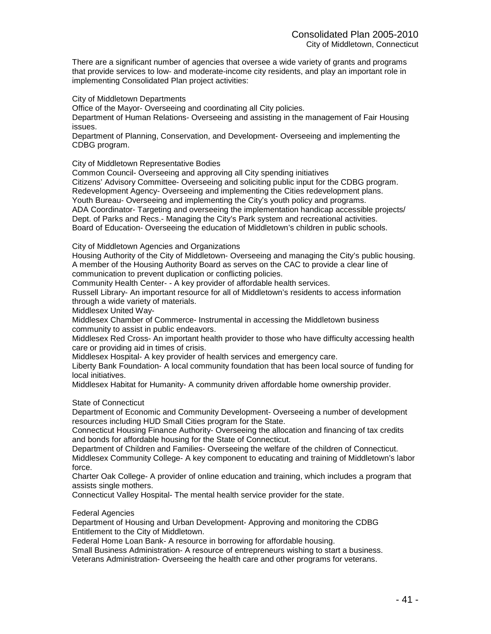There are a significant number of agencies that oversee a wide variety of grants and programs that provide services to low- and moderate-income city residents, and play an important role in implementing Consolidated Plan project activities:

City of Middletown Departments

Office of the Mayor- Overseeing and coordinating all City policies.

Department of Human Relations- Overseeing and assisting in the management of Fair Housing issues.

Department of Planning, Conservation, and Development- Overseeing and implementing the CDBG program.

City of Middletown Representative Bodies

Common Council- Overseeing and approving all City spending initiatives

Citizens' Advisory Committee- Overseeing and soliciting public input for the CDBG program.

Redevelopment Agency- Overseeing and implementing the Cities redevelopment plans. Youth Bureau- Overseeing and implementing the City's youth policy and programs.

ADA Coordinator- Targeting and overseeing the implementation handicap accessible projects/ Dept. of Parks and Recs.- Managing the City's Park system and recreational activities. Board of Education- Overseeing the education of Middletown's children in public schools.

City of Middletown Agencies and Organizations

Housing Authority of the City of Middletown- Overseeing and managing the City's public housing. A member of the Housing Authority Board as serves on the CAC to provide a clear line of communication to prevent duplication or conflicting policies.

Community Health Center- - A key provider of affordable health services.

Russell Library- An important resource for all of Middletown's residents to access information through a wide variety of materials.

Middlesex United Way-

Middlesex Chamber of Commerce- Instrumental in accessing the Middletown business community to assist in public endeavors.

Middlesex Red Cross- An important health provider to those who have difficulty accessing health care or providing aid in times of crisis.

Middlesex Hospital- A key provider of health services and emergency care.

Liberty Bank Foundation- A local community foundation that has been local source of funding for local initiatives.

Middlesex Habitat for Humanity- A community driven affordable home ownership provider.

State of Connecticut

Department of Economic and Community Development- Overseeing a number of development resources including HUD Small Cities program for the State.

Connecticut Housing Finance Authority- Overseeing the allocation and financing of tax credits and bonds for affordable housing for the State of Connecticut.

Department of Children and Families- Overseeing the welfare of the children of Connecticut. Middlesex Community College- A key component to educating and training of Middletown's labor force.

Charter Oak College- A provider of online education and training, which includes a program that assists single mothers.

Connecticut Valley Hospital- The mental health service provider for the state.

Federal Agencies

Department of Housing and Urban Development- Approving and monitoring the CDBG Entitlement to the City of Middletown.

Federal Home Loan Bank- A resource in borrowing for affordable housing.

Small Business Administration- A resource of entrepreneurs wishing to start a business.

Veterans Administration- Overseeing the health care and other programs for veterans.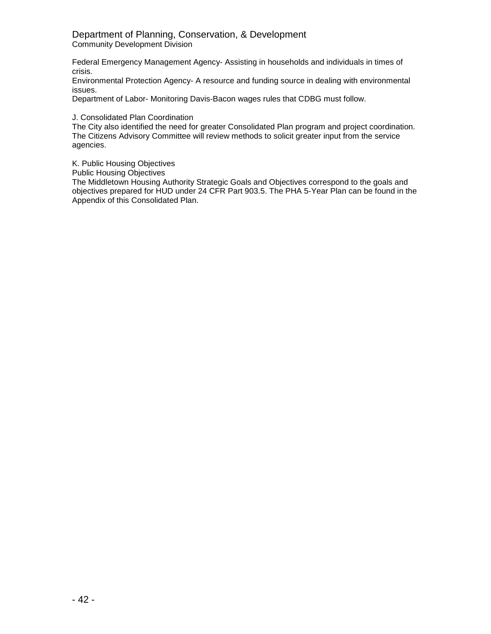## Department of Planning, Conservation, & Development Community Development Division

Federal Emergency Management Agency- Assisting in households and individuals in times of crisis.

Environmental Protection Agency- A resource and funding source in dealing with environmental issues.

Department of Labor- Monitoring Davis-Bacon wages rules that CDBG must follow.

J. Consolidated Plan Coordination

The City also identified the need for greater Consolidated Plan program and project coordination. The Citizens Advisory Committee will review methods to solicit greater input from the service agencies.

K. Public Housing Objectives

Public Housing Objectives

The Middletown Housing Authority Strategic Goals and Objectives correspond to the goals and objectives prepared for HUD under 24 CFR Part 903.5. The PHA 5-Year Plan can be found in the Appendix of this Consolidated Plan.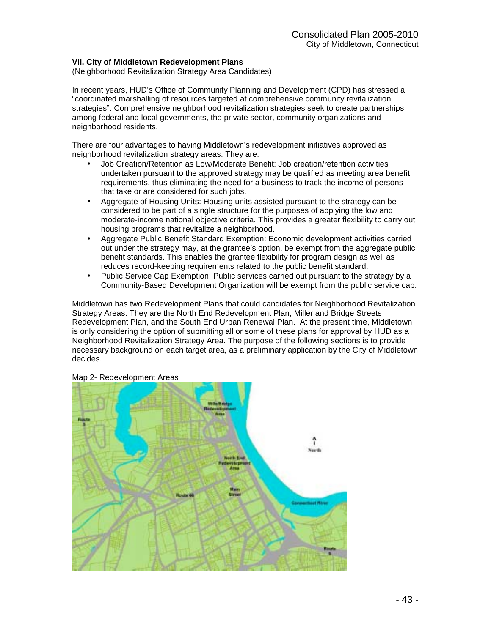#### **VII. City of Middletown Redevelopment Plans**

(Neighborhood Revitalization Strategy Area Candidates)

In recent years, HUD's Office of Community Planning and Development (CPD) has stressed a "coordinated marshalling of resources targeted at comprehensive community revitalization strategies". Comprehensive neighborhood revitalization strategies seek to create partnerships among federal and local governments, the private sector, community organizations and neighborhood residents.

There are four advantages to having Middletown's redevelopment initiatives approved as neighborhood revitalization strategy areas. They are:

- Job Creation/Retention as Low/Moderate Benefit: Job creation/retention activities undertaken pursuant to the approved strategy may be qualified as meeting area benefit requirements, thus eliminating the need for a business to track the income of persons that take or are considered for such jobs.
- Aggregate of Housing Units: Housing units assisted pursuant to the strategy can be considered to be part of a single structure for the purposes of applying the low and moderate-income national objective criteria. This provides a greater flexibility to carry out housing programs that revitalize a neighborhood.
- Aggregate Public Benefit Standard Exemption: Economic development activities carried out under the strategy may, at the grantee's option, be exempt from the aggregate public benefit standards. This enables the grantee flexibility for program design as well as reduces record-keeping requirements related to the public benefit standard.
- Public Service Cap Exemption: Public services carried out pursuant to the strategy by a Community-Based Development Organization will be exempt from the public service cap.

Middletown has two Redevelopment Plans that could candidates for Neighborhood Revitalization Strategy Areas. They are the North End Redevelopment Plan, Miller and Bridge Streets Redevelopment Plan, and the South End Urban Renewal Plan. At the present time, Middletown is only considering the option of submitting all or some of these plans for approval by HUD as a Neighborhood Revitalization Strategy Area. The purpose of the following sections is to provide necessary background on each target area, as a preliminary application by the City of Middletown decides.



## Map 2- Redevelopment Areas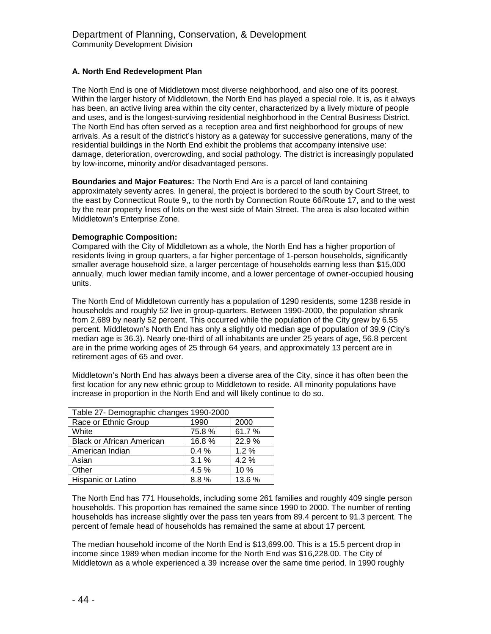### **A. North End Redevelopment Plan**

The North End is one of Middletown most diverse neighborhood, and also one of its poorest. Within the larger history of Middletown, the North End has played a special role. It is, as it always has been, an active living area within the city center, characterized by a lively mixture of people and uses, and is the longest-surviving residential neighborhood in the Central Business District. The North End has often served as a reception area and first neighborhood for groups of new arrivals. As a result of the district's history as a gateway for successive generations, many of the residential buildings in the North End exhibit the problems that accompany intensive use: damage, deterioration, overcrowding, and social pathology. The district is increasingly populated by low-income, minority and/or disadvantaged persons.

**Boundaries and Major Features:** The North End Are is a parcel of land containing approximately seventy acres. In general, the project is bordered to the south by Court Street, to the east by Connecticut Route 9,, to the north by Connection Route 66/Route 17, and to the west by the rear property lines of lots on the west side of Main Street. The area is also located within Middletown's Enterprise Zone.

#### **Demographic Composition:**

Compared with the City of Middletown as a whole, the North End has a higher proportion of residents living in group quarters, a far higher percentage of 1-person households, significantly smaller average household size, a larger percentage of households earning less than \$15,000 annually, much lower median family income, and a lower percentage of owner-occupied housing units.

The North End of Middletown currently has a population of 1290 residents, some 1238 reside in households and roughly 52 live in group-quarters. Between 1990-2000, the population shrank from 2,689 by nearly 52 percent. This occurred while the population of the City grew by 6.55 percent. Middletown's North End has only a slightly old median age of population of 39.9 (City's median age is 36.3). Nearly one-third of all inhabitants are under 25 years of age, 56.8 percent are in the prime working ages of 25 through 64 years, and approximately 13 percent are in retirement ages of 65 and over.

Middletown's North End has always been a diverse area of the City, since it has often been the first location for any new ethnic group to Middletown to reside. All minority populations have increase in proportion in the North End and will likely continue to do so.

| Table 27- Demographic changes 1990-2000 |       |        |  |
|-----------------------------------------|-------|--------|--|
| Race or Ethnic Group                    | 1990  | 2000   |  |
| White                                   | 75.8% | 61.7%  |  |
| <b>Black or African American</b>        | 16.8% | 22.9%  |  |
| American Indian                         | 0.4%  | 1.2%   |  |
| Asian                                   | 3.1%  | 4.2%   |  |
| Other                                   | 4.5%  | 10 %   |  |
| Hispanic or Latino                      | 8.8%  | 13.6 % |  |

The North End has 771 Households, including some 261 families and roughly 409 single person households. This proportion has remained the same since 1990 to 2000. The number of renting households has increase slightly over the pass ten years from 89.4 percent to 91.3 percent. The percent of female head of households has remained the same at about 17 percent.

The median household income of the North End is \$13,699.00. This is a 15.5 percent drop in income since 1989 when median income for the North End was \$16,228.00. The City of Middletown as a whole experienced a 39 increase over the same time period. In 1990 roughly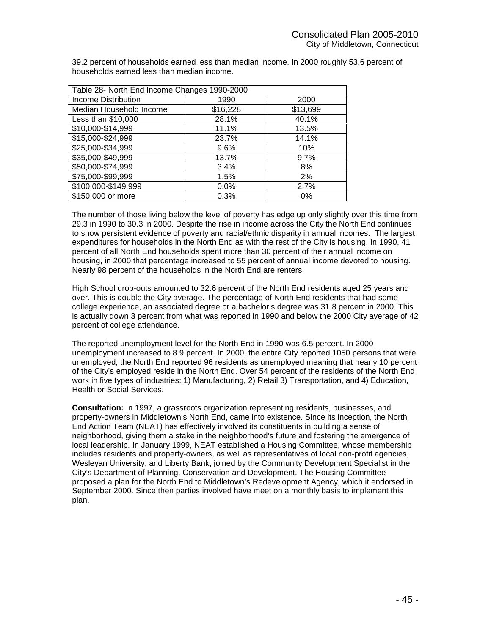| Table 28- North End Income Changes 1990-2000 |          |          |  |
|----------------------------------------------|----------|----------|--|
| <b>Income Distribution</b>                   | 1990     | 2000     |  |
| Median Household Income                      | \$16,228 | \$13,699 |  |
| Less than \$10,000                           | 28.1%    | 40.1%    |  |
| \$10,000-\$14,999                            | 11.1%    | 13.5%    |  |
| \$15,000-\$24,999                            | 23.7%    | 14.1%    |  |
| \$25,000-\$34,999                            | 9.6%     | 10%      |  |
| \$35,000-\$49,999                            | 13.7%    | 9.7%     |  |
| \$50,000-\$74,999                            | 3.4%     | 8%       |  |
| \$75,000-\$99,999                            | 1.5%     | 2%       |  |
| \$100,000-\$149,999                          | 0.0%     | 2.7%     |  |
| \$150,000 or more                            | 0.3%     | 0%       |  |

39.2 percent of households earned less than median income. In 2000 roughly 53.6 percent of households earned less than median income.

The number of those living below the level of poverty has edge up only slightly over this time from 29.3 in 1990 to 30.3 in 2000. Despite the rise in income across the City the North End continues to show persistent evidence of poverty and racial/ethnic disparity in annual incomes. The largest expenditures for households in the North End as with the rest of the City is housing. In 1990, 41 percent of all North End households spent more than 30 percent of their annual income on housing, in 2000 that percentage increased to 55 percent of annual income devoted to housing. Nearly 98 percent of the households in the North End are renters.

High School drop-outs amounted to 32.6 percent of the North End residents aged 25 years and over. This is double the City average. The percentage of North End residents that had some college experience, an associated degree or a bachelor's degree was 31.8 percent in 2000. This is actually down 3 percent from what was reported in 1990 and below the 2000 City average of 42 percent of college attendance.

The reported unemployment level for the North End in 1990 was 6.5 percent. In 2000 unemployment increased to 8.9 percent. In 2000, the entire City reported 1050 persons that were unemployed, the North End reported 96 residents as unemployed meaning that nearly 10 percent of the City's employed reside in the North End. Over 54 percent of the residents of the North End work in five types of industries: 1) Manufacturing, 2) Retail 3) Transportation, and 4) Education, Health or Social Services.

**Consultation:** In 1997, a grassroots organization representing residents, businesses, and property-owners in Middletown's North End, came into existence. Since its inception, the North End Action Team (NEAT) has effectively involved its constituents in building a sense of neighborhood, giving them a stake in the neighborhood's future and fostering the emergence of local leadership. In January 1999, NEAT established a Housing Committee, whose membership includes residents and property-owners, as well as representatives of local non-profit agencies, Wesleyan University, and Liberty Bank, joined by the Community Development Specialist in the City's Department of Planning, Conservation and Development. The Housing Committee proposed a plan for the North End to Middletown's Redevelopment Agency, which it endorsed in September 2000. Since then parties involved have meet on a monthly basis to implement this plan.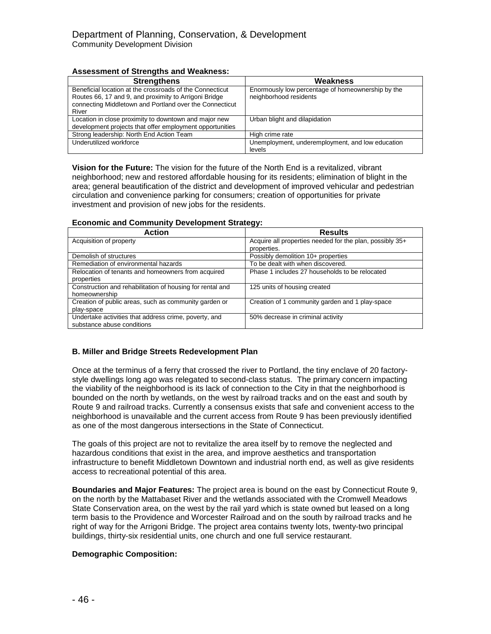## **Assessment of Strengths and Weakness:**

| <b>Strengthens</b>                                       | Weakness                                          |
|----------------------------------------------------------|---------------------------------------------------|
| Beneficial location at the crossroads of the Connecticut | Enormously low percentage of homeownership by the |
| Routes 66, 17 and 9, and proximity to Arrigoni Bridge    | neighborhood residents                            |
| connecting Middletown and Portland over the Connecticut  |                                                   |
| River                                                    |                                                   |
| Location in close proximity to downtown and major new    | Urban blight and dilapidation                     |
| development projects that offer employment opportunities |                                                   |
| Strong leadership: North End Action Team                 | High crime rate                                   |
| Underutilized workforce                                  | Unemployment, underemployment, and low education  |
|                                                          | levels                                            |

**Vision for the Future:** The vision for the future of the North End is a revitalized, vibrant neighborhood; new and restored affordable housing for its residents; elimination of blight in the area; general beautification of the district and development of improved vehicular and pedestrian circulation and convenience parking for consumers; creation of opportunities for private investment and provision of new jobs for the residents.

## **Economic and Community Development Strategy:**

| <b>Action</b>                                             | <b>Results</b>                                           |
|-----------------------------------------------------------|----------------------------------------------------------|
| Acquisition of property                                   | Acquire all properties needed for the plan, possibly 35+ |
|                                                           | properties.                                              |
| Demolish of structures                                    | Possibly demolition 10+ properties                       |
| Remediation of environmental hazards                      | To be dealt with when discovered.                        |
| Relocation of tenants and homeowners from acquired        | Phase 1 includes 27 households to be relocated           |
| properties                                                |                                                          |
| Construction and rehabilitation of housing for rental and | 125 units of housing created                             |
| homeownership                                             |                                                          |
| Creation of public areas, such as community garden or     | Creation of 1 community garden and 1 play-space          |
| play-space                                                |                                                          |
| Undertake activities that address crime, poverty, and     | 50% decrease in criminal activity                        |
| substance abuse conditions                                |                                                          |

## **B. Miller and Bridge Streets Redevelopment Plan**

Once at the terminus of a ferry that crossed the river to Portland, the tiny enclave of 20 factorystyle dwellings long ago was relegated to second-class status. The primary concern impacting the viability of the neighborhood is its lack of connection to the City in that the neighborhood is bounded on the north by wetlands, on the west by railroad tracks and on the east and south by Route 9 and railroad tracks. Currently a consensus exists that safe and convenient access to the neighborhood is unavailable and the current access from Route 9 has been previously identified as one of the most dangerous intersections in the State of Connecticut.

The goals of this project are not to revitalize the area itself by to remove the neglected and hazardous conditions that exist in the area, and improve aesthetics and transportation infrastructure to benefit Middletown Downtown and industrial north end, as well as give residents access to recreational potential of this area.

**Boundaries and Major Features:** The project area is bound on the east by Connecticut Route 9, on the north by the Mattabaset River and the wetlands associated with the Cromwell Meadows State Conservation area, on the west by the rail yard which is state owned but leased on a long term basis to the Providence and Worcester Railroad and on the south by railroad tracks and he right of way for the Arrigoni Bridge. The project area contains twenty lots, twenty-two principal buildings, thirty-six residential units, one church and one full service restaurant.

#### **Demographic Composition:**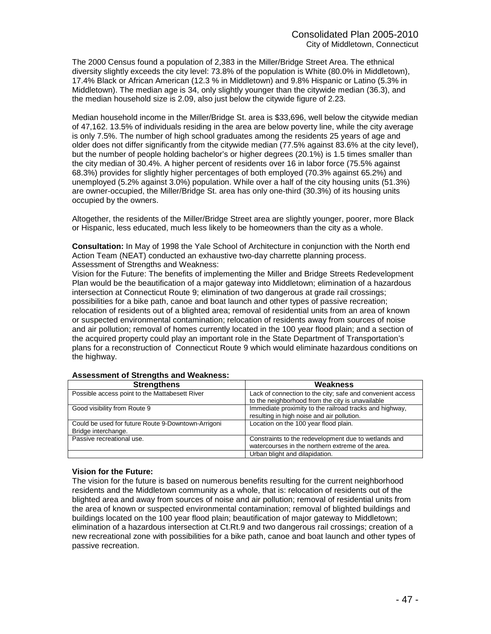The 2000 Census found a population of 2,383 in the Miller/Bridge Street Area. The ethnical diversity slightly exceeds the city level: 73.8% of the population is White (80.0% in Middletown), 17.4% Black or African American (12.3 % in Middletown) and 9.8% Hispanic or Latino (5.3% in Middletown). The median age is 34, only slightly younger than the citywide median (36.3), and the median household size is 2.09, also just below the citywide figure of 2.23.

Median household income in the Miller/Bridge St. area is \$33,696, well below the citywide median of 47,162. 13.5% of individuals residing in the area are below poverty line, while the city average is only 7.5%. The number of high school graduates among the residents 25 years of age and older does not differ significantly from the citywide median (77.5% against 83.6% at the city level), but the number of people holding bachelor's or higher degrees (20.1%) is 1.5 times smaller than the city median of 30.4%. A higher percent of residents over 16 in labor force (75.5% against 68.3%) provides for slightly higher percentages of both employed (70.3% against 65.2%) and unemployed (5.2% against 3.0%) population. While over a half of the city housing units (51.3%) are owner-occupied, the Miller/Bridge St. area has only one-third (30.3%) of its housing units occupied by the owners.

Altogether, the residents of the Miller/Bridge Street area are slightly younger, poorer, more Black or Hispanic, less educated, much less likely to be homeowners than the city as a whole.

**Consultation:** In May of 1998 the Yale School of Architecture in conjunction with the North end Action Team (NEAT) conducted an exhaustive two-day charrette planning process. Assessment of Strengths and Weakness:

Vision for the Future: The benefits of implementing the Miller and Bridge Streets Redevelopment Plan would be the beautification of a major gateway into Middletown; elimination of a hazardous intersection at Connecticut Route 9; elimination of two dangerous at grade rail crossings; possibilities for a bike path, canoe and boat launch and other types of passive recreation; relocation of residents out of a blighted area; removal of residential units from an area of known or suspected environmental contamination; relocation of residents away from sources of noise and air pollution; removal of homes currently located in the 100 year flood plain; and a section of the acquired property could play an important role in the State Department of Transportation's plans for a reconstruction of Connecticut Route 9 which would eliminate hazardous conditions on the highway.

| <b>Strengthens</b>                                 | Weakness                                                   |
|----------------------------------------------------|------------------------------------------------------------|
| Possible access point to the Mattabesett River     | Lack of connection to the city; safe and convenient access |
|                                                    | to the neighborhood from the city is unavailable           |
| Good visibility from Route 9                       | Immediate proximity to the railroad tracks and highway,    |
|                                                    | resulting in high noise and air pollution.                 |
| Could be used for future Route 9-Downtown-Arrigoni | Location on the 100 year flood plain.                      |
| Bridge interchange.                                |                                                            |
| Passive recreational use.                          | Constraints to the redevelopment due to wetlands and       |
|                                                    | watercourses in the northern extreme of the area.          |
|                                                    | Urban blight and dilapidation.                             |

#### **Assessment of Strengths and Weakness:**

#### **Vision for the Future:**

The vision for the future is based on numerous benefits resulting for the current neighborhood residents and the Middletown community as a whole, that is: relocation of residents out of the blighted area and away from sources of noise and air pollution; removal of residential units from the area of known or suspected environmental contamination; removal of blighted buildings and buildings located on the 100 year flood plain; beautification of major gateway to Middletown; elimination of a hazardous intersection at Ct.Rt.9 and two dangerous rail crossings; creation of a new recreational zone with possibilities for a bike path, canoe and boat launch and other types of passive recreation.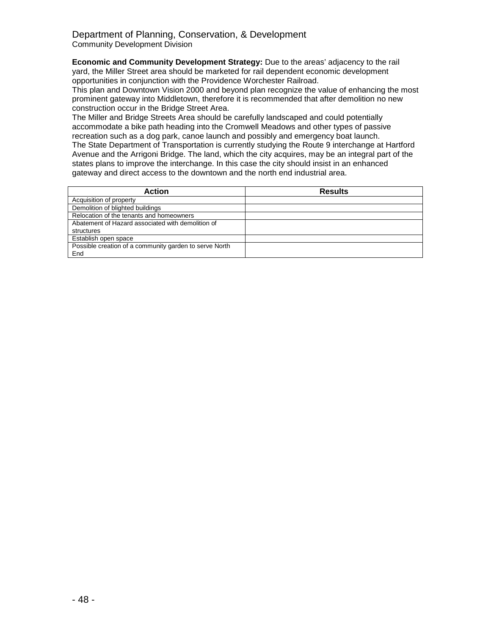### Department of Planning, Conservation, & Development Community Development Division

**Economic and Community Development Strategy:** Due to the areas' adjacency to the rail yard, the Miller Street area should be marketed for rail dependent economic development opportunities in conjunction with the Providence Worchester Railroad.

This plan and Downtown Vision 2000 and beyond plan recognize the value of enhancing the most prominent gateway into Middletown, therefore it is recommended that after demolition no new construction occur in the Bridge Street Area.

The Miller and Bridge Streets Area should be carefully landscaped and could potentially accommodate a bike path heading into the Cromwell Meadows and other types of passive recreation such as a dog park, canoe launch and possibly and emergency boat launch. The State Department of Transportation is currently studying the Route 9 interchange at Hartford Avenue and the Arrigoni Bridge. The land, which the city acquires, may be an integral part of the states plans to improve the interchange. In this case the city should insist in an enhanced gateway and direct access to the downtown and the north end industrial area.

| <b>Action</b>                                          | <b>Results</b> |
|--------------------------------------------------------|----------------|
| Acquisition of property                                |                |
| Demolition of blighted buildings                       |                |
| Relocation of the tenants and homeowners               |                |
| Abatement of Hazard associated with demolition of      |                |
| structures                                             |                |
| Establish open space                                   |                |
| Possible creation of a community garden to serve North |                |
| End                                                    |                |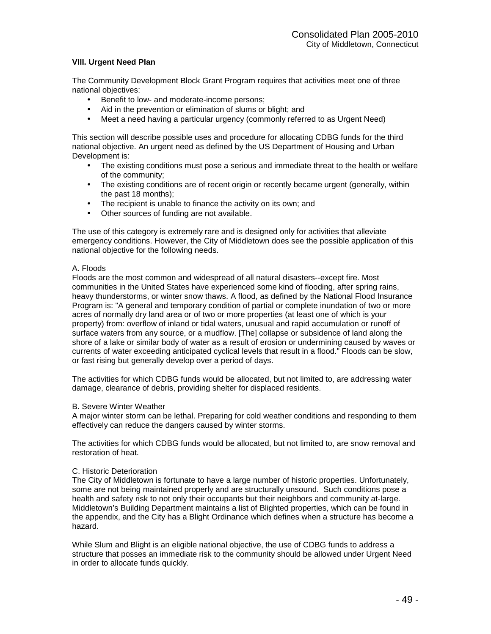### **VIII. Urgent Need Plan**

The Community Development Block Grant Program requires that activities meet one of three national objectives:

- Benefit to low- and moderate-income persons;
- Aid in the prevention or elimination of slums or blight; and
- Meet a need having a particular urgency (commonly referred to as Urgent Need)

This section will describe possible uses and procedure for allocating CDBG funds for the third national objective. An urgent need as defined by the US Department of Housing and Urban Development is:

- The existing conditions must pose a serious and immediate threat to the health or welfare of the community;
- The existing conditions are of recent origin or recently became urgent (generally, within the past 18 months);
- The recipient is unable to finance the activity on its own; and
- Other sources of funding are not available.

The use of this category is extremely rare and is designed only for activities that alleviate emergency conditions. However, the City of Middletown does see the possible application of this national objective for the following needs.

### A. Floods

Floods are the most common and widespread of all natural disasters--except fire. Most communities in the United States have experienced some kind of flooding, after spring rains, heavy thunderstorms, or winter snow thaws. A flood, as defined by the National Flood Insurance Program is: "A general and temporary condition of partial or complete inundation of two or more acres of normally dry land area or of two or more properties (at least one of which is your property) from: overflow of inland or tidal waters, unusual and rapid accumulation or runoff of surface waters from any source, or a mudflow. [The] collapse or subsidence of land along the shore of a lake or similar body of water as a result of erosion or undermining caused by waves or currents of water exceeding anticipated cyclical levels that result in a flood." Floods can be slow, or fast rising but generally develop over a period of days.

The activities for which CDBG funds would be allocated, but not limited to, are addressing water damage, clearance of debris, providing shelter for displaced residents.

#### B. Severe Winter Weather

A major winter storm can be lethal. Preparing for cold weather conditions and responding to them effectively can reduce the dangers caused by winter storms.

The activities for which CDBG funds would be allocated, but not limited to, are snow removal and restoration of heat.

#### C. Historic Deterioration

The City of Middletown is fortunate to have a large number of historic properties. Unfortunately, some are not being maintained properly and are structurally unsound. Such conditions pose a health and safety risk to not only their occupants but their neighbors and community at-large. Middletown's Building Department maintains a list of Blighted properties, which can be found in the appendix, and the City has a Blight Ordinance which defines when a structure has become a hazard.

While Slum and Blight is an eligible national objective, the use of CDBG funds to address a structure that posses an immediate risk to the community should be allowed under Urgent Need in order to allocate funds quickly.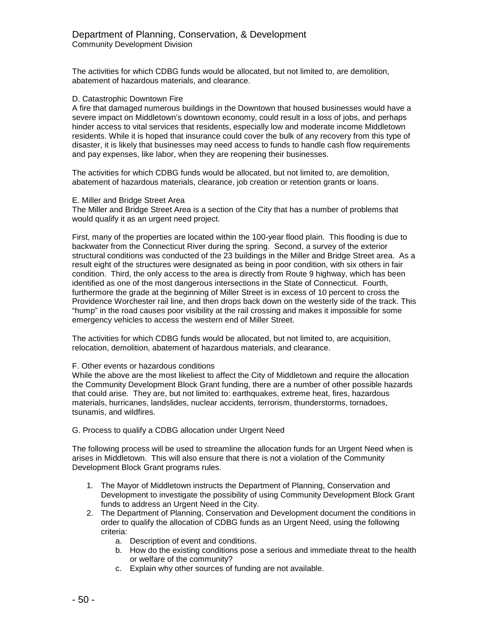The activities for which CDBG funds would be allocated, but not limited to, are demolition, abatement of hazardous materials, and clearance.

#### D. Catastrophic Downtown Fire

A fire that damaged numerous buildings in the Downtown that housed businesses would have a severe impact on Middletown's downtown economy, could result in a loss of jobs, and perhaps hinder access to vital services that residents, especially low and moderate income Middletown residents. While it is hoped that insurance could cover the bulk of any recovery from this type of disaster, it is likely that businesses may need access to funds to handle cash flow requirements and pay expenses, like labor, when they are reopening their businesses.

The activities for which CDBG funds would be allocated, but not limited to, are demolition, abatement of hazardous materials, clearance, job creation or retention grants or loans.

#### E. Miller and Bridge Street Area

The Miller and Bridge Street Area is a section of the City that has a number of problems that would qualify it as an urgent need project.

First, many of the properties are located within the 100-year flood plain. This flooding is due to backwater from the Connecticut River during the spring. Second, a survey of the exterior structural conditions was conducted of the 23 buildings in the Miller and Bridge Street area. As a result eight of the structures were designated as being in poor condition, with six others in fair condition. Third, the only access to the area is directly from Route 9 highway, which has been identified as one of the most dangerous intersections in the State of Connecticut. Fourth, furthermore the grade at the beginning of Miller Street is in excess of 10 percent to cross the Providence Worchester rail line, and then drops back down on the westerly side of the track. This "hump" in the road causes poor visibility at the rail crossing and makes it impossible for some emergency vehicles to access the western end of Miller Street.

The activities for which CDBG funds would be allocated, but not limited to, are acquisition, relocation, demolition, abatement of hazardous materials, and clearance.

#### F. Other events or hazardous conditions

While the above are the most likeliest to affect the City of Middletown and require the allocation the Community Development Block Grant funding, there are a number of other possible hazards that could arise. They are, but not limited to: earthquakes, extreme heat, fires, hazardous materials, hurricanes, landslides, nuclear accidents, terrorism, thunderstorms, tornadoes, tsunamis, and wildfires.

#### G. Process to qualify a CDBG allocation under Urgent Need

The following process will be used to streamline the allocation funds for an Urgent Need when is arises in Middletown. This will also ensure that there is not a violation of the Community Development Block Grant programs rules.

- 1. The Mayor of Middletown instructs the Department of Planning, Conservation and Development to investigate the possibility of using Community Development Block Grant funds to address an Urgent Need in the City.
- 2. The Department of Planning, Conservation and Development document the conditions in order to qualify the allocation of CDBG funds as an Urgent Need, using the following criteria:
	- a. Description of event and conditions.
	- b. How do the existing conditions pose a serious and immediate threat to the health or welfare of the community?
	- c. Explain why other sources of funding are not available.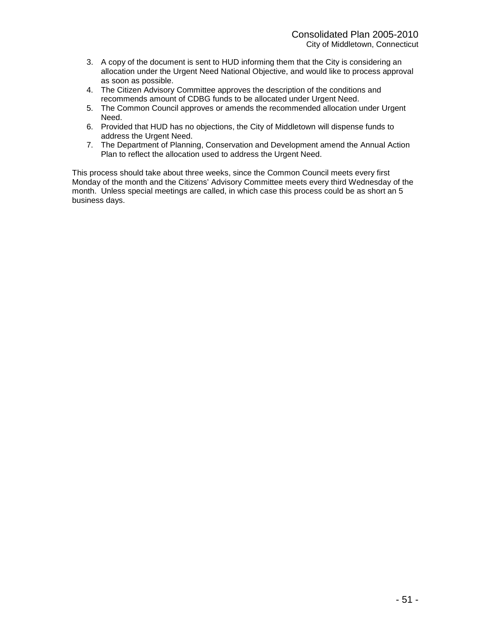- 3. A copy of the document is sent to HUD informing them that the City is considering an allocation under the Urgent Need National Objective, and would like to process approval as soon as possible.
- 4. The Citizen Advisory Committee approves the description of the conditions and recommends amount of CDBG funds to be allocated under Urgent Need.
- 5. The Common Council approves or amends the recommended allocation under Urgent Need.
- 6. Provided that HUD has no objections, the City of Middletown will dispense funds to address the Urgent Need.
- 7. The Department of Planning, Conservation and Development amend the Annual Action Plan to reflect the allocation used to address the Urgent Need.

This process should take about three weeks, since the Common Council meets every first Monday of the month and the Citizens' Advisory Committee meets every third Wednesday of the month. Unless special meetings are called, in which case this process could be as short an 5 business days.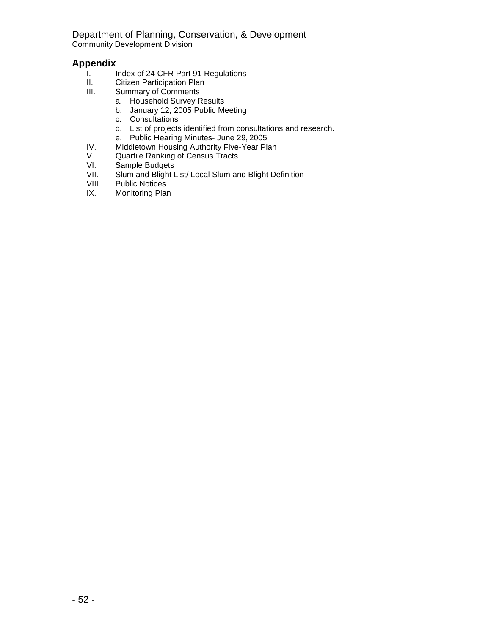Department of Planning, Conservation, & Development Community Development Division

## **Appendix**

- I. Index of 24 CFR Part 91 Regulations<br>II. Citizen Participation Plan
- II. Citizen Participation Plan<br>III. Summary of Comments
- Summary of Comments
	- a. Household Survey Results
	- b. January 12, 2005 Public Meeting
	- c. Consultations
	- d. List of projects identified from consultations and research.
	- e. Public Hearing Minutes- June 29, 2005
- IV. Middletown Housing Authority Five-Year Plan<br>V. Quartile Ranking of Census Tracts<br>VI. Sample Budgets
- Quartile Ranking of Census Tracts
- VI. Sample Budgets<br>VII. Slum and Blight L
- Slum and Blight List/ Local Slum and Blight Definition
- VIII. Public Notices
- IX. Monitoring Plan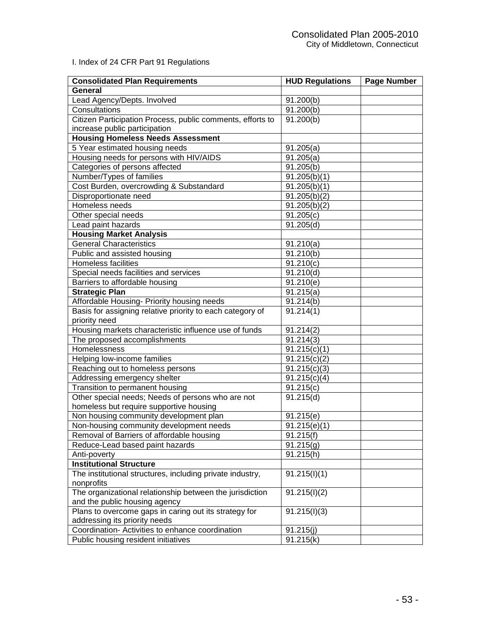I. Index of 24 CFR Part 91 Regulations

| <b>Consolidated Plan Requirements</b>                      | <b>HUD Regulations</b> | Page Number |
|------------------------------------------------------------|------------------------|-------------|
| General                                                    |                        |             |
| Lead Agency/Depts. Involved                                | 91.200(b)              |             |
| Consultations                                              | 91.200(b)              |             |
| Citizen Participation Process, public comments, efforts to | 91.200(b)              |             |
| increase public participation                              |                        |             |
| <b>Housing Homeless Needs Assessment</b>                   |                        |             |
| 5 Year estimated housing needs                             | 91.205(a)              |             |
| Housing needs for persons with HIV/AIDS                    | 91.205(a)              |             |
| Categories of persons affected                             | 91.205(b)              |             |
| Number/Types of families                                   | 91.205(b)(1)           |             |
| Cost Burden, overcrowding & Substandard                    | 91.205(b)(1)           |             |
| Disproportionate need                                      | 91.205(b)(2)           |             |
| Homeless needs                                             | 91.205(b)(2)           |             |
| Other special needs                                        | 91.205(c)              |             |
| Lead paint hazards                                         | 91.205(d)              |             |
| <b>Housing Market Analysis</b>                             |                        |             |
| <b>General Characteristics</b>                             | 91.210(a)              |             |
| Public and assisted housing                                | 91.210(b)              |             |
| Homeless facilities                                        | 91.210(c)              |             |
| Special needs facilities and services                      | 91.210(d)              |             |
| Barriers to affordable housing                             | 91.210(e)              |             |
| <b>Strategic Plan</b>                                      | 91.215(a)              |             |
| Affordable Housing- Priority housing needs                 | 91.214(b)              |             |
| Basis for assigning relative priority to each category of  | 91.214(1)              |             |
| priority need                                              |                        |             |
| Housing markets characteristic influence use of funds      | $\overline{9}1.214(2)$ |             |
| The proposed accomplishments                               | 91.214(3)              |             |
| Homelessness                                               | 91.215(c)(1)           |             |
| Helping low-income families                                | 91.215(c)(2)           |             |
| Reaching out to homeless persons                           | 91.215(c)(3)           |             |
| Addressing emergency shelter                               | 91.215(c)(4)           |             |
| Transition to permanent housing                            | 91.215(c)              |             |
| Other special needs; Needs of persons who are not          | 91.215(d)              |             |
| homeless but require supportive housing                    |                        |             |
| Non housing community development plan                     | 91.215(e)              |             |
| Non-housing community development needs                    | 91.215(e)(1)           |             |
| Removal of Barriers of affordable housing                  | 91.215(f)              |             |
| Reduce-Lead based paint hazards                            | 91.215(g)              |             |
| Anti-poverty                                               | 91.215(h)              |             |
| <b>Institutional Structure</b>                             |                        |             |
| The institutional structures, including private industry,  | 91.215(l)(1)           |             |
| nonprofits                                                 |                        |             |
| The organizational relationship between the jurisdiction   | 91.215(l)(2)           |             |
| and the public housing agency                              |                        |             |
| Plans to overcome gaps in caring out its strategy for      | 91.215(l)(3)           |             |
| addressing its priority needs                              |                        |             |
| Coordination- Activities to enhance coordination           | 91.215(j)              |             |
| Public housing resident initiatives                        | 91.215(k)              |             |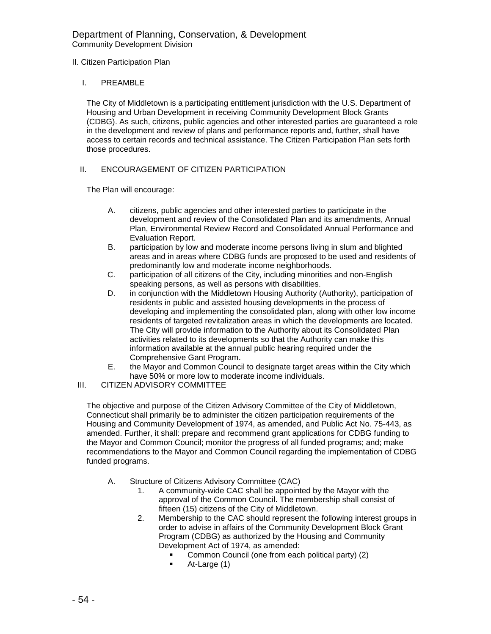### II. Citizen Participation Plan

#### I. PREAMBLE

The City of Middletown is a participating entitlement jurisdiction with the U.S. Department of Housing and Urban Development in receiving Community Development Block Grants (CDBG). As such, citizens, public agencies and other interested parties are guaranteed a role in the development and review of plans and performance reports and, further, shall have access to certain records and technical assistance. The Citizen Participation Plan sets forth those procedures.

## II. ENCOURAGEMENT OF CITIZEN PARTICIPATION

The Plan will encourage:

- A. citizens, public agencies and other interested parties to participate in the development and review of the Consolidated Plan and its amendments, Annual Plan, Environmental Review Record and Consolidated Annual Performance and Evaluation Report.
- B. participation by low and moderate income persons living in slum and blighted areas and in areas where CDBG funds are proposed to be used and residents of predominantly low and moderate income neighborhoods.
- C. participation of all citizens of the City, including minorities and non-English speaking persons, as well as persons with disabilities.
- D. in conjunction with the Middletown Housing Authority (Authority), participation of residents in public and assisted housing developments in the process of developing and implementing the consolidated plan, along with other low income residents of targeted revitalization areas in which the developments are located. The City will provide information to the Authority about its Consolidated Plan activities related to its developments so that the Authority can make this information available at the annual public hearing required under the Comprehensive Gant Program.
- E. the Mayor and Common Council to designate target areas within the City which have 50% or more low to moderate income individuals.
- III. CITIZEN ADVISORY COMMITTEE

The objective and purpose of the Citizen Advisory Committee of the City of Middletown, Connecticut shall primarily be to administer the citizen participation requirements of the Housing and Community Development of 1974, as amended, and Public Act No. 75-443, as amended. Further, it shall: prepare and recommend grant applications for CDBG funding to the Mayor and Common Council; monitor the progress of all funded programs; and; make recommendations to the Mayor and Common Council regarding the implementation of CDBG funded programs.

- A. Structure of Citizens Advisory Committee (CAC)
	- 1. A community-wide CAC shall be appointed by the Mayor with the approval of the Common Council. The membership shall consist of fifteen (15) citizens of the City of Middletown.
	- 2. Membership to the CAC should represent the following interest groups in order to advise in affairs of the Community Development Block Grant Program (CDBG) as authorized by the Housing and Community Development Act of 1974, as amended:
		- **Common Council (one from each political party) (2)**<br>At-Large (1)
		- At-Large (1)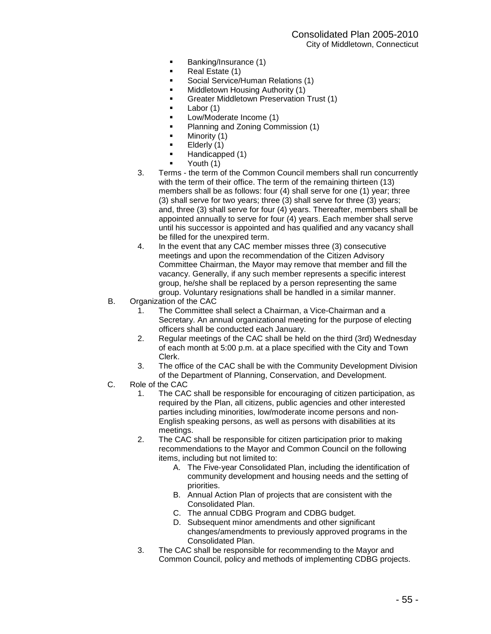- **Banking/Insurance (1)**
- **Real Estate (1)**
- **Social Service/Human Relations (1)**
- **E** Middletown Housing Authority (1)
- **EXEC** Greater Middletown Preservation Trust (1)
- Labor  $(1)$
- **EXECUTE:** Low/Moderate Income (1)
- **Planning and Zoning Commission (1)**
- **I** Minority (1)
- $\blacksquare$  Elderly (1)
- Handicapped (1)
- Youth (1)
- 3. Terms the term of the Common Council members shall run concurrently with the term of their office. The term of the remaining thirteen (13) members shall be as follows: four (4) shall serve for one (1) year; three (3) shall serve for two years; three (3) shall serve for three (3) years; and, three (3) shall serve for four (4) years. Thereafter, members shall be appointed annually to serve for four (4) years. Each member shall serve until his successor is appointed and has qualified and any vacancy shall be filled for the unexpired term.
- 4. In the event that any CAC member misses three (3) consecutive meetings and upon the recommendation of the Citizen Advisory Committee Chairman, the Mayor may remove that member and fill the vacancy. Generally, if any such member represents a specific interest group, he/she shall be replaced by a person representing the same group. Voluntary resignations shall be handled in a similar manner.
- B. Organization of the CAC
	- 1. The Committee shall select a Chairman, a Vice-Chairman and a Secretary. An annual organizational meeting for the purpose of electing officers shall be conducted each January.
	- 2. Regular meetings of the CAC shall be held on the third (3rd) Wednesday of each month at 5:00 p.m. at a place specified with the City and Town Clerk.
	- 3. The office of the CAC shall be with the Community Development Division of the Department of Planning, Conservation, and Development.
- C. Role of the CAC
	- 1. The CAC shall be responsible for encouraging of citizen participation, as required by the Plan, all citizens, public agencies and other interested parties including minorities, low/moderate income persons and non-English speaking persons, as well as persons with disabilities at its meetings.
	- 2. The CAC shall be responsible for citizen participation prior to making recommendations to the Mayor and Common Council on the following items, including but not limited to:
		- A. The Five-year Consolidated Plan, including the identification of community development and housing needs and the setting of priorities.
		- B. Annual Action Plan of projects that are consistent with the Consolidated Plan.
		- C. The annual CDBG Program and CDBG budget.
		- D. Subsequent minor amendments and other significant changes/amendments to previously approved programs in the Consolidated Plan.
	- 3. The CAC shall be responsible for recommending to the Mayor and Common Council, policy and methods of implementing CDBG projects.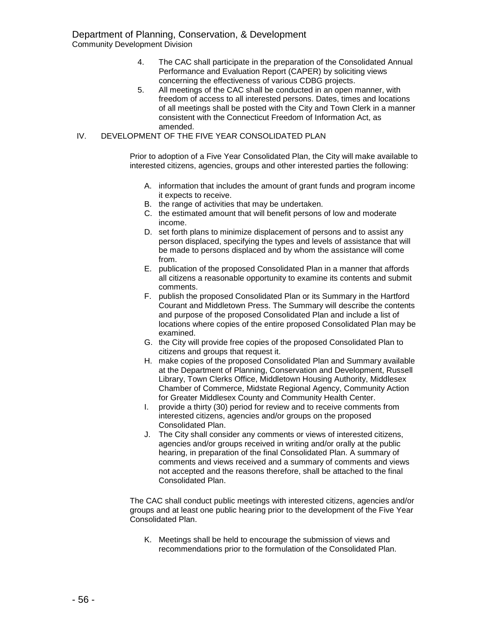Community Development Division

- 4. The CAC shall participate in the preparation of the Consolidated Annual Performance and Evaluation Report (CAPER) by soliciting views concerning the effectiveness of various CDBG projects.
- 5. All meetings of the CAC shall be conducted in an open manner, with freedom of access to all interested persons. Dates, times and locations of all meetings shall be posted with the City and Town Clerk in a manner consistent with the Connecticut Freedom of Information Act, as amended.
- IV. DEVELOPMENT OF THE FIVE YEAR CONSOLIDATED PLAN

Prior to adoption of a Five Year Consolidated Plan, the City will make available to interested citizens, agencies, groups and other interested parties the following:

- A. information that includes the amount of grant funds and program income it expects to receive.
- B. the range of activities that may be undertaken.
- C. the estimated amount that will benefit persons of low and moderate income.
- D. set forth plans to minimize displacement of persons and to assist any person displaced, specifying the types and levels of assistance that will be made to persons displaced and by whom the assistance will come from.
- E. publication of the proposed Consolidated Plan in a manner that affords all citizens a reasonable opportunity to examine its contents and submit comments.
- F. publish the proposed Consolidated Plan or its Summary in the Hartford Courant and Middletown Press. The Summary will describe the contents and purpose of the proposed Consolidated Plan and include a list of locations where copies of the entire proposed Consolidated Plan may be examined.
- G. the City will provide free copies of the proposed Consolidated Plan to citizens and groups that request it.
- H. make copies of the proposed Consolidated Plan and Summary available at the Department of Planning, Conservation and Development, Russell Library, Town Clerks Office, Middletown Housing Authority, Middlesex Chamber of Commerce, Midstate Regional Agency, Community Action for Greater Middlesex County and Community Health Center.
- I. provide a thirty (30) period for review and to receive comments from interested citizens, agencies and/or groups on the proposed Consolidated Plan.
- J. The City shall consider any comments or views of interested citizens, agencies and/or groups received in writing and/or orally at the public hearing, in preparation of the final Consolidated Plan. A summary of comments and views received and a summary of comments and views not accepted and the reasons therefore, shall be attached to the final Consolidated Plan.

The CAC shall conduct public meetings with interested citizens, agencies and/or groups and at least one public hearing prior to the development of the Five Year Consolidated Plan.

K. Meetings shall be held to encourage the submission of views and recommendations prior to the formulation of the Consolidated Plan.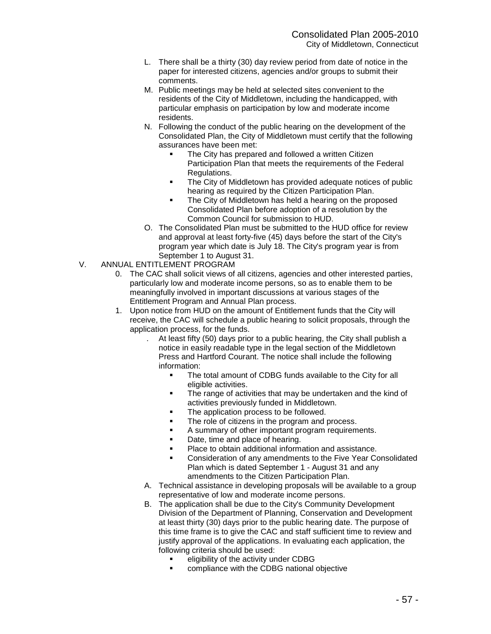- L. There shall be a thirty (30) day review period from date of notice in the paper for interested citizens, agencies and/or groups to submit their comments.
- M. Public meetings may be held at selected sites convenient to the residents of the City of Middletown, including the handicapped, with particular emphasis on participation by low and moderate income residents.
- N. Following the conduct of the public hearing on the development of the Consolidated Plan, the City of Middletown must certify that the following assurances have been met:
	- The City has prepared and followed a written Citizen Participation Plan that meets the requirements of the Federal Regulations.
	- The City of Middletown has provided adequate notices of public hearing as required by the Citizen Participation Plan.
	- The City of Middletown has held a hearing on the proposed Consolidated Plan before adoption of a resolution by the Common Council for submission to HUD.
- O. The Consolidated Plan must be submitted to the HUD office for review and approval at least forty-five (45) days before the start of the City's program year which date is July 18. The City's program year is from September 1 to August 31.
- V. ANNUAL ENTITLEMENT PROGRAM
	- 0. The CAC shall solicit views of all citizens, agencies and other interested parties, particularly low and moderate income persons, so as to enable them to be meaningfully involved in important discussions at various stages of the Entitlement Program and Annual Plan process.
	- 1. Upon notice from HUD on the amount of Entitlement funds that the City will receive, the CAC will schedule a public hearing to solicit proposals, through the application process, for the funds.
		- . At least fifty (50) days prior to a public hearing, the City shall publish a notice in easily readable type in the legal section of the Middletown Press and Hartford Courant. The notice shall include the following information:
			- ! The total amount of CDBG funds available to the City for all eligible activities.
			- The range of activities that may be undertaken and the kind of activities previously funded in Middletown.
			- **EXECT** The application process to be followed.
			- **The role of citizens in the program and process.**
			- ! A summary of other important program requirements.
			- Date, time and place of hearing.
			- ! Place to obtain additional information and assistance.
			- ! Consideration of any amendments to the Five Year Consolidated Plan which is dated September 1 - August 31 and any amendments to the Citizen Participation Plan.
		- A. Technical assistance in developing proposals will be available to a group representative of low and moderate income persons.
		- B. The application shall be due to the City's Community Development Division of the Department of Planning, Conservation and Development at least thirty (30) days prior to the public hearing date. The purpose of this time frame is to give the CAC and staff sufficient time to review and justify approval of the applications. In evaluating each application, the following criteria should be used:
			- eligibility of the activity under CDBG
			- compliance with the CDBG national objective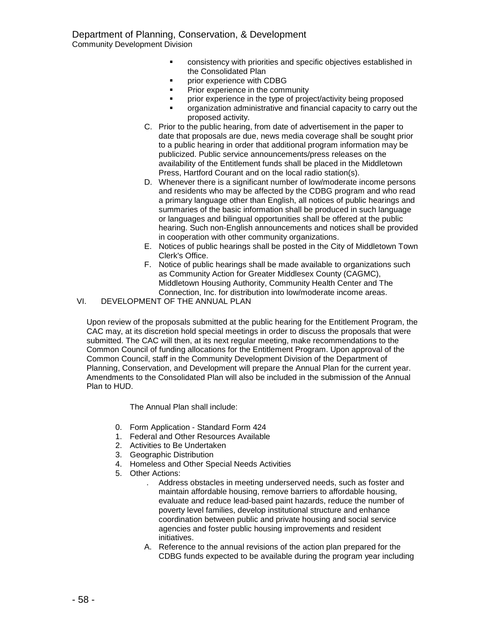- consistency with priorities and specific objectives established in the Consolidated Plan
- prior experience with CDBG
- **•** Prior experience in the community
- ! prior experience in the type of project/activity being proposed
- organization administrative and financial capacity to carry out the proposed activity.
- C. Prior to the public hearing, from date of advertisement in the paper to date that proposals are due, news media coverage shall be sought prior to a public hearing in order that additional program information may be publicized. Public service announcements/press releases on the availability of the Entitlement funds shall be placed in the Middletown Press, Hartford Courant and on the local radio station(s).
- D. Whenever there is a significant number of low/moderate income persons and residents who may be affected by the CDBG program and who read a primary language other than English, all notices of public hearings and summaries of the basic information shall be produced in such language or languages and bilingual opportunities shall be offered at the public hearing. Such non-English announcements and notices shall be provided in cooperation with other community organizations.
- E. Notices of public hearings shall be posted in the City of Middletown Town Clerk's Office.
- F. Notice of public hearings shall be made available to organizations such as Community Action for Greater Middlesex County (CAGMC), Middletown Housing Authority, Community Health Center and The Connection, Inc. for distribution into low/moderate income areas.
- VI. DEVELOPMENT OF THE ANNUAL PLAN

Upon review of the proposals submitted at the public hearing for the Entitlement Program, the CAC may, at its discretion hold special meetings in order to discuss the proposals that were submitted. The CAC will then, at its next regular meeting, make recommendations to the Common Council of funding allocations for the Entitlement Program. Upon approval of the Common Council, staff in the Community Development Division of the Department of Planning, Conservation, and Development will prepare the Annual Plan for the current year. Amendments to the Consolidated Plan will also be included in the submission of the Annual Plan to HUD.

The Annual Plan shall include:

- 0. Form Application Standard Form 424
- 1. Federal and Other Resources Available
- 2. Activities to Be Undertaken
- 3. Geographic Distribution
- 4. Homeless and Other Special Needs Activities
- 5. Other Actions:
	- . Address obstacles in meeting underserved needs, such as foster and maintain affordable housing, remove barriers to affordable housing, evaluate and reduce lead-based paint hazards, reduce the number of poverty level families, develop institutional structure and enhance coordination between public and private housing and social service agencies and foster public housing improvements and resident initiatives.
	- A. Reference to the annual revisions of the action plan prepared for the CDBG funds expected to be available during the program year including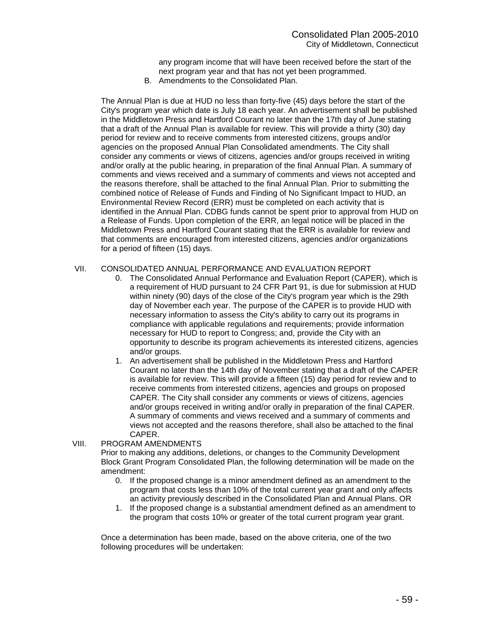any program income that will have been received before the start of the next program year and that has not yet been programmed.

B. Amendments to the Consolidated Plan.

The Annual Plan is due at HUD no less than forty-five (45) days before the start of the City's program year which date is July 18 each year. An advertisement shall be published in the Middletown Press and Hartford Courant no later than the 17th day of June stating that a draft of the Annual Plan is available for review. This will provide a thirty (30) day period for review and to receive comments from interested citizens, groups and/or agencies on the proposed Annual Plan Consolidated amendments. The City shall consider any comments or views of citizens, agencies and/or groups received in writing and/or orally at the public hearing, in preparation of the final Annual Plan. A summary of comments and views received and a summary of comments and views not accepted and the reasons therefore, shall be attached to the final Annual Plan. Prior to submitting the combined notice of Release of Funds and Finding of No Significant Impact to HUD, an Environmental Review Record (ERR) must be completed on each activity that is identified in the Annual Plan. CDBG funds cannot be spent prior to approval from HUD on a Release of Funds. Upon completion of the ERR, an legal notice will be placed in the Middletown Press and Hartford Courant stating that the ERR is available for review and that comments are encouraged from interested citizens, agencies and/or organizations for a period of fifteen (15) days.

## VII. CONSOLIDATED ANNUAL PERFORMANCE AND EVALUATION REPORT

- 0. The Consolidated Annual Performance and Evaluation Report (CAPER), which is a requirement of HUD pursuant to 24 CFR Part 91, is due for submission at HUD within ninety (90) days of the close of the City's program year which is the 29th day of November each year. The purpose of the CAPER is to provide HUD with necessary information to assess the City's ability to carry out its programs in compliance with applicable regulations and requirements; provide information necessary for HUD to report to Congress; and, provide the City with an opportunity to describe its program achievements its interested citizens, agencies and/or groups.
- 1. An advertisement shall be published in the Middletown Press and Hartford Courant no later than the 14th day of November stating that a draft of the CAPER is available for review. This will provide a fifteen (15) day period for review and to receive comments from interested citizens, agencies and groups on proposed CAPER. The City shall consider any comments or views of citizens, agencies and/or groups received in writing and/or orally in preparation of the final CAPER. A summary of comments and views received and a summary of comments and views not accepted and the reasons therefore, shall also be attached to the final CAPER.
- VIII. PROGRAM AMENDMENTS

Prior to making any additions, deletions, or changes to the Community Development Block Grant Program Consolidated Plan, the following determination will be made on the amendment:

- 0. If the proposed change is a minor amendment defined as an amendment to the program that costs less than 10% of the total current year grant and only affects an activity previously described in the Consolidated Plan and Annual Plans. OR
- 1. If the proposed change is a substantial amendment defined as an amendment to the program that costs 10% or greater of the total current program year grant.

Once a determination has been made, based on the above criteria, one of the two following procedures will be undertaken: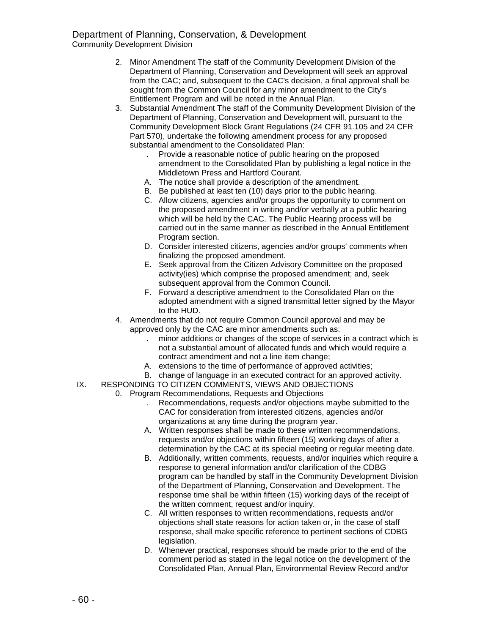Community Development Division

- 2. Minor Amendment The staff of the Community Development Division of the Department of Planning, Conservation and Development will seek an approval from the CAC; and, subsequent to the CAC's decision, a final approval shall be sought from the Common Council for any minor amendment to the City's Entitlement Program and will be noted in the Annual Plan.
- 3. Substantial Amendment The staff of the Community Development Division of the Department of Planning, Conservation and Development will, pursuant to the Community Development Block Grant Regulations (24 CFR 91.105 and 24 CFR Part 570), undertake the following amendment process for any proposed substantial amendment to the Consolidated Plan:
	- . Provide a reasonable notice of public hearing on the proposed amendment to the Consolidated Plan by publishing a legal notice in the Middletown Press and Hartford Courant.
	- A. The notice shall provide a description of the amendment.
	- B. Be published at least ten (10) days prior to the public hearing.
	- C. Allow citizens, agencies and/or groups the opportunity to comment on the proposed amendment in writing and/or verbally at a public hearing which will be held by the CAC. The Public Hearing process will be carried out in the same manner as described in the Annual Entitlement Program section.
	- D. Consider interested citizens, agencies and/or groups' comments when finalizing the proposed amendment.
	- E. Seek approval from the Citizen Advisory Committee on the proposed activity(ies) which comprise the proposed amendment; and, seek subsequent approval from the Common Council.
	- F. Forward a descriptive amendment to the Consolidated Plan on the adopted amendment with a signed transmittal letter signed by the Mayor to the HUD.
- 4. Amendments that do not require Common Council approval and may be approved only by the CAC are minor amendments such as:
	- . minor additions or changes of the scope of services in a contract which is not a substantial amount of allocated funds and which would require a contract amendment and not a line item change;
	- A. extensions to the time of performance of approved activities;
	- B. change of language in an executed contract for an approved activity.
- IX. RESPONDING TO CITIZEN COMMENTS, VIEWS AND OBJECTIONS
	- 0. Program Recommendations, Requests and Objections
		- . Recommendations, requests and/or objections maybe submitted to the CAC for consideration from interested citizens, agencies and/or organizations at any time during the program year.
		- A. Written responses shall be made to these written recommendations, requests and/or objections within fifteen (15) working days of after a determination by the CAC at its special meeting or regular meeting date.
		- B. Additionally, written comments, requests, and/or inquiries which require a response to general information and/or clarification of the CDBG program can be handled by staff in the Community Development Division of the Department of Planning, Conservation and Development. The response time shall be within fifteen (15) working days of the receipt of the written comment, request and/or inquiry.
		- C. All written responses to written recommendations, requests and/or objections shall state reasons for action taken or, in the case of staff response, shall make specific reference to pertinent sections of CDBG legislation.
		- D. Whenever practical, responses should be made prior to the end of the comment period as stated in the legal notice on the development of the Consolidated Plan, Annual Plan, Environmental Review Record and/or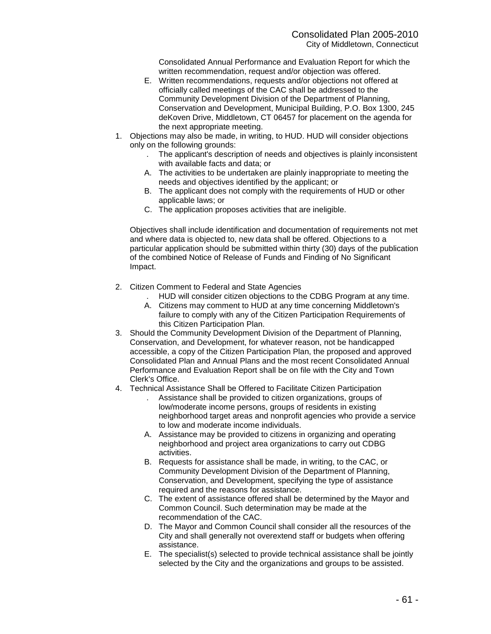Consolidated Annual Performance and Evaluation Report for which the written recommendation, request and/or objection was offered.

- E. Written recommendations, requests and/or objections not offered at officially called meetings of the CAC shall be addressed to the Community Development Division of the Department of Planning, Conservation and Development, Municipal Building, P.O. Box 1300, 245 deKoven Drive, Middletown, CT 06457 for placement on the agenda for the next appropriate meeting.
- 1. Objections may also be made, in writing, to HUD. HUD will consider objections only on the following grounds:
	- . The applicant's description of needs and objectives is plainly inconsistent with available facts and data; or
	- A. The activities to be undertaken are plainly inappropriate to meeting the needs and objectives identified by the applicant; or
	- B. The applicant does not comply with the requirements of HUD or other applicable laws; or
	- C. The application proposes activities that are ineligible.

Objectives shall include identification and documentation of requirements not met and where data is objected to, new data shall be offered. Objections to a particular application should be submitted within thirty (30) days of the publication of the combined Notice of Release of Funds and Finding of No Significant Impact.

- 2. Citizen Comment to Federal and State Agencies
	- . HUD will consider citizen objections to the CDBG Program at any time.
	- A. Citizens may comment to HUD at any time concerning Middletown's failure to comply with any of the Citizen Participation Requirements of this Citizen Participation Plan.
- 3. Should the Community Development Division of the Department of Planning, Conservation, and Development, for whatever reason, not be handicapped accessible, a copy of the Citizen Participation Plan, the proposed and approved Consolidated Plan and Annual Plans and the most recent Consolidated Annual Performance and Evaluation Report shall be on file with the City and Town Clerk's Office.
- 4. Technical Assistance Shall be Offered to Facilitate Citizen Participation
	- . Assistance shall be provided to citizen organizations, groups of low/moderate income persons, groups of residents in existing neighborhood target areas and nonprofit agencies who provide a service to low and moderate income individuals.
	- A. Assistance may be provided to citizens in organizing and operating neighborhood and project area organizations to carry out CDBG activities.
	- B. Requests for assistance shall be made, in writing, to the CAC, or Community Development Division of the Department of Planning, Conservation, and Development, specifying the type of assistance required and the reasons for assistance.
	- C. The extent of assistance offered shall be determined by the Mayor and Common Council. Such determination may be made at the recommendation of the CAC.
	- D. The Mayor and Common Council shall consider all the resources of the City and shall generally not overextend staff or budgets when offering assistance.
	- E. The specialist(s) selected to provide technical assistance shall be jointly selected by the City and the organizations and groups to be assisted.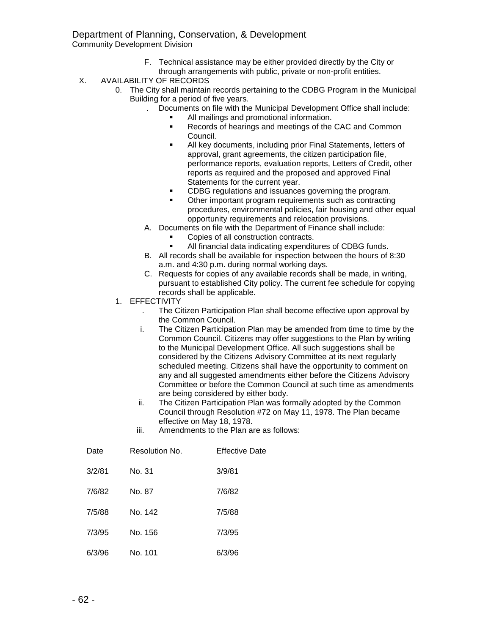## Department of Planning, Conservation, & Development

Community Development Division

- F. Technical assistance may be either provided directly by the City or through arrangements with public, private or non-profit entities.
- X. AVAILABILITY OF RECORDS
	- 0. The City shall maintain records pertaining to the CDBG Program in the Municipal Building for a period of five years.
		- . Documents on file with the Municipal Development Office shall include:
			- All mailings and promotional information.
			- Records of hearings and meetings of the CAC and Common Council.
			- All key documents, including prior Final Statements, letters of approval, grant agreements, the citizen participation file, performance reports, evaluation reports, Letters of Credit, other reports as required and the proposed and approved Final Statements for the current year.
			- ! CDBG regulations and issuances governing the program.
			- Other important program requirements such as contracting procedures, environmental policies, fair housing and other equal opportunity requirements and relocation provisions.
		- A. Documents on file with the Department of Finance shall include:
			- Copies of all construction contracts.
			- All financial data indicating expenditures of CDBG funds.
		- B. All records shall be available for inspection between the hours of 8:30 a.m. and 4:30 p.m. during normal working days.
		- C. Requests for copies of any available records shall be made, in writing, pursuant to established City policy. The current fee schedule for copying records shall be applicable.
	- 1. EFFECTIVITY
		- . The Citizen Participation Plan shall become effective upon approval by the Common Council.
		- i. The Citizen Participation Plan may be amended from time to time by the Common Council. Citizens may offer suggestions to the Plan by writing to the Municipal Development Office. All such suggestions shall be considered by the Citizens Advisory Committee at its next regularly scheduled meeting. Citizens shall have the opportunity to comment on any and all suggested amendments either before the Citizens Advisory Committee or before the Common Council at such time as amendments are being considered by either body.
		- ii. The Citizen Participation Plan was formally adopted by the Common Council through Resolution #72 on May 11, 1978. The Plan became effective on May 18, 1978.
		- iii. Amendments to the Plan are as follows:

| Date   | Resolution No. | <b>Effective Date</b> |
|--------|----------------|-----------------------|
| 3/2/81 | No. 31         | 3/9/81                |
| 7/6/82 | No. 87         | 7/6/82                |
| 7/5/88 | No. 142        | 7/5/88                |
| 7/3/95 | No. 156        | 7/3/95                |
| 6/3/96 | No. 101        | 6/3/96                |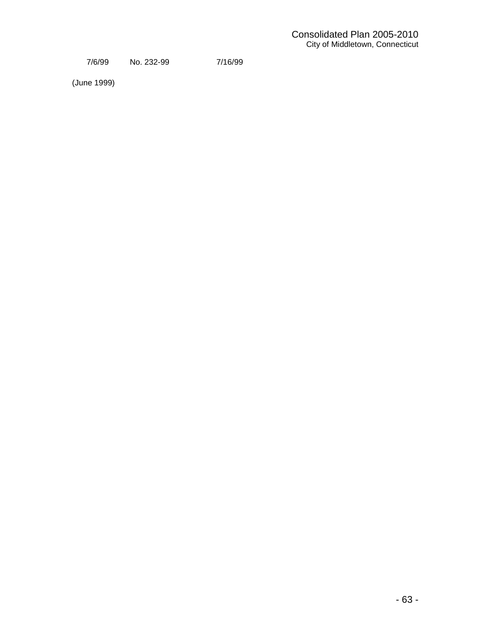7/6/99 No. 232-99 7/16/99

(June 1999)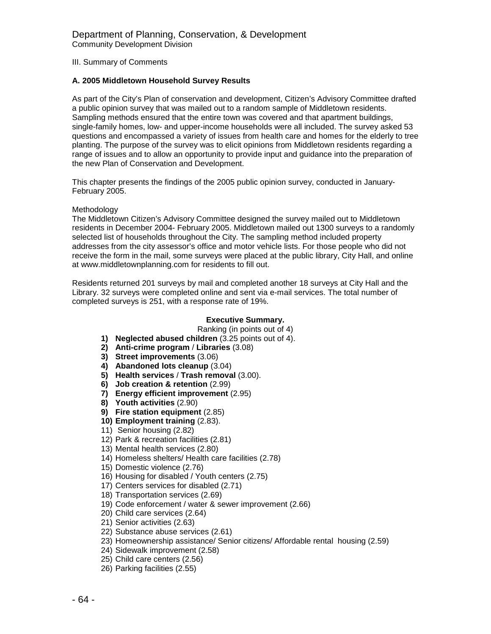III. Summary of Comments

#### **A. 2005 Middletown Household Survey Results**

As part of the City's Plan of conservation and development, Citizen's Advisory Committee drafted a public opinion survey that was mailed out to a random sample of Middletown residents. Sampling methods ensured that the entire town was covered and that apartment buildings, single-family homes, low- and upper-income households were all included. The survey asked 53 questions and encompassed a variety of issues from health care and homes for the elderly to tree planting. The purpose of the survey was to elicit opinions from Middletown residents regarding a range of issues and to allow an opportunity to provide input and guidance into the preparation of the new Plan of Conservation and Development.

This chapter presents the findings of the 2005 public opinion survey, conducted in January-February 2005.

#### Methodology

The Middletown Citizen's Advisory Committee designed the survey mailed out to Middletown residents in December 2004- February 2005. Middletown mailed out 1300 surveys to a randomly selected list of households throughout the City. The sampling method included property addresses from the city assessor's office and motor vehicle lists. For those people who did not receive the form in the mail, some surveys were placed at the public library, City Hall, and online at www.middletownplanning.com for residents to fill out.

Residents returned 201 surveys by mail and completed another 18 surveys at City Hall and the Library. 32 surveys were completed online and sent via e-mail services. The total number of completed surveys is 251, with a response rate of 19%.

#### **Executive Summary.**

Ranking (in points out of 4)

- **1) Neglected abused children** (3.25 points out of 4).
- **2) Anti-crime program** / **Libraries** (3.08)
- **3) Street improvements** (3.06)
- **4) Abandoned lots cleanup** (3.04)
- **5) Health services** / **Trash removal** (3.00).
- **6) Job creation & retention** (2.99)
- **7) Energy efficient improvement** (2.95)
- **8) Youth activities** (2.90)
- **9) Fire station equipment** (2.85)
- **10) Employment training** (2.83).
- 11) Senior housing (2.82)
- 12) Park & recreation facilities (2.81)
- 13) Mental health services (2.80)
- 14) Homeless shelters/ Health care facilities (2.78)
- 15) Domestic violence (2.76)
- 16) Housing for disabled / Youth centers (2.75)
- 17) Centers services for disabled (2.71)
- 18) Transportation services (2.69)
- 19) Code enforcement / water & sewer improvement (2.66)
- 20) Child care services (2.64)
- 21) Senior activities (2.63)
- 22) Substance abuse services (2.61)
- 23) Homeownership assistance/ Senior citizens/ Affordable rental housing (2.59)
- 24) Sidewalk improvement (2.58)
- 25) Child care centers (2.56)
- 26) Parking facilities (2.55)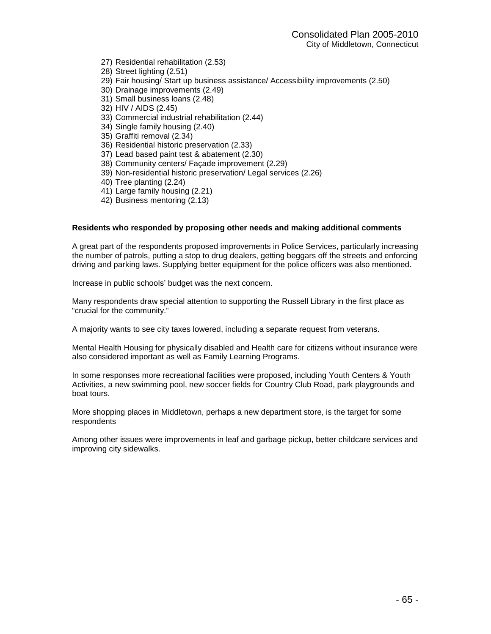- 27) Residential rehabilitation (2.53)
- 28) Street lighting (2.51)
- 29) Fair housing/ Start up business assistance/ Accessibility improvements (2.50)
- 30) Drainage improvements (2.49)
- 31) Small business loans (2.48)
- 32) HIV / AIDS (2.45)
- 33) Commercial industrial rehabilitation (2.44)
- 34) Single family housing (2.40)
- 35) Graffiti removal (2.34)
- 36) Residential historic preservation (2.33)
- 37) Lead based paint test & abatement (2.30)
- 38) Community centers/ Façade improvement (2.29)
- 39) Non-residential historic preservation/ Legal services (2.26)
- 40) Tree planting (2.24)
- 41) Large family housing (2.21)
- 42) Business mentoring (2.13)

#### **Residents who responded by proposing other needs and making additional comments**

A great part of the respondents proposed improvements in Police Services, particularly increasing the number of patrols, putting a stop to drug dealers, getting beggars off the streets and enforcing driving and parking laws. Supplying better equipment for the police officers was also mentioned.

Increase in public schools' budget was the next concern.

Many respondents draw special attention to supporting the Russell Library in the first place as "crucial for the community."

A majority wants to see city taxes lowered, including a separate request from veterans.

Mental Health Housing for physically disabled and Health care for citizens without insurance were also considered important as well as Family Learning Programs.

In some responses more recreational facilities were proposed, including Youth Centers & Youth Activities, a new swimming pool, new soccer fields for Country Club Road, park playgrounds and boat tours.

More shopping places in Middletown, perhaps a new department store, is the target for some respondents

Among other issues were improvements in leaf and garbage pickup, better childcare services and improving city sidewalks.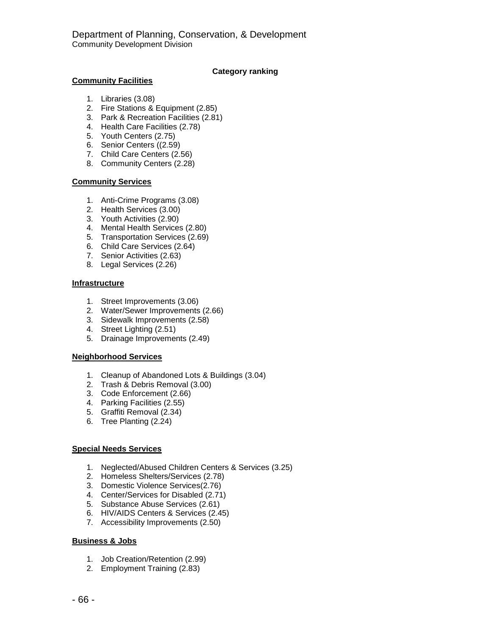### **Category ranking**

## **Community Facilities**

- 1. Libraries (3.08)
- 2. Fire Stations & Equipment (2.85)
- 3. Park & Recreation Facilities (2.81)
- 4. Health Care Facilities (2.78)
- 5. Youth Centers (2.75)
- 6. Senior Centers ((2.59)
- 7. Child Care Centers (2.56)
- 8. Community Centers (2.28)

### **Community Services**

- 1. Anti-Crime Programs (3.08)
- 2. Health Services (3.00)
- 3. Youth Activities (2.90)
- 4. Mental Health Services (2.80)
- 5. Transportation Services (2.69)
- 6. Child Care Services (2.64)
- 7. Senior Activities (2.63)
- 8. Legal Services (2.26)

#### **Infrastructure**

- 1. Street Improvements (3.06)
- 2. Water/Sewer Improvements (2.66)
- 3. Sidewalk Improvements (2.58)
- 4. Street Lighting (2.51)
- 5. Drainage Improvements (2.49)

#### **Neighborhood Services**

- 1. Cleanup of Abandoned Lots & Buildings (3.04)
- 2. Trash & Debris Removal (3.00)
- 3. Code Enforcement (2.66)
- 4. Parking Facilities (2.55)
- 5. Graffiti Removal (2.34)
- 6. Tree Planting (2.24)

## **Special Needs Services**

- 1. Neglected/Abused Children Centers & Services (3.25)
- 2. Homeless Shelters/Services (2.78)
- 3. Domestic Violence Services(2.76)
- 4. Center/Services for Disabled (2.71)
- 5. Substance Abuse Services (2.61)
- 6. HIV/AIDS Centers & Services (2.45)
- 7. Accessibility Improvements (2.50)

## **Business & Jobs**

- 1. Job Creation/Retention (2.99)
- 2. Employment Training (2.83)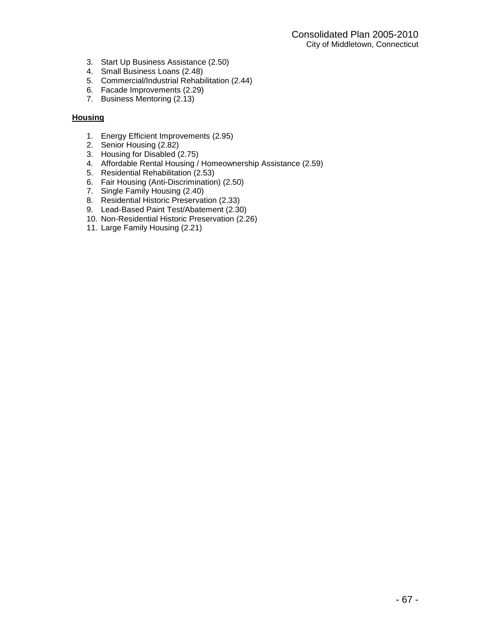- 3. Start Up Business Assistance (2.50)
- 4. Small Business Loans (2.48)
- 5. Commercial/Industrial Rehabilitation (2.44)
- 6. Facade Improvements (2.29)
- 7. Business Mentoring (2.13)

## **Housing**

- 1. Energy Efficient Improvements (2.95)
- 2. Senior Housing (2.82)
- 3. Housing for Disabled (2.75)
- 4. Affordable Rental Housing / Homeownership Assistance (2.59)
- 5. Residential Rehabilitation (2.53)
- 6. Fair Housing (Anti-Discrimination) (2.50)
- 7. Single Family Housing (2.40)
- 8. Residential Historic Preservation (2.33)
- 9. Lead-Based Paint Test/Abatement (2.30)
- 10. Non-Residential Historic Preservation (2.26)
- 11. Large Family Housing (2.21)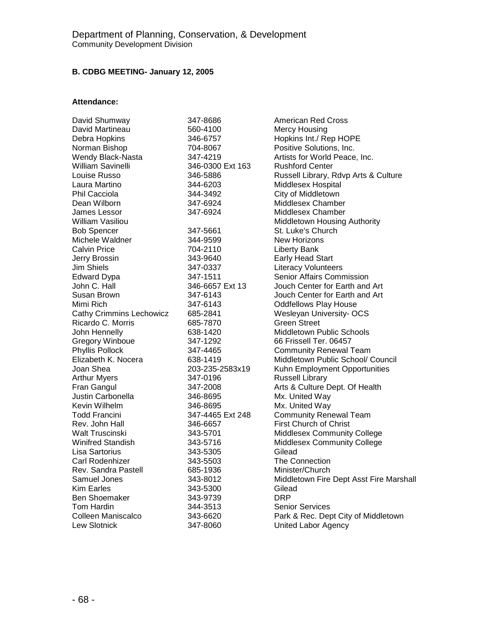## **B. CDBG MEETING- January 12, 2005**

## **Attendance:**

| David Shumway                   | 347-8686         | American Red Cross                      |
|---------------------------------|------------------|-----------------------------------------|
| David Martineau                 | 560-4100         | <b>Mercy Housing</b>                    |
| Debra Hopkins                   | 346-6757         | Hopkins Int./ Rep HOPE                  |
| Norman Bishop                   | 704-8067         | Positive Solutions, Inc.                |
| Wendy Black-Nasta               | 347-4219         | Artists for World Peace, Inc.           |
| William Savinelli               | 346-0300 Ext 163 | <b>Rushford Center</b>                  |
| Louise Russo                    | 346-5886         | Russell Library, Rdvp Arts & Culture    |
| Laura Martino                   | 344-6203         | Middlesex Hospital                      |
| Phil Cacciola                   | 344-3492         | City of Middletown                      |
| Dean Wilborn                    | 347-6924         | <b>Middlesex Chamber</b>                |
| James Lessor                    | 347-6924         | Middlesex Chamber                       |
| William Vasiliou                |                  | Middletown Housing Authority            |
| <b>Bob Spencer</b>              | 347-5661         | St. Luke's Church                       |
| Michele Waldner                 | 344-9599         | New Horizons                            |
| <b>Calvin Price</b>             | 704-2110         | <b>Liberty Bank</b>                     |
| Jerry Brossin                   | 343-9640         | Early Head Start                        |
| Jim Shiels                      | 347-0337         | <b>Literacy Volunteers</b>              |
| <b>Edward Dypa</b>              | 347-1511         | Senior Affairs Commission               |
| John C. Hall                    | 346-6657 Ext 13  | Jouch Center for Earth and Art          |
| Susan Brown                     | 347-6143         | Jouch Center for Earth and Art          |
| Mimi Rich                       | 347-6143         | <b>Oddfellows Play House</b>            |
| <b>Cathy Crimmins Lechowicz</b> | 685-2841         | Wesleyan University- OCS                |
| Ricardo C. Morris               | 685-7870         | <b>Green Street</b>                     |
| John Hennelly                   | 638-1420         | <b>Middletown Public Schools</b>        |
| <b>Gregory Winboue</b>          | 347-1292         | 66 Frissell Ter, 06457                  |
| Phyllis Pollock                 | 347-4465         | <b>Community Renewal Team</b>           |
| Elizabeth K. Nocera             | 638-1419         | Middletown Public School/ Council       |
| Joan Shea                       | 203-235-2583x19  | Kuhn Employment Opportunities           |
| <b>Arthur Myers</b>             | 347-0196         | <b>Russell Library</b>                  |
| Fran Gangul                     | 347-2008         | Arts & Culture Dept. Of Health          |
| Justin Carbonella               | 346-8695         | Mx. United Way                          |
| Kevin Wilhelm                   | 346-8695         | Mx. United Way                          |
| <b>Todd Francini</b>            | 347-4465 Ext 248 | <b>Community Renewal Team</b>           |
| Rev. John Hall                  | 346-6657         | <b>First Church of Christ</b>           |
| <b>Walt Truscinski</b>          | 343-5701         | <b>Middlesex Community College</b>      |
| <b>Winifred Standish</b>        | 343-5716         | <b>Middlesex Community College</b>      |
| Lisa Sartorius                  | 343-5305         | Gilead                                  |
| Carl Rodenhizer                 | 343-5503         | <b>The Connection</b>                   |
| Rev. Sandra Pastell             | 685-1936         | Minister/Church                         |
| Samuel Jones                    | 343-8012         | Middletown Fire Dept Asst Fire Marshall |
| Kim Earles                      | 343-5300         | Gilead                                  |
| <b>Ben Shoemaker</b>            | 343-9739         | <b>DRP</b>                              |
| <b>Tom Hardin</b>               | 344-3513         | <b>Senior Services</b>                  |
| Colleen Maniscalco              | 343-6620         | Park & Rec. Dept City of Middletown     |
| <b>Lew Slotnick</b>             | 347-8060         | <b>United Labor Agency</b>              |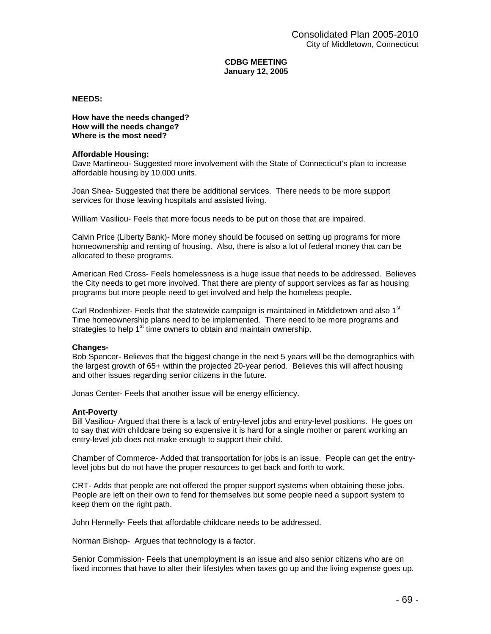### **CDBG MEETING January 12, 2005**

#### **NEEDS:**

#### **How have the needs changed? How will the needs change? Where is the most need?**

#### **Affordable Housing:**

Dave Martineou- Suggested more involvement with the State of Connecticut's plan to increase affordable housing by 10,000 units.

Joan Shea- Suggested that there be additional services. There needs to be more support services for those leaving hospitals and assisted living.

William Vasiliou- Feels that more focus needs to be put on those that are impaired.

Calvin Price (Liberty Bank)- More money should be focused on setting up programs for more homeownership and renting of housing. Also, there is also a lot of federal money that can be allocated to these programs.

American Red Cross- Feels homelessness is a huge issue that needs to be addressed. Believes the City needs to get more involved. That there are plenty of support services as far as housing programs but more people need to get involved and help the homeless people.

Carl Rodenhizer- Feels that the statewide campaign is maintained in Middletown and also 1<sup>st</sup> Time homeownership plans need to be implemented. There need to be more programs and strategies to help 1<sup>st</sup> time owners to obtain and maintain ownership.

#### **Changes-**

Bob Spencer- Believes that the biggest change in the next 5 years will be the demographics with the largest growth of 65+ within the projected 20-year period. Believes this will affect housing and other issues regarding senior citizens in the future.

Jonas Center- Feels that another issue will be energy efficiency.

#### **Ant-Poverty**

Bill Vasiliou- Argued that there is a lack of entry-level jobs and entry-level positions. He goes on to say that with childcare being so expensive it is hard for a single mother or parent working an entry-level job does not make enough to support their child.

Chamber of Commerce- Added that transportation for jobs is an issue. People can get the entrylevel jobs but do not have the proper resources to get back and forth to work.

CRT- Adds that people are not offered the proper support systems when obtaining these jobs. People are left on their own to fend for themselves but some people need a support system to keep them on the right path.

John Hennelly- Feels that affordable childcare needs to be addressed.

Norman Bishop- Argues that technology is a factor.

Senior Commission- Feels that unemployment is an issue and also senior citizens who are on fixed incomes that have to alter their lifestyles when taxes go up and the living expense goes up.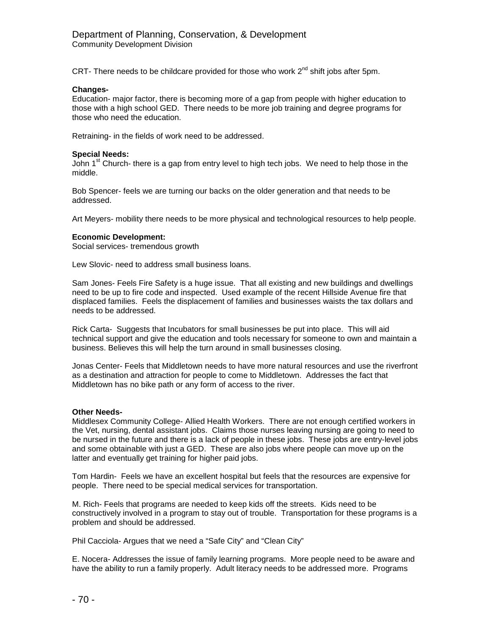CRT- There needs to be childcare provided for those who work  $2^{nd}$  shift jobs after 5pm.

#### **Changes-**

Education- major factor, there is becoming more of a gap from people with higher education to those with a high school GED. There needs to be more job training and degree programs for those who need the education.

Retraining- in the fields of work need to be addressed.

#### **Special Needs:**

John 1<sup>st</sup> Church- there is a gap from entry level to high tech jobs. We need to help those in the middle.

Bob Spencer- feels we are turning our backs on the older generation and that needs to be addressed.

Art Meyers- mobility there needs to be more physical and technological resources to help people.

#### **Economic Development:**

Social services- tremendous growth

Lew Slovic- need to address small business loans.

Sam Jones- Feels Fire Safety is a huge issue. That all existing and new buildings and dwellings need to be up to fire code and inspected. Used example of the recent Hillside Avenue fire that displaced families. Feels the displacement of families and businesses waists the tax dollars and needs to be addressed.

Rick Carta- Suggests that Incubators for small businesses be put into place. This will aid technical support and give the education and tools necessary for someone to own and maintain a business. Believes this will help the turn around in small businesses closing.

Jonas Center- Feels that Middletown needs to have more natural resources and use the riverfront as a destination and attraction for people to come to Middletown. Addresses the fact that Middletown has no bike path or any form of access to the river.

#### **Other Needs-**

Middlesex Community College- Allied Health Workers. There are not enough certified workers in the Vet, nursing, dental assistant jobs. Claims those nurses leaving nursing are going to need to be nursed in the future and there is a lack of people in these jobs. These jobs are entry-level jobs and some obtainable with just a GED. These are also jobs where people can move up on the latter and eventually get training for higher paid jobs.

Tom Hardin- Feels we have an excellent hospital but feels that the resources are expensive for people. There need to be special medical services for transportation.

M. Rich- Feels that programs are needed to keep kids off the streets. Kids need to be constructively involved in a program to stay out of trouble. Transportation for these programs is a problem and should be addressed.

Phil Cacciola- Argues that we need a "Safe City" and "Clean City"

E. Nocera- Addresses the issue of family learning programs. More people need to be aware and have the ability to run a family properly. Adult literacy needs to be addressed more. Programs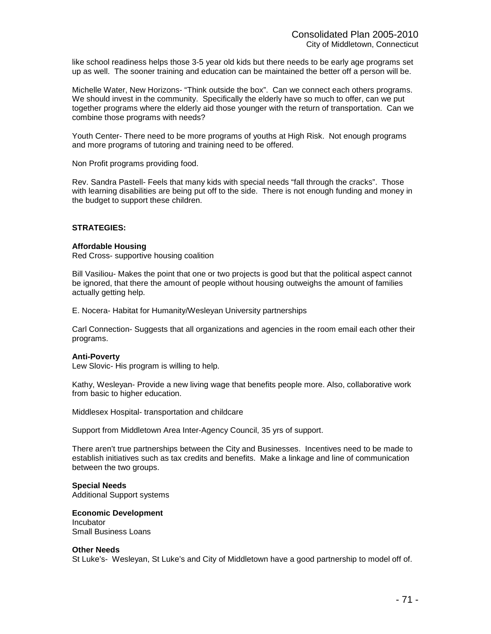like school readiness helps those 3-5 year old kids but there needs to be early age programs set up as well. The sooner training and education can be maintained the better off a person will be.

Michelle Water, New Horizons- "Think outside the box". Can we connect each others programs. We should invest in the community. Specifically the elderly have so much to offer, can we put together programs where the elderly aid those younger with the return of transportation. Can we combine those programs with needs?

Youth Center- There need to be more programs of youths at High Risk. Not enough programs and more programs of tutoring and training need to be offered.

Non Profit programs providing food.

Rev. Sandra Pastell- Feels that many kids with special needs "fall through the cracks". Those with learning disabilities are being put off to the side. There is not enough funding and money in the budget to support these children.

### **STRATEGIES:**

### **Affordable Housing**

Red Cross- supportive housing coalition

Bill Vasiliou- Makes the point that one or two projects is good but that the political aspect cannot be ignored, that there the amount of people without housing outweighs the amount of families actually getting help.

E. Nocera- Habitat for Humanity/Wesleyan University partnerships

Carl Connection- Suggests that all organizations and agencies in the room email each other their programs.

#### **Anti-Poverty**

Lew Slovic- His program is willing to help.

Kathy, Wesleyan- Provide a new living wage that benefits people more. Also, collaborative work from basic to higher education.

Middlesex Hospital- transportation and childcare

Support from Middletown Area Inter-Agency Council, 35 yrs of support.

There aren't true partnerships between the City and Businesses. Incentives need to be made to establish initiatives such as tax credits and benefits. Make a linkage and line of communication between the two groups.

## **Special Needs**

Additional Support systems

**Economic Development Incubator** Small Business Loans

#### **Other Needs**

St Luke's- Wesleyan, St Luke's and City of Middletown have a good partnership to model off of.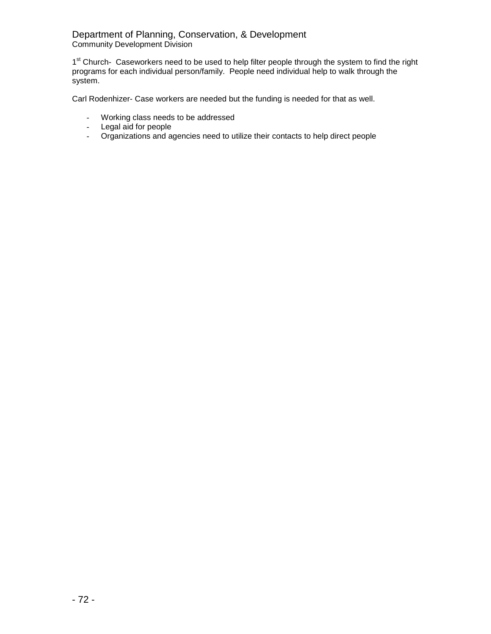## Department of Planning, Conservation, & Development Community Development Division

1<sup>st</sup> Church- Caseworkers need to be used to help filter people through the system to find the right programs for each individual person/family. People need individual help to walk through the system.

Carl Rodenhizer- Case workers are needed but the funding is needed for that as well.

- Working class needs to be addressed
- Legal aid for people
- Organizations and agencies need to utilize their contacts to help direct people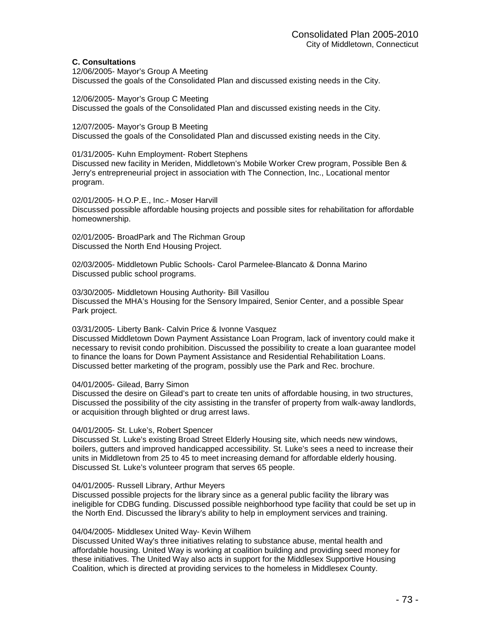# **C. Consultations**

12/06/2005- Mayor's Group A Meeting Discussed the goals of the Consolidated Plan and discussed existing needs in the City.

12/06/2005- Mayor's Group C Meeting Discussed the goals of the Consolidated Plan and discussed existing needs in the City.

12/07/2005- Mayor's Group B Meeting Discussed the goals of the Consolidated Plan and discussed existing needs in the City.

01/31/2005- Kuhn Employment- Robert Stephens Discussed new facility in Meriden, Middletown's Mobile Worker Crew program, Possible Ben & Jerry's entrepreneurial project in association with The Connection, Inc., Locational mentor program.

02/01/2005- H.O.P.E., Inc.- Moser Harvill Discussed possible affordable housing projects and possible sites for rehabilitation for affordable homeownership.

02/01/2005- BroadPark and The Richman Group Discussed the North End Housing Project.

02/03/2005- Middletown Public Schools- Carol Parmelee-Blancato & Donna Marino Discussed public school programs.

03/30/2005- Middletown Housing Authority- Bill Vasillou Discussed the MHA's Housing for the Sensory Impaired, Senior Center, and a possible Spear Park project.

03/31/2005- Liberty Bank- Calvin Price & Ivonne Vasquez

Discussed Middletown Down Payment Assistance Loan Program, lack of inventory could make it necessary to revisit condo prohibition. Discussed the possibility to create a loan guarantee model to finance the loans for Down Payment Assistance and Residential Rehabilitation Loans. Discussed better marketing of the program, possibly use the Park and Rec. brochure.

04/01/2005- Gilead, Barry Simon

Discussed the desire on Gilead's part to create ten units of affordable housing, in two structures, Discussed the possibility of the city assisting in the transfer of property from walk-away landlords, or acquisition through blighted or drug arrest laws.

## 04/01/2005- St. Luke's, Robert Spencer

Discussed St. Luke's existing Broad Street Elderly Housing site, which needs new windows, boilers, gutters and improved handicapped accessibility. St. Luke's sees a need to increase their units in Middletown from 25 to 45 to meet increasing demand for affordable elderly housing. Discussed St. Luke's volunteer program that serves 65 people.

## 04/01/2005- Russell Library, Arthur Meyers

Discussed possible projects for the library since as a general public facility the library was ineligible for CDBG funding. Discussed possible neighborhood type facility that could be set up in the North End. Discussed the library's ability to help in employment services and training.

## 04/04/2005- Middlesex United Way- Kevin Wilhem

Discussed United Way's three initiatives relating to substance abuse, mental health and affordable housing. United Way is working at coalition building and providing seed money for these initiatives. The United Way also acts in support for the Middlesex Supportive Housing Coalition, which is directed at providing services to the homeless in Middlesex County.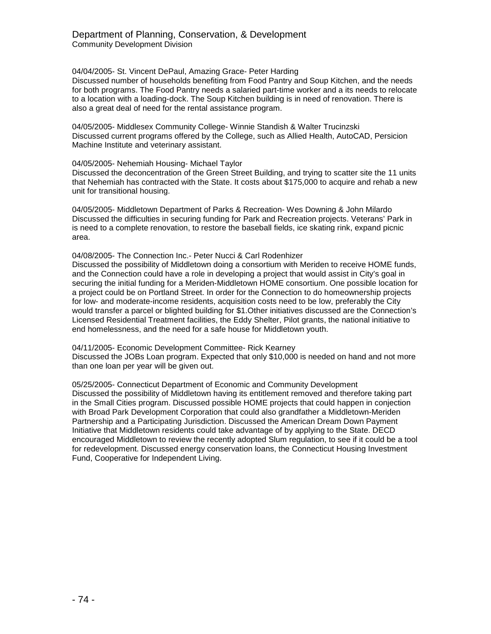04/04/2005- St. Vincent DePaul, Amazing Grace- Peter Harding

Discussed number of households benefiting from Food Pantry and Soup Kitchen, and the needs for both programs. The Food Pantry needs a salaried part-time worker and a its needs to relocate to a location with a loading-dock. The Soup Kitchen building is in need of renovation. There is also a great deal of need for the rental assistance program.

04/05/2005- Middlesex Community College- Winnie Standish & Walter Trucinzski Discussed current programs offered by the College, such as Allied Health, AutoCAD, Persicion Machine Institute and veterinary assistant.

04/05/2005- Nehemiah Housing- Michael Taylor

Discussed the deconcentration of the Green Street Building, and trying to scatter site the 11 units that Nehemiah has contracted with the State. It costs about \$175,000 to acquire and rehab a new unit for transitional housing.

04/05/2005- Middletown Department of Parks & Recreation- Wes Downing & John Milardo Discussed the difficulties in securing funding for Park and Recreation projects. Veterans' Park in is need to a complete renovation, to restore the baseball fields, ice skating rink, expand picnic area.

04/08/2005- The Connection Inc.- Peter Nucci & Carl Rodenhizer Discussed the possibility of Middletown doing a consortium with Meriden to receive HOME funds, and the Connection could have a role in developing a project that would assist in City's goal in securing the initial funding for a Meriden-Middletown HOME consortium. One possible location for a project could be on Portland Street. In order for the Connection to do homeownership projects for low- and moderate-income residents, acquisition costs need to be low, preferably the City would transfer a parcel or blighted building for \$1.Other initiatives discussed are the Connection's Licensed Residential Treatment facilities, the Eddy Shelter, Pilot grants, the national initiative to end homelessness, and the need for a safe house for Middletown youth.

04/11/2005- Economic Development Committee- Rick Kearney Discussed the JOBs Loan program. Expected that only \$10,000 is needed on hand and not more than one loan per year will be given out.

05/25/2005- Connecticut Department of Economic and Community Development Discussed the possibility of Middletown having its entitlement removed and therefore taking part in the Small Cities program. Discussed possible HOME projects that could happen in conjection with Broad Park Development Corporation that could also grandfather a Middletown-Meriden Partnership and a Participating Jurisdiction. Discussed the American Dream Down Payment Initiative that Middletown residents could take advantage of by applying to the State. DECD encouraged Middletown to review the recently adopted Slum regulation, to see if it could be a tool for redevelopment. Discussed energy conservation loans, the Connecticut Housing Investment Fund, Cooperative for Independent Living.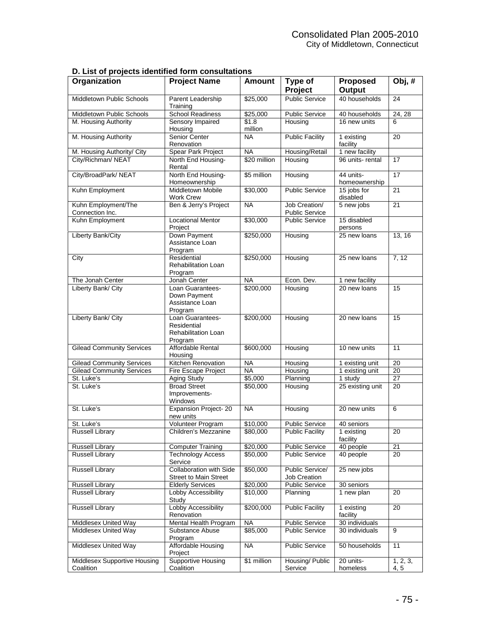|  |  |  | D. List of projects identified form consultations |
|--|--|--|---------------------------------------------------|
|--|--|--|---------------------------------------------------|

| Organization                              | <b>Project Name</b>                                                      | <b>Amount</b>    | Type of<br><b>Project</b>              | <b>Proposed</b><br><b>Output</b> | Obj, #           |
|-------------------------------------------|--------------------------------------------------------------------------|------------------|----------------------------------------|----------------------------------|------------------|
| <b>Middletown Public Schools</b>          | Parent Leadership<br>Training                                            | \$25,000         | <b>Public Service</b>                  | 40 households                    | 24               |
| Middletown Public Schools                 | <b>School Readiness</b>                                                  | \$25,000         | <b>Public Service</b>                  | 40 households                    | 24, 28           |
| M. Housing Authority                      | <b>Sensory Impaired</b><br>Housing                                       | \$1.8<br>million | Housing                                | 16 new units                     | 6                |
| M. Housing Authority                      | Senior Center<br>Renovation                                              | NA.              | <b>Public Facility</b>                 | 1 existing<br>facility           | 20               |
| M. Housing Authority/ City                | <b>Spear Park Project</b>                                                | NA               | Housing/Retail                         | 1 new facility                   |                  |
| City/Richman/ NEAT                        | North End Housing-<br>Rental                                             | \$20 million     | Housing                                | 96 units-rental                  | 17               |
| City/BroadPark/ NEAT                      | North End Housing-<br>Homeownership                                      | \$5 million      | Housing                                | 44 units-<br>homeownership       | 17               |
| Kuhn Employment                           | <b>Middletown Mobile</b><br><b>Work Crew</b>                             | \$30,000         | <b>Public Service</b>                  | 15 jobs for<br>disabled          | 21               |
| Kuhn Employment/The<br>Connection Inc.    | Ben & Jerry's Project                                                    | <b>NA</b>        | Job Creation/<br><b>Public Service</b> | 5 new jobs                       | 21               |
| Kuhn Employment                           | <b>Locational Mentor</b><br>Project                                      | \$30,000         | <b>Public Service</b>                  | 15 disabled<br>persons           |                  |
| Liberty Bank/City                         | Down Payment<br>Assistance Loan<br>Program                               | \$250,000        | Housing                                | 25 new loans                     | 13, 16           |
| City                                      | Residential<br><b>Rehabilitation Loan</b><br>Program                     | \$250,000        | Housing                                | 25 new loans                     | 7, 12            |
| The Jonah Center                          | Jonah Center                                                             | <b>NA</b>        | Econ. Dev.                             | 1 new facility                   |                  |
| Liberty Bank/ City                        | Loan Guarantees-<br>Down Payment<br>Assistance Loan<br>Program           | \$200,000        | Housing                                | 20 new loans                     | 15               |
| Liberty Bank/ City                        | Loan Guarantees-<br>Residential<br><b>Rehabilitation Loan</b><br>Program | \$200,000        | Housing                                | 20 new loans                     | $\overline{15}$  |
| <b>Gilead Community Services</b>          | Affordable Rental<br>Housing                                             | \$600,000        | Housing                                | 10 new units                     | 11               |
| <b>Gilead Community Services</b>          | Kitchen Renovation                                                       | <b>NA</b>        | Housing                                | 1 existing unit                  | 20               |
| <b>Gilead Community Services</b>          | Fire Escape Project                                                      | <b>NA</b>        | Housing                                | 1 existing unit                  | 20               |
| St. Luke's                                | Aging Study                                                              | \$5,000          | Planning                               | 1 study                          | 27               |
| St. Luke's                                | <b>Broad Street</b><br>Improvements-<br><b>Windows</b>                   | \$50,000         | Housing                                | 25 existing unit                 | 20               |
| St. Luke's                                | <b>Expansion Project-20</b><br>new units                                 | <b>NA</b>        | Housing                                | 20 new units                     | 6                |
| St. Luke's                                | Volunteer Program                                                        | \$10,000         | <b>Public Service</b>                  | 40 seniors                       |                  |
| <b>Russell Library</b>                    | Children's Mezzanine                                                     | \$80,000         | <b>Public Facility</b>                 | 1 existing<br>facility           | 20               |
| <b>Russell Library</b>                    | <b>Computer Training</b>                                                 | \$20,000         | <b>Public Service</b>                  | 40 people                        | 21               |
| <b>Russell Library</b>                    | <b>Technology Access</b><br>Service                                      | \$50,000         | <b>Public Service</b>                  | 40 people                        | 20               |
| <b>Russell Library</b>                    | <b>Collaboration with Side</b><br><b>Street to Main Street</b>           | \$50,000         | Public Service/<br>Job Creation        | 25 new jobs                      |                  |
| <b>Russell Library</b>                    | <b>Elderly Services</b>                                                  | \$20,000         | <b>Public Service</b>                  | 30 seniors                       |                  |
| <b>Russell Library</b>                    | Lobby Accessibility<br>Study                                             | \$10,000         | Planning                               | 1 new plan                       | 20               |
| <b>Russell Library</b>                    | Lobby Accessibility<br>Renovation                                        | \$200,000        | <b>Public Facility</b>                 | 1 existing<br>facility           | 20               |
| Middlesex United Way                      | Mental Health Program                                                    | <b>NA</b>        | <b>Public Service</b>                  | 30 individuals                   |                  |
| Middlesex United Way                      | Substance Abuse<br>Program                                               | \$85,000         | <b>Public Service</b>                  | 30 individuals                   | 9                |
| Middlesex United Way                      | Affordable Housing<br>Project                                            | <b>NA</b>        | <b>Public Service</b>                  | 50 households                    | 11               |
| Middlesex Supportive Housing<br>Coalition | <b>Supportive Housing</b><br>Coalition                                   | \$1 million      | Housing/ Public<br>Service             | 20 units-<br>homeless            | 1, 2, 3,<br>4, 5 |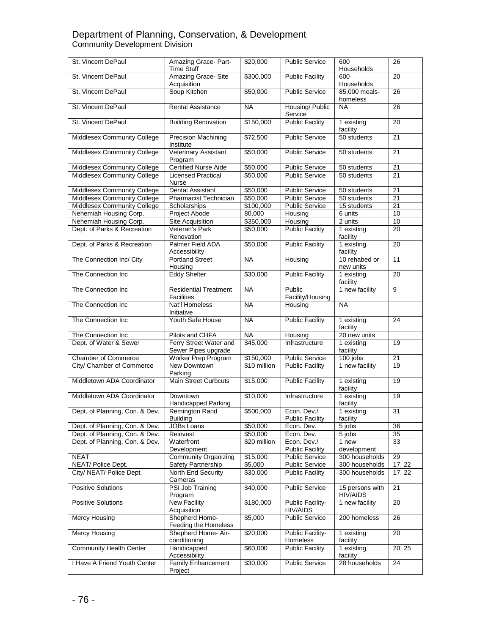# Department of Planning, Conservation, & Development Community Development Division

| St. Vincent DePaul             | Amazing Grace- Part-<br><b>Time Staff</b>         | \$20,000     | <b>Public Service</b>                 | 600<br>Households                  | $\overline{26}$ |
|--------------------------------|---------------------------------------------------|--------------|---------------------------------------|------------------------------------|-----------------|
| St. Vincent DePaul             | Amazing Grace-Site<br>Acquisition                 | \$300,000    | <b>Public Facility</b>                | 600<br>Households                  | 20              |
| St. Vincent DePaul             | Soup Kitchen                                      | \$50,000     | <b>Public Service</b>                 | 85,000 meals-<br>homeless          | 26              |
| St. Vincent DePaul             | <b>Rental Assistance</b>                          | <b>NA</b>    | Housing/ Public<br>Service            | <b>NA</b>                          | 26              |
| St. Vincent DePaul             | <b>Building Renovation</b>                        | \$150,000    | <b>Public Facility</b>                | 1 existing<br>facility             | 20              |
| Middlesex Community College    | <b>Precision Machining</b><br>Institute           | \$72,500     | <b>Public Service</b>                 | 50 students                        | 21              |
| Middlesex Community College    | Veterinary Assistant<br>Program                   | \$50,000     | <b>Public Service</b>                 | 50 students                        | $\overline{21}$ |
| Middlesex Community College    | <b>Certified Nurse Aide</b>                       | \$50,000     | <b>Public Service</b>                 | 50 students                        | $\overline{21}$ |
| Middlesex Community College    | <b>Licensed Practical</b><br><b>Nurse</b>         | \$50,000     | <b>Public Service</b>                 | 50 students                        | 21              |
| Middlesex Community College    | <b>Dental Assistant</b>                           | \$50,000     | <b>Public Service</b>                 | 50 students                        | 21              |
| Middlesex Community College    | Pharmacist Technician                             | \$50,000     | <b>Public Service</b>                 | 50 students                        | $\overline{21}$ |
| Middlesex Community College    | Scholarships                                      | \$100,000    | <b>Public Service</b>                 | 15 students                        | 21              |
| Nehemiah Housing Corp.         | Project Abode                                     | 80,000       | Housing                               | 6 units                            | 10              |
| Nehemiah Housing Corp.         | <b>Site Acquisition</b>                           | \$350,000    | Housing                               | 2 units                            | $\overline{10}$ |
| Dept. of Parks & Recreation    | Veteran's Park<br>Renovation                      | \$50,000     | <b>Public Facility</b>                | 1 existing<br>facility             | $\overline{20}$ |
| Dept. of Parks & Recreation    | Palmer Field ADA<br>Accessibility                 | \$50,000     | <b>Public Facility</b>                | 1 existing<br>facility             | $\overline{20}$ |
| The Connection Inc/ City       | <b>Portland Street</b><br>Housing                 | <b>NA</b>    | Housing                               | 10 rehabed or<br>new units         | $\overline{11}$ |
| The Connection Inc             | <b>Eddy Shelter</b>                               | \$30,000     | <b>Public Facility</b>                | 1 existing<br>facility             | 20              |
| The Connection Inc.            | <b>Residential Treatment</b><br><b>Facilities</b> | <b>NA</b>    | Public<br>Facility/Housing            | 1 new facility                     | $\overline{9}$  |
| The Connection Inc             | Nat'l Homeless<br>Initiative                      | <b>NA</b>    | Housing                               | <b>NA</b>                          |                 |
| The Connection Inc             | Youth Safe House                                  | <b>NA</b>    | <b>Public Facility</b>                | 1 existing<br>facility             | 24              |
| The Connection Inc             | Pilots and CHFA                                   | <b>NA</b>    | Housing                               | 20 new units                       |                 |
| Dept. of Water & Sewer         | Ferry Street Water and<br>Sewer Pipes upgrade     | \$45,000     | Infrastructure                        | 1 existing<br>facility             | $\overline{19}$ |
| Chamber of Commerce            | Worker Prep Program                               | \$150,000    | <b>Public Service</b>                 | 100 jobs                           | $\overline{21}$ |
| City/ Chamber of Commerce      | New Downtown<br>Parking                           | \$10 million | <b>Public Facility</b>                | 1 new facility                     | 19              |
| Middletown ADA Coordinator     | <b>Main Street Curbcuts</b>                       | \$15,000     | <b>Public Facility</b>                | 1 existing<br>facility             | $\overline{19}$ |
| Middletown ADA Coordinator     | Downtown<br><b>Handicapped Parking</b>            | \$10,000     | Infrastructure                        | 1 existing<br>facility             | $\overline{19}$ |
| Dept. of Planning, Con. & Dev. | Remington Rand<br><b>Building</b>                 | \$500,000    | Econ. Dev./<br><b>Public Facility</b> | 1 existing<br>facility             | $\overline{31}$ |
| Dept. of Planning, Con. & Dev. | JOBs Loans                                        | \$50,000     | Econ. Dev.                            | 5 jobs                             | 36              |
| Dept. of Planning, Con. & Dev. | Reinvest                                          | \$50,000     | Econ. Dev.                            | 5 jobs                             | 35              |
| Dept. of Planning, Con. & Dev. | Waterfront<br>Development                         | \$20 million | Econ. Dev./<br><b>Public Facility</b> | 1 new<br>development               | 33              |
| <b>NEAT</b>                    | <b>Community Organizing</b>                       | \$15,000     | <b>Public Service</b>                 | 300 households                     | 29              |
| NEAT/ Police Dept.             | <b>Safety Partnership</b>                         | \$5,000      | <b>Public Service</b>                 | 300 households                     | 17, 22          |
| City/ NEAT/ Police Dept.       | North End Security<br>Cameras                     | \$30,000     | <b>Public Facility</b>                | 300 households                     | 17, 22          |
| <b>Positive Solutions</b>      | PSI Job Training<br>Program                       | \$40,000     | <b>Public Service</b>                 | 15 persons with<br><b>HIV/AIDS</b> | 21              |
| <b>Positive Solutions</b>      | <b>New Facility</b><br>Acquisition                | \$180,000    | Public Facility-<br><b>HIV/AIDS</b>   | 1 new facility                     | 20              |
| Mercy Housing                  | Shepherd Home-<br>Feeding the Homeless            | \$5,000      | <b>Public Service</b>                 | 200 homeless                       | 26              |
| Mercy Housing                  | Shepherd Home-Air-<br>conditioning                | \$20,000     | Public Facility-<br><b>Homeless</b>   | 1 existing<br>facility             | 20              |
| <b>Community Health Center</b> | Handicapped<br>Accessibility                      | \$60,000     | <b>Public Facility</b>                | 1 existing<br>facility             | 20, 25          |
| I Have A Friend Youth Center   | <b>Family Enhancement</b><br>Project              | \$30,000     | <b>Public Service</b>                 | 28 households                      | 24              |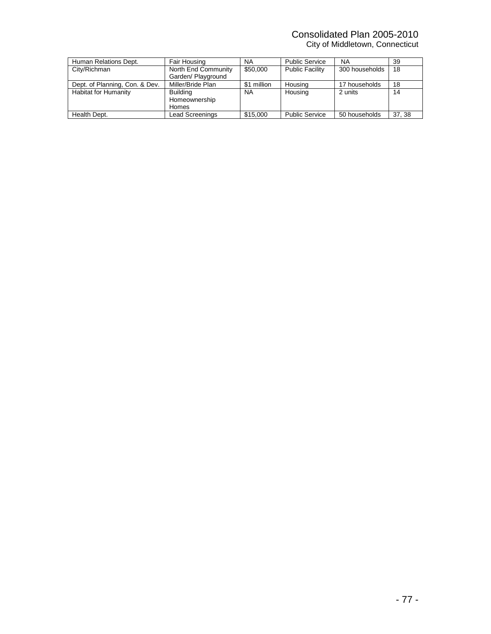# Consolidated Plan 2005-2010

City of Middletown, Connecticut

| Human Relations Dept.          | Fair Housing        | <b>NA</b>   | <b>Public Service</b>  | <b>NA</b>      | 39     |
|--------------------------------|---------------------|-------------|------------------------|----------------|--------|
| City/Richman                   | North End Community | \$50,000    | <b>Public Facility</b> | 300 households | 18     |
|                                | Garden/ Playground  |             |                        |                |        |
| Dept. of Planning, Con. & Dev. | Miller/Bride Plan   | \$1 million | Housing                | 17 households  | 18     |
| Habitat for Humanity           | <b>Building</b>     | <b>NA</b>   | Housing                | 2 units        | 14     |
|                                | Homeownership       |             |                        |                |        |
|                                | <b>Homes</b>        |             |                        |                |        |
| Health Dept.                   | Lead Screenings     | \$15,000    | <b>Public Service</b>  | 50 households  | 37, 38 |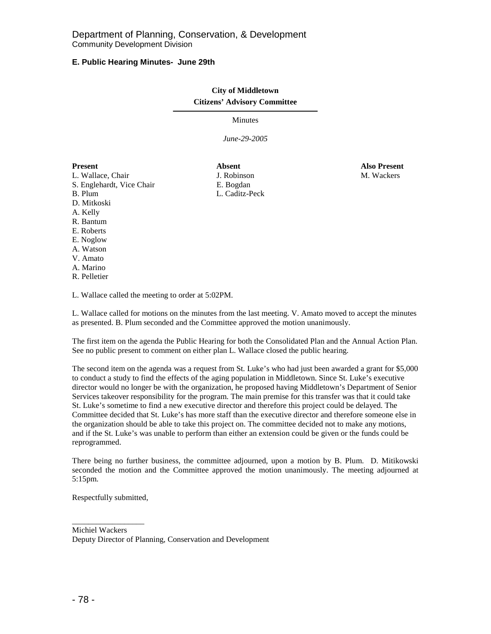# **E. Public Hearing Minutes- June 29th**

# **City of Middletown Citizens' Advisory Committee**

Minutes

*June-29-2005* 

# **Present Absent Also Present**  L. Wallace, Chair **J. Robinson** J. Robinson **M. Wackers** S. Englehardt, Vice Chair F. Bogdan B. Plum L. Caditz-Peck D. Mitkoski A. Kelly R. Bantum E. Roberts E. Noglow A. Watson V. Amato A. Marino R. Pelletier

L. Wallace called the meeting to order at 5:02PM.

L. Wallace called for motions on the minutes from the last meeting. V. Amato moved to accept the minutes as presented. B. Plum seconded and the Committee approved the motion unanimously.

The first item on the agenda the Public Hearing for both the Consolidated Plan and the Annual Action Plan. See no public present to comment on either plan L. Wallace closed the public hearing.

The second item on the agenda was a request from St. Luke's who had just been awarded a grant for \$5,000 to conduct a study to find the effects of the aging population in Middletown. Since St. Luke's executive director would no longer be with the organization, he proposed having Middletown's Department of Senior Services takeover responsibility for the program. The main premise for this transfer was that it could take St. Luke's sometime to find a new executive director and therefore this project could be delayed. The Committee decided that St. Luke's has more staff than the executive director and therefore someone else in the organization should be able to take this project on. The committee decided not to make any motions, and if the St. Luke's was unable to perform than either an extension could be given or the funds could be reprogrammed.

There being no further business, the committee adjourned, upon a motion by B. Plum. D. Mitikowski seconded the motion and the Committee approved the motion unanimously. The meeting adjourned at 5:15pm.

Respectfully submitted,

\_\_\_\_\_\_\_\_\_\_\_\_\_\_\_\_\_\_

Michiel Wackers Deputy Director of Planning, Conservation and Development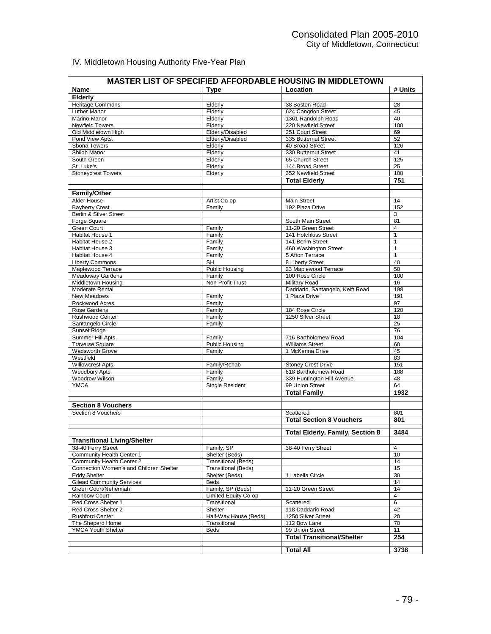# IV. Middletown Housing Authority Five-Year Plan

| # Units<br>Location<br><b>Name</b><br><b>Type</b><br>Elderly<br><b>Heritage Commons</b><br>Elderly<br>28<br>38 Boston Road<br>Luther Manor<br>Elderly<br>45<br>624 Congdon Street<br>Marino Manor<br>Elderly<br>1361 Randolph Road<br>40<br><b>Newfield Towers</b><br>220 Newfield Street<br>100<br>Elderly<br>Old Middletown High<br>Elderly/Disabled<br>251 Court Street<br>69<br>Elderly/Disabled<br>52<br>Pond View Apts.<br>335 Butternut Street<br>Sbona Towers<br>Elderly<br>40 Broad Street<br>126<br>Shiloh Manor<br>Elderly<br>330 Butternut Street<br>41<br>125<br>South Green<br>Elderly<br>65 Church Street<br>144 Broad Street<br>St. Luke's<br>Elderly<br>25<br><b>Stoneycrest Towers</b><br>352 Newfield Street<br>100<br>Elderly<br>751<br><b>Total Elderly</b><br><b>Family/Other</b><br>Alder House<br><b>Main Street</b><br>14<br>Artist Co-op<br><b>Bayberry Crest</b><br>192 Plaza Drive<br>152<br>Family<br>Berlin & Silver Street<br>3<br>Forge Square<br>81<br>South Main Street<br>Green Court<br>Family<br>11-20 Green Street<br>$\overline{4}$<br><b>Habitat House 1</b><br>Family<br>141 Hotchkiss Street<br>$\mathbf{1}$<br>141 Berlin Street<br>Habitat House 2<br>Family<br>$\mathbf{1}$<br>Habitat House 3<br>Family<br>460 Washington Street<br>$\mathbf{1}$<br>Habitat House 4<br>5 Afton Terrace<br>Family<br>$\mathbf{1}$<br><b>SH</b><br>8 Liberty Street<br>40<br><b>Liberty Commons</b><br><b>Public Housing</b><br>50<br>Maplewood Terrace<br>23 Maplewood Terrace<br>100<br>100 Rose Circle<br><b>Meadoway Gardens</b><br>Family<br>Middletown Housing<br>Non-Profit Trust<br><b>Military Road</b><br>16<br>Daddario, Santangelo, Keift Road<br>Moderate Rental<br>198<br>1 Plaza Drive<br>191<br>New Meadows<br>Family<br>97<br>Rockwood Acres<br>Family<br>Family<br>184 Rose Circle<br>120<br>Rose Gardens<br>1250 Silver Street<br>18<br><b>Rushwood Center</b><br>Family<br>25<br>Santangelo Circle<br>Family<br>76<br>Sunset Ridge<br>104<br>Summer Hill Apts.<br>Family<br>716 Bartholomew Road<br><b>Public Housing</b><br><b>Traverse Square</b><br><b>Williams Street</b><br>60<br>1 McKenna Drive<br>45<br>Wadsworth Grove<br>Family<br>Westfield<br>83<br>Willowcrest Apts.<br><b>Stoney Crest Drive</b><br>151<br>Family/Rehab<br>Woodbury Apts.<br>188<br>Family<br>818 Bartholomew Road<br>Woodrow Wilson<br>339 Huntington Hill Avenue<br>48<br>Family<br><b>YMCA</b><br><b>Single Resident</b><br>64<br>99 Union Street<br><b>Total Family</b><br>1932<br><b>Section 8 Vouchers</b><br>Section 8 Vouchers<br>Scattered<br>801<br><b>Total Section 8 Vouchers</b><br>801<br>3484<br><b>Total Elderly, Family, Section 8</b><br><b>Transitional Living/Shelter</b><br>38-40 Ferry Street<br>Family, SP<br>38-40 Ferry Street<br>4<br>Community Health Center 1<br>Shelter (Beds)<br>10<br>Community Health Center 2<br><b>Transitional (Beds)</b><br>14<br>Connection Women's and Children Shelter<br><b>Transitional (Beds)</b><br>15<br>1 Labella Circle<br>30<br><b>Eddy Shelter</b><br>Shelter (Beds)<br><b>Gilead Community Services</b><br>14<br>Beds<br>Family, SP (Beds)<br>14<br>Green Court/Nehemiah<br>11-20 Green Street<br>$\overline{4}$<br>Rainbow Court<br>Limited Equity Co-op<br>Red Cross Shelter 1<br>Transitional<br>Scattered<br>6<br>118 Daddario Road<br>42<br>Red Cross Shelter 2<br>Shelter<br>Half-Way House (Beds)<br><b>Rushford Center</b><br>1250 Silver Street<br>20<br>70<br>The Sheperd Home<br>Transitional<br>112 Bow Lane<br>11<br>YMCA Youth Shelter<br><b>Beds</b><br>99 Union Street<br><b>Total Transitional/Shelter</b><br>254 | <b>MASTER LIST OF SPECIFIED AFFORDABLE HOUSING IN MIDDLETOWN</b> |  |                  |      |  |  |  |
|-----------------------------------------------------------------------------------------------------------------------------------------------------------------------------------------------------------------------------------------------------------------------------------------------------------------------------------------------------------------------------------------------------------------------------------------------------------------------------------------------------------------------------------------------------------------------------------------------------------------------------------------------------------------------------------------------------------------------------------------------------------------------------------------------------------------------------------------------------------------------------------------------------------------------------------------------------------------------------------------------------------------------------------------------------------------------------------------------------------------------------------------------------------------------------------------------------------------------------------------------------------------------------------------------------------------------------------------------------------------------------------------------------------------------------------------------------------------------------------------------------------------------------------------------------------------------------------------------------------------------------------------------------------------------------------------------------------------------------------------------------------------------------------------------------------------------------------------------------------------------------------------------------------------------------------------------------------------------------------------------------------------------------------------------------------------------------------------------------------------------------------------------------------------------------------------------------------------------------------------------------------------------------------------------------------------------------------------------------------------------------------------------------------------------------------------------------------------------------------------------------------------------------------------------------------------------------------------------------------------------------------------------------------------------------------------------------------------------------------------------------------------------------------------------------------------------------------------------------------------------------------------------------------------------------------------------------------------------------------------------------------------------------------------------------------------------------------------------------------------------------------------------------------------------------------------------------------------------------------------------------------------------------------------------------------------------------------------------------------------------------------------------------------------------------------------------------------------------------------------------------------------------------------------------------------------------------------------------------------------------------------|------------------------------------------------------------------|--|------------------|------|--|--|--|
|                                                                                                                                                                                                                                                                                                                                                                                                                                                                                                                                                                                                                                                                                                                                                                                                                                                                                                                                                                                                                                                                                                                                                                                                                                                                                                                                                                                                                                                                                                                                                                                                                                                                                                                                                                                                                                                                                                                                                                                                                                                                                                                                                                                                                                                                                                                                                                                                                                                                                                                                                                                                                                                                                                                                                                                                                                                                                                                                                                                                                                                                                                                                                                                                                                                                                                                                                                                                                                                                                                                                                                                                                                   |                                                                  |  |                  |      |  |  |  |
|                                                                                                                                                                                                                                                                                                                                                                                                                                                                                                                                                                                                                                                                                                                                                                                                                                                                                                                                                                                                                                                                                                                                                                                                                                                                                                                                                                                                                                                                                                                                                                                                                                                                                                                                                                                                                                                                                                                                                                                                                                                                                                                                                                                                                                                                                                                                                                                                                                                                                                                                                                                                                                                                                                                                                                                                                                                                                                                                                                                                                                                                                                                                                                                                                                                                                                                                                                                                                                                                                                                                                                                                                                   |                                                                  |  |                  |      |  |  |  |
|                                                                                                                                                                                                                                                                                                                                                                                                                                                                                                                                                                                                                                                                                                                                                                                                                                                                                                                                                                                                                                                                                                                                                                                                                                                                                                                                                                                                                                                                                                                                                                                                                                                                                                                                                                                                                                                                                                                                                                                                                                                                                                                                                                                                                                                                                                                                                                                                                                                                                                                                                                                                                                                                                                                                                                                                                                                                                                                                                                                                                                                                                                                                                                                                                                                                                                                                                                                                                                                                                                                                                                                                                                   |                                                                  |  |                  |      |  |  |  |
|                                                                                                                                                                                                                                                                                                                                                                                                                                                                                                                                                                                                                                                                                                                                                                                                                                                                                                                                                                                                                                                                                                                                                                                                                                                                                                                                                                                                                                                                                                                                                                                                                                                                                                                                                                                                                                                                                                                                                                                                                                                                                                                                                                                                                                                                                                                                                                                                                                                                                                                                                                                                                                                                                                                                                                                                                                                                                                                                                                                                                                                                                                                                                                                                                                                                                                                                                                                                                                                                                                                                                                                                                                   |                                                                  |  |                  |      |  |  |  |
|                                                                                                                                                                                                                                                                                                                                                                                                                                                                                                                                                                                                                                                                                                                                                                                                                                                                                                                                                                                                                                                                                                                                                                                                                                                                                                                                                                                                                                                                                                                                                                                                                                                                                                                                                                                                                                                                                                                                                                                                                                                                                                                                                                                                                                                                                                                                                                                                                                                                                                                                                                                                                                                                                                                                                                                                                                                                                                                                                                                                                                                                                                                                                                                                                                                                                                                                                                                                                                                                                                                                                                                                                                   |                                                                  |  |                  |      |  |  |  |
|                                                                                                                                                                                                                                                                                                                                                                                                                                                                                                                                                                                                                                                                                                                                                                                                                                                                                                                                                                                                                                                                                                                                                                                                                                                                                                                                                                                                                                                                                                                                                                                                                                                                                                                                                                                                                                                                                                                                                                                                                                                                                                                                                                                                                                                                                                                                                                                                                                                                                                                                                                                                                                                                                                                                                                                                                                                                                                                                                                                                                                                                                                                                                                                                                                                                                                                                                                                                                                                                                                                                                                                                                                   |                                                                  |  |                  |      |  |  |  |
|                                                                                                                                                                                                                                                                                                                                                                                                                                                                                                                                                                                                                                                                                                                                                                                                                                                                                                                                                                                                                                                                                                                                                                                                                                                                                                                                                                                                                                                                                                                                                                                                                                                                                                                                                                                                                                                                                                                                                                                                                                                                                                                                                                                                                                                                                                                                                                                                                                                                                                                                                                                                                                                                                                                                                                                                                                                                                                                                                                                                                                                                                                                                                                                                                                                                                                                                                                                                                                                                                                                                                                                                                                   |                                                                  |  |                  |      |  |  |  |
|                                                                                                                                                                                                                                                                                                                                                                                                                                                                                                                                                                                                                                                                                                                                                                                                                                                                                                                                                                                                                                                                                                                                                                                                                                                                                                                                                                                                                                                                                                                                                                                                                                                                                                                                                                                                                                                                                                                                                                                                                                                                                                                                                                                                                                                                                                                                                                                                                                                                                                                                                                                                                                                                                                                                                                                                                                                                                                                                                                                                                                                                                                                                                                                                                                                                                                                                                                                                                                                                                                                                                                                                                                   |                                                                  |  |                  |      |  |  |  |
|                                                                                                                                                                                                                                                                                                                                                                                                                                                                                                                                                                                                                                                                                                                                                                                                                                                                                                                                                                                                                                                                                                                                                                                                                                                                                                                                                                                                                                                                                                                                                                                                                                                                                                                                                                                                                                                                                                                                                                                                                                                                                                                                                                                                                                                                                                                                                                                                                                                                                                                                                                                                                                                                                                                                                                                                                                                                                                                                                                                                                                                                                                                                                                                                                                                                                                                                                                                                                                                                                                                                                                                                                                   |                                                                  |  |                  |      |  |  |  |
|                                                                                                                                                                                                                                                                                                                                                                                                                                                                                                                                                                                                                                                                                                                                                                                                                                                                                                                                                                                                                                                                                                                                                                                                                                                                                                                                                                                                                                                                                                                                                                                                                                                                                                                                                                                                                                                                                                                                                                                                                                                                                                                                                                                                                                                                                                                                                                                                                                                                                                                                                                                                                                                                                                                                                                                                                                                                                                                                                                                                                                                                                                                                                                                                                                                                                                                                                                                                                                                                                                                                                                                                                                   |                                                                  |  |                  |      |  |  |  |
|                                                                                                                                                                                                                                                                                                                                                                                                                                                                                                                                                                                                                                                                                                                                                                                                                                                                                                                                                                                                                                                                                                                                                                                                                                                                                                                                                                                                                                                                                                                                                                                                                                                                                                                                                                                                                                                                                                                                                                                                                                                                                                                                                                                                                                                                                                                                                                                                                                                                                                                                                                                                                                                                                                                                                                                                                                                                                                                                                                                                                                                                                                                                                                                                                                                                                                                                                                                                                                                                                                                                                                                                                                   |                                                                  |  |                  |      |  |  |  |
|                                                                                                                                                                                                                                                                                                                                                                                                                                                                                                                                                                                                                                                                                                                                                                                                                                                                                                                                                                                                                                                                                                                                                                                                                                                                                                                                                                                                                                                                                                                                                                                                                                                                                                                                                                                                                                                                                                                                                                                                                                                                                                                                                                                                                                                                                                                                                                                                                                                                                                                                                                                                                                                                                                                                                                                                                                                                                                                                                                                                                                                                                                                                                                                                                                                                                                                                                                                                                                                                                                                                                                                                                                   |                                                                  |  |                  |      |  |  |  |
|                                                                                                                                                                                                                                                                                                                                                                                                                                                                                                                                                                                                                                                                                                                                                                                                                                                                                                                                                                                                                                                                                                                                                                                                                                                                                                                                                                                                                                                                                                                                                                                                                                                                                                                                                                                                                                                                                                                                                                                                                                                                                                                                                                                                                                                                                                                                                                                                                                                                                                                                                                                                                                                                                                                                                                                                                                                                                                                                                                                                                                                                                                                                                                                                                                                                                                                                                                                                                                                                                                                                                                                                                                   |                                                                  |  |                  |      |  |  |  |
|                                                                                                                                                                                                                                                                                                                                                                                                                                                                                                                                                                                                                                                                                                                                                                                                                                                                                                                                                                                                                                                                                                                                                                                                                                                                                                                                                                                                                                                                                                                                                                                                                                                                                                                                                                                                                                                                                                                                                                                                                                                                                                                                                                                                                                                                                                                                                                                                                                                                                                                                                                                                                                                                                                                                                                                                                                                                                                                                                                                                                                                                                                                                                                                                                                                                                                                                                                                                                                                                                                                                                                                                                                   |                                                                  |  |                  |      |  |  |  |
|                                                                                                                                                                                                                                                                                                                                                                                                                                                                                                                                                                                                                                                                                                                                                                                                                                                                                                                                                                                                                                                                                                                                                                                                                                                                                                                                                                                                                                                                                                                                                                                                                                                                                                                                                                                                                                                                                                                                                                                                                                                                                                                                                                                                                                                                                                                                                                                                                                                                                                                                                                                                                                                                                                                                                                                                                                                                                                                                                                                                                                                                                                                                                                                                                                                                                                                                                                                                                                                                                                                                                                                                                                   |                                                                  |  |                  |      |  |  |  |
|                                                                                                                                                                                                                                                                                                                                                                                                                                                                                                                                                                                                                                                                                                                                                                                                                                                                                                                                                                                                                                                                                                                                                                                                                                                                                                                                                                                                                                                                                                                                                                                                                                                                                                                                                                                                                                                                                                                                                                                                                                                                                                                                                                                                                                                                                                                                                                                                                                                                                                                                                                                                                                                                                                                                                                                                                                                                                                                                                                                                                                                                                                                                                                                                                                                                                                                                                                                                                                                                                                                                                                                                                                   |                                                                  |  |                  |      |  |  |  |
|                                                                                                                                                                                                                                                                                                                                                                                                                                                                                                                                                                                                                                                                                                                                                                                                                                                                                                                                                                                                                                                                                                                                                                                                                                                                                                                                                                                                                                                                                                                                                                                                                                                                                                                                                                                                                                                                                                                                                                                                                                                                                                                                                                                                                                                                                                                                                                                                                                                                                                                                                                                                                                                                                                                                                                                                                                                                                                                                                                                                                                                                                                                                                                                                                                                                                                                                                                                                                                                                                                                                                                                                                                   |                                                                  |  |                  |      |  |  |  |
|                                                                                                                                                                                                                                                                                                                                                                                                                                                                                                                                                                                                                                                                                                                                                                                                                                                                                                                                                                                                                                                                                                                                                                                                                                                                                                                                                                                                                                                                                                                                                                                                                                                                                                                                                                                                                                                                                                                                                                                                                                                                                                                                                                                                                                                                                                                                                                                                                                                                                                                                                                                                                                                                                                                                                                                                                                                                                                                                                                                                                                                                                                                                                                                                                                                                                                                                                                                                                                                                                                                                                                                                                                   |                                                                  |  |                  |      |  |  |  |
|                                                                                                                                                                                                                                                                                                                                                                                                                                                                                                                                                                                                                                                                                                                                                                                                                                                                                                                                                                                                                                                                                                                                                                                                                                                                                                                                                                                                                                                                                                                                                                                                                                                                                                                                                                                                                                                                                                                                                                                                                                                                                                                                                                                                                                                                                                                                                                                                                                                                                                                                                                                                                                                                                                                                                                                                                                                                                                                                                                                                                                                                                                                                                                                                                                                                                                                                                                                                                                                                                                                                                                                                                                   |                                                                  |  |                  |      |  |  |  |
|                                                                                                                                                                                                                                                                                                                                                                                                                                                                                                                                                                                                                                                                                                                                                                                                                                                                                                                                                                                                                                                                                                                                                                                                                                                                                                                                                                                                                                                                                                                                                                                                                                                                                                                                                                                                                                                                                                                                                                                                                                                                                                                                                                                                                                                                                                                                                                                                                                                                                                                                                                                                                                                                                                                                                                                                                                                                                                                                                                                                                                                                                                                                                                                                                                                                                                                                                                                                                                                                                                                                                                                                                                   |                                                                  |  |                  |      |  |  |  |
|                                                                                                                                                                                                                                                                                                                                                                                                                                                                                                                                                                                                                                                                                                                                                                                                                                                                                                                                                                                                                                                                                                                                                                                                                                                                                                                                                                                                                                                                                                                                                                                                                                                                                                                                                                                                                                                                                                                                                                                                                                                                                                                                                                                                                                                                                                                                                                                                                                                                                                                                                                                                                                                                                                                                                                                                                                                                                                                                                                                                                                                                                                                                                                                                                                                                                                                                                                                                                                                                                                                                                                                                                                   |                                                                  |  |                  |      |  |  |  |
|                                                                                                                                                                                                                                                                                                                                                                                                                                                                                                                                                                                                                                                                                                                                                                                                                                                                                                                                                                                                                                                                                                                                                                                                                                                                                                                                                                                                                                                                                                                                                                                                                                                                                                                                                                                                                                                                                                                                                                                                                                                                                                                                                                                                                                                                                                                                                                                                                                                                                                                                                                                                                                                                                                                                                                                                                                                                                                                                                                                                                                                                                                                                                                                                                                                                                                                                                                                                                                                                                                                                                                                                                                   |                                                                  |  |                  |      |  |  |  |
|                                                                                                                                                                                                                                                                                                                                                                                                                                                                                                                                                                                                                                                                                                                                                                                                                                                                                                                                                                                                                                                                                                                                                                                                                                                                                                                                                                                                                                                                                                                                                                                                                                                                                                                                                                                                                                                                                                                                                                                                                                                                                                                                                                                                                                                                                                                                                                                                                                                                                                                                                                                                                                                                                                                                                                                                                                                                                                                                                                                                                                                                                                                                                                                                                                                                                                                                                                                                                                                                                                                                                                                                                                   |                                                                  |  |                  |      |  |  |  |
|                                                                                                                                                                                                                                                                                                                                                                                                                                                                                                                                                                                                                                                                                                                                                                                                                                                                                                                                                                                                                                                                                                                                                                                                                                                                                                                                                                                                                                                                                                                                                                                                                                                                                                                                                                                                                                                                                                                                                                                                                                                                                                                                                                                                                                                                                                                                                                                                                                                                                                                                                                                                                                                                                                                                                                                                                                                                                                                                                                                                                                                                                                                                                                                                                                                                                                                                                                                                                                                                                                                                                                                                                                   |                                                                  |  |                  |      |  |  |  |
|                                                                                                                                                                                                                                                                                                                                                                                                                                                                                                                                                                                                                                                                                                                                                                                                                                                                                                                                                                                                                                                                                                                                                                                                                                                                                                                                                                                                                                                                                                                                                                                                                                                                                                                                                                                                                                                                                                                                                                                                                                                                                                                                                                                                                                                                                                                                                                                                                                                                                                                                                                                                                                                                                                                                                                                                                                                                                                                                                                                                                                                                                                                                                                                                                                                                                                                                                                                                                                                                                                                                                                                                                                   |                                                                  |  |                  |      |  |  |  |
|                                                                                                                                                                                                                                                                                                                                                                                                                                                                                                                                                                                                                                                                                                                                                                                                                                                                                                                                                                                                                                                                                                                                                                                                                                                                                                                                                                                                                                                                                                                                                                                                                                                                                                                                                                                                                                                                                                                                                                                                                                                                                                                                                                                                                                                                                                                                                                                                                                                                                                                                                                                                                                                                                                                                                                                                                                                                                                                                                                                                                                                                                                                                                                                                                                                                                                                                                                                                                                                                                                                                                                                                                                   |                                                                  |  |                  |      |  |  |  |
|                                                                                                                                                                                                                                                                                                                                                                                                                                                                                                                                                                                                                                                                                                                                                                                                                                                                                                                                                                                                                                                                                                                                                                                                                                                                                                                                                                                                                                                                                                                                                                                                                                                                                                                                                                                                                                                                                                                                                                                                                                                                                                                                                                                                                                                                                                                                                                                                                                                                                                                                                                                                                                                                                                                                                                                                                                                                                                                                                                                                                                                                                                                                                                                                                                                                                                                                                                                                                                                                                                                                                                                                                                   |                                                                  |  |                  |      |  |  |  |
|                                                                                                                                                                                                                                                                                                                                                                                                                                                                                                                                                                                                                                                                                                                                                                                                                                                                                                                                                                                                                                                                                                                                                                                                                                                                                                                                                                                                                                                                                                                                                                                                                                                                                                                                                                                                                                                                                                                                                                                                                                                                                                                                                                                                                                                                                                                                                                                                                                                                                                                                                                                                                                                                                                                                                                                                                                                                                                                                                                                                                                                                                                                                                                                                                                                                                                                                                                                                                                                                                                                                                                                                                                   |                                                                  |  |                  |      |  |  |  |
|                                                                                                                                                                                                                                                                                                                                                                                                                                                                                                                                                                                                                                                                                                                                                                                                                                                                                                                                                                                                                                                                                                                                                                                                                                                                                                                                                                                                                                                                                                                                                                                                                                                                                                                                                                                                                                                                                                                                                                                                                                                                                                                                                                                                                                                                                                                                                                                                                                                                                                                                                                                                                                                                                                                                                                                                                                                                                                                                                                                                                                                                                                                                                                                                                                                                                                                                                                                                                                                                                                                                                                                                                                   |                                                                  |  |                  |      |  |  |  |
|                                                                                                                                                                                                                                                                                                                                                                                                                                                                                                                                                                                                                                                                                                                                                                                                                                                                                                                                                                                                                                                                                                                                                                                                                                                                                                                                                                                                                                                                                                                                                                                                                                                                                                                                                                                                                                                                                                                                                                                                                                                                                                                                                                                                                                                                                                                                                                                                                                                                                                                                                                                                                                                                                                                                                                                                                                                                                                                                                                                                                                                                                                                                                                                                                                                                                                                                                                                                                                                                                                                                                                                                                                   |                                                                  |  |                  |      |  |  |  |
|                                                                                                                                                                                                                                                                                                                                                                                                                                                                                                                                                                                                                                                                                                                                                                                                                                                                                                                                                                                                                                                                                                                                                                                                                                                                                                                                                                                                                                                                                                                                                                                                                                                                                                                                                                                                                                                                                                                                                                                                                                                                                                                                                                                                                                                                                                                                                                                                                                                                                                                                                                                                                                                                                                                                                                                                                                                                                                                                                                                                                                                                                                                                                                                                                                                                                                                                                                                                                                                                                                                                                                                                                                   |                                                                  |  |                  |      |  |  |  |
|                                                                                                                                                                                                                                                                                                                                                                                                                                                                                                                                                                                                                                                                                                                                                                                                                                                                                                                                                                                                                                                                                                                                                                                                                                                                                                                                                                                                                                                                                                                                                                                                                                                                                                                                                                                                                                                                                                                                                                                                                                                                                                                                                                                                                                                                                                                                                                                                                                                                                                                                                                                                                                                                                                                                                                                                                                                                                                                                                                                                                                                                                                                                                                                                                                                                                                                                                                                                                                                                                                                                                                                                                                   |                                                                  |  |                  |      |  |  |  |
|                                                                                                                                                                                                                                                                                                                                                                                                                                                                                                                                                                                                                                                                                                                                                                                                                                                                                                                                                                                                                                                                                                                                                                                                                                                                                                                                                                                                                                                                                                                                                                                                                                                                                                                                                                                                                                                                                                                                                                                                                                                                                                                                                                                                                                                                                                                                                                                                                                                                                                                                                                                                                                                                                                                                                                                                                                                                                                                                                                                                                                                                                                                                                                                                                                                                                                                                                                                                                                                                                                                                                                                                                                   |                                                                  |  |                  |      |  |  |  |
|                                                                                                                                                                                                                                                                                                                                                                                                                                                                                                                                                                                                                                                                                                                                                                                                                                                                                                                                                                                                                                                                                                                                                                                                                                                                                                                                                                                                                                                                                                                                                                                                                                                                                                                                                                                                                                                                                                                                                                                                                                                                                                                                                                                                                                                                                                                                                                                                                                                                                                                                                                                                                                                                                                                                                                                                                                                                                                                                                                                                                                                                                                                                                                                                                                                                                                                                                                                                                                                                                                                                                                                                                                   |                                                                  |  |                  |      |  |  |  |
|                                                                                                                                                                                                                                                                                                                                                                                                                                                                                                                                                                                                                                                                                                                                                                                                                                                                                                                                                                                                                                                                                                                                                                                                                                                                                                                                                                                                                                                                                                                                                                                                                                                                                                                                                                                                                                                                                                                                                                                                                                                                                                                                                                                                                                                                                                                                                                                                                                                                                                                                                                                                                                                                                                                                                                                                                                                                                                                                                                                                                                                                                                                                                                                                                                                                                                                                                                                                                                                                                                                                                                                                                                   |                                                                  |  |                  |      |  |  |  |
|                                                                                                                                                                                                                                                                                                                                                                                                                                                                                                                                                                                                                                                                                                                                                                                                                                                                                                                                                                                                                                                                                                                                                                                                                                                                                                                                                                                                                                                                                                                                                                                                                                                                                                                                                                                                                                                                                                                                                                                                                                                                                                                                                                                                                                                                                                                                                                                                                                                                                                                                                                                                                                                                                                                                                                                                                                                                                                                                                                                                                                                                                                                                                                                                                                                                                                                                                                                                                                                                                                                                                                                                                                   |                                                                  |  |                  |      |  |  |  |
|                                                                                                                                                                                                                                                                                                                                                                                                                                                                                                                                                                                                                                                                                                                                                                                                                                                                                                                                                                                                                                                                                                                                                                                                                                                                                                                                                                                                                                                                                                                                                                                                                                                                                                                                                                                                                                                                                                                                                                                                                                                                                                                                                                                                                                                                                                                                                                                                                                                                                                                                                                                                                                                                                                                                                                                                                                                                                                                                                                                                                                                                                                                                                                                                                                                                                                                                                                                                                                                                                                                                                                                                                                   |                                                                  |  |                  |      |  |  |  |
|                                                                                                                                                                                                                                                                                                                                                                                                                                                                                                                                                                                                                                                                                                                                                                                                                                                                                                                                                                                                                                                                                                                                                                                                                                                                                                                                                                                                                                                                                                                                                                                                                                                                                                                                                                                                                                                                                                                                                                                                                                                                                                                                                                                                                                                                                                                                                                                                                                                                                                                                                                                                                                                                                                                                                                                                                                                                                                                                                                                                                                                                                                                                                                                                                                                                                                                                                                                                                                                                                                                                                                                                                                   |                                                                  |  |                  |      |  |  |  |
|                                                                                                                                                                                                                                                                                                                                                                                                                                                                                                                                                                                                                                                                                                                                                                                                                                                                                                                                                                                                                                                                                                                                                                                                                                                                                                                                                                                                                                                                                                                                                                                                                                                                                                                                                                                                                                                                                                                                                                                                                                                                                                                                                                                                                                                                                                                                                                                                                                                                                                                                                                                                                                                                                                                                                                                                                                                                                                                                                                                                                                                                                                                                                                                                                                                                                                                                                                                                                                                                                                                                                                                                                                   |                                                                  |  |                  |      |  |  |  |
|                                                                                                                                                                                                                                                                                                                                                                                                                                                                                                                                                                                                                                                                                                                                                                                                                                                                                                                                                                                                                                                                                                                                                                                                                                                                                                                                                                                                                                                                                                                                                                                                                                                                                                                                                                                                                                                                                                                                                                                                                                                                                                                                                                                                                                                                                                                                                                                                                                                                                                                                                                                                                                                                                                                                                                                                                                                                                                                                                                                                                                                                                                                                                                                                                                                                                                                                                                                                                                                                                                                                                                                                                                   |                                                                  |  |                  |      |  |  |  |
|                                                                                                                                                                                                                                                                                                                                                                                                                                                                                                                                                                                                                                                                                                                                                                                                                                                                                                                                                                                                                                                                                                                                                                                                                                                                                                                                                                                                                                                                                                                                                                                                                                                                                                                                                                                                                                                                                                                                                                                                                                                                                                                                                                                                                                                                                                                                                                                                                                                                                                                                                                                                                                                                                                                                                                                                                                                                                                                                                                                                                                                                                                                                                                                                                                                                                                                                                                                                                                                                                                                                                                                                                                   |                                                                  |  |                  |      |  |  |  |
|                                                                                                                                                                                                                                                                                                                                                                                                                                                                                                                                                                                                                                                                                                                                                                                                                                                                                                                                                                                                                                                                                                                                                                                                                                                                                                                                                                                                                                                                                                                                                                                                                                                                                                                                                                                                                                                                                                                                                                                                                                                                                                                                                                                                                                                                                                                                                                                                                                                                                                                                                                                                                                                                                                                                                                                                                                                                                                                                                                                                                                                                                                                                                                                                                                                                                                                                                                                                                                                                                                                                                                                                                                   |                                                                  |  |                  |      |  |  |  |
|                                                                                                                                                                                                                                                                                                                                                                                                                                                                                                                                                                                                                                                                                                                                                                                                                                                                                                                                                                                                                                                                                                                                                                                                                                                                                                                                                                                                                                                                                                                                                                                                                                                                                                                                                                                                                                                                                                                                                                                                                                                                                                                                                                                                                                                                                                                                                                                                                                                                                                                                                                                                                                                                                                                                                                                                                                                                                                                                                                                                                                                                                                                                                                                                                                                                                                                                                                                                                                                                                                                                                                                                                                   |                                                                  |  |                  |      |  |  |  |
|                                                                                                                                                                                                                                                                                                                                                                                                                                                                                                                                                                                                                                                                                                                                                                                                                                                                                                                                                                                                                                                                                                                                                                                                                                                                                                                                                                                                                                                                                                                                                                                                                                                                                                                                                                                                                                                                                                                                                                                                                                                                                                                                                                                                                                                                                                                                                                                                                                                                                                                                                                                                                                                                                                                                                                                                                                                                                                                                                                                                                                                                                                                                                                                                                                                                                                                                                                                                                                                                                                                                                                                                                                   |                                                                  |  |                  |      |  |  |  |
|                                                                                                                                                                                                                                                                                                                                                                                                                                                                                                                                                                                                                                                                                                                                                                                                                                                                                                                                                                                                                                                                                                                                                                                                                                                                                                                                                                                                                                                                                                                                                                                                                                                                                                                                                                                                                                                                                                                                                                                                                                                                                                                                                                                                                                                                                                                                                                                                                                                                                                                                                                                                                                                                                                                                                                                                                                                                                                                                                                                                                                                                                                                                                                                                                                                                                                                                                                                                                                                                                                                                                                                                                                   |                                                                  |  |                  |      |  |  |  |
|                                                                                                                                                                                                                                                                                                                                                                                                                                                                                                                                                                                                                                                                                                                                                                                                                                                                                                                                                                                                                                                                                                                                                                                                                                                                                                                                                                                                                                                                                                                                                                                                                                                                                                                                                                                                                                                                                                                                                                                                                                                                                                                                                                                                                                                                                                                                                                                                                                                                                                                                                                                                                                                                                                                                                                                                                                                                                                                                                                                                                                                                                                                                                                                                                                                                                                                                                                                                                                                                                                                                                                                                                                   |                                                                  |  |                  |      |  |  |  |
|                                                                                                                                                                                                                                                                                                                                                                                                                                                                                                                                                                                                                                                                                                                                                                                                                                                                                                                                                                                                                                                                                                                                                                                                                                                                                                                                                                                                                                                                                                                                                                                                                                                                                                                                                                                                                                                                                                                                                                                                                                                                                                                                                                                                                                                                                                                                                                                                                                                                                                                                                                                                                                                                                                                                                                                                                                                                                                                                                                                                                                                                                                                                                                                                                                                                                                                                                                                                                                                                                                                                                                                                                                   |                                                                  |  |                  |      |  |  |  |
|                                                                                                                                                                                                                                                                                                                                                                                                                                                                                                                                                                                                                                                                                                                                                                                                                                                                                                                                                                                                                                                                                                                                                                                                                                                                                                                                                                                                                                                                                                                                                                                                                                                                                                                                                                                                                                                                                                                                                                                                                                                                                                                                                                                                                                                                                                                                                                                                                                                                                                                                                                                                                                                                                                                                                                                                                                                                                                                                                                                                                                                                                                                                                                                                                                                                                                                                                                                                                                                                                                                                                                                                                                   |                                                                  |  |                  |      |  |  |  |
|                                                                                                                                                                                                                                                                                                                                                                                                                                                                                                                                                                                                                                                                                                                                                                                                                                                                                                                                                                                                                                                                                                                                                                                                                                                                                                                                                                                                                                                                                                                                                                                                                                                                                                                                                                                                                                                                                                                                                                                                                                                                                                                                                                                                                                                                                                                                                                                                                                                                                                                                                                                                                                                                                                                                                                                                                                                                                                                                                                                                                                                                                                                                                                                                                                                                                                                                                                                                                                                                                                                                                                                                                                   |                                                                  |  |                  |      |  |  |  |
|                                                                                                                                                                                                                                                                                                                                                                                                                                                                                                                                                                                                                                                                                                                                                                                                                                                                                                                                                                                                                                                                                                                                                                                                                                                                                                                                                                                                                                                                                                                                                                                                                                                                                                                                                                                                                                                                                                                                                                                                                                                                                                                                                                                                                                                                                                                                                                                                                                                                                                                                                                                                                                                                                                                                                                                                                                                                                                                                                                                                                                                                                                                                                                                                                                                                                                                                                                                                                                                                                                                                                                                                                                   |                                                                  |  |                  |      |  |  |  |
|                                                                                                                                                                                                                                                                                                                                                                                                                                                                                                                                                                                                                                                                                                                                                                                                                                                                                                                                                                                                                                                                                                                                                                                                                                                                                                                                                                                                                                                                                                                                                                                                                                                                                                                                                                                                                                                                                                                                                                                                                                                                                                                                                                                                                                                                                                                                                                                                                                                                                                                                                                                                                                                                                                                                                                                                                                                                                                                                                                                                                                                                                                                                                                                                                                                                                                                                                                                                                                                                                                                                                                                                                                   |                                                                  |  |                  |      |  |  |  |
|                                                                                                                                                                                                                                                                                                                                                                                                                                                                                                                                                                                                                                                                                                                                                                                                                                                                                                                                                                                                                                                                                                                                                                                                                                                                                                                                                                                                                                                                                                                                                                                                                                                                                                                                                                                                                                                                                                                                                                                                                                                                                                                                                                                                                                                                                                                                                                                                                                                                                                                                                                                                                                                                                                                                                                                                                                                                                                                                                                                                                                                                                                                                                                                                                                                                                                                                                                                                                                                                                                                                                                                                                                   |                                                                  |  |                  |      |  |  |  |
|                                                                                                                                                                                                                                                                                                                                                                                                                                                                                                                                                                                                                                                                                                                                                                                                                                                                                                                                                                                                                                                                                                                                                                                                                                                                                                                                                                                                                                                                                                                                                                                                                                                                                                                                                                                                                                                                                                                                                                                                                                                                                                                                                                                                                                                                                                                                                                                                                                                                                                                                                                                                                                                                                                                                                                                                                                                                                                                                                                                                                                                                                                                                                                                                                                                                                                                                                                                                                                                                                                                                                                                                                                   |                                                                  |  |                  |      |  |  |  |
|                                                                                                                                                                                                                                                                                                                                                                                                                                                                                                                                                                                                                                                                                                                                                                                                                                                                                                                                                                                                                                                                                                                                                                                                                                                                                                                                                                                                                                                                                                                                                                                                                                                                                                                                                                                                                                                                                                                                                                                                                                                                                                                                                                                                                                                                                                                                                                                                                                                                                                                                                                                                                                                                                                                                                                                                                                                                                                                                                                                                                                                                                                                                                                                                                                                                                                                                                                                                                                                                                                                                                                                                                                   |                                                                  |  |                  |      |  |  |  |
|                                                                                                                                                                                                                                                                                                                                                                                                                                                                                                                                                                                                                                                                                                                                                                                                                                                                                                                                                                                                                                                                                                                                                                                                                                                                                                                                                                                                                                                                                                                                                                                                                                                                                                                                                                                                                                                                                                                                                                                                                                                                                                                                                                                                                                                                                                                                                                                                                                                                                                                                                                                                                                                                                                                                                                                                                                                                                                                                                                                                                                                                                                                                                                                                                                                                                                                                                                                                                                                                                                                                                                                                                                   |                                                                  |  |                  |      |  |  |  |
|                                                                                                                                                                                                                                                                                                                                                                                                                                                                                                                                                                                                                                                                                                                                                                                                                                                                                                                                                                                                                                                                                                                                                                                                                                                                                                                                                                                                                                                                                                                                                                                                                                                                                                                                                                                                                                                                                                                                                                                                                                                                                                                                                                                                                                                                                                                                                                                                                                                                                                                                                                                                                                                                                                                                                                                                                                                                                                                                                                                                                                                                                                                                                                                                                                                                                                                                                                                                                                                                                                                                                                                                                                   |                                                                  |  |                  |      |  |  |  |
|                                                                                                                                                                                                                                                                                                                                                                                                                                                                                                                                                                                                                                                                                                                                                                                                                                                                                                                                                                                                                                                                                                                                                                                                                                                                                                                                                                                                                                                                                                                                                                                                                                                                                                                                                                                                                                                                                                                                                                                                                                                                                                                                                                                                                                                                                                                                                                                                                                                                                                                                                                                                                                                                                                                                                                                                                                                                                                                                                                                                                                                                                                                                                                                                                                                                                                                                                                                                                                                                                                                                                                                                                                   |                                                                  |  |                  |      |  |  |  |
|                                                                                                                                                                                                                                                                                                                                                                                                                                                                                                                                                                                                                                                                                                                                                                                                                                                                                                                                                                                                                                                                                                                                                                                                                                                                                                                                                                                                                                                                                                                                                                                                                                                                                                                                                                                                                                                                                                                                                                                                                                                                                                                                                                                                                                                                                                                                                                                                                                                                                                                                                                                                                                                                                                                                                                                                                                                                                                                                                                                                                                                                                                                                                                                                                                                                                                                                                                                                                                                                                                                                                                                                                                   |                                                                  |  |                  |      |  |  |  |
|                                                                                                                                                                                                                                                                                                                                                                                                                                                                                                                                                                                                                                                                                                                                                                                                                                                                                                                                                                                                                                                                                                                                                                                                                                                                                                                                                                                                                                                                                                                                                                                                                                                                                                                                                                                                                                                                                                                                                                                                                                                                                                                                                                                                                                                                                                                                                                                                                                                                                                                                                                                                                                                                                                                                                                                                                                                                                                                                                                                                                                                                                                                                                                                                                                                                                                                                                                                                                                                                                                                                                                                                                                   |                                                                  |  |                  |      |  |  |  |
|                                                                                                                                                                                                                                                                                                                                                                                                                                                                                                                                                                                                                                                                                                                                                                                                                                                                                                                                                                                                                                                                                                                                                                                                                                                                                                                                                                                                                                                                                                                                                                                                                                                                                                                                                                                                                                                                                                                                                                                                                                                                                                                                                                                                                                                                                                                                                                                                                                                                                                                                                                                                                                                                                                                                                                                                                                                                                                                                                                                                                                                                                                                                                                                                                                                                                                                                                                                                                                                                                                                                                                                                                                   |                                                                  |  |                  |      |  |  |  |
|                                                                                                                                                                                                                                                                                                                                                                                                                                                                                                                                                                                                                                                                                                                                                                                                                                                                                                                                                                                                                                                                                                                                                                                                                                                                                                                                                                                                                                                                                                                                                                                                                                                                                                                                                                                                                                                                                                                                                                                                                                                                                                                                                                                                                                                                                                                                                                                                                                                                                                                                                                                                                                                                                                                                                                                                                                                                                                                                                                                                                                                                                                                                                                                                                                                                                                                                                                                                                                                                                                                                                                                                                                   |                                                                  |  |                  |      |  |  |  |
|                                                                                                                                                                                                                                                                                                                                                                                                                                                                                                                                                                                                                                                                                                                                                                                                                                                                                                                                                                                                                                                                                                                                                                                                                                                                                                                                                                                                                                                                                                                                                                                                                                                                                                                                                                                                                                                                                                                                                                                                                                                                                                                                                                                                                                                                                                                                                                                                                                                                                                                                                                                                                                                                                                                                                                                                                                                                                                                                                                                                                                                                                                                                                                                                                                                                                                                                                                                                                                                                                                                                                                                                                                   |                                                                  |  |                  |      |  |  |  |
|                                                                                                                                                                                                                                                                                                                                                                                                                                                                                                                                                                                                                                                                                                                                                                                                                                                                                                                                                                                                                                                                                                                                                                                                                                                                                                                                                                                                                                                                                                                                                                                                                                                                                                                                                                                                                                                                                                                                                                                                                                                                                                                                                                                                                                                                                                                                                                                                                                                                                                                                                                                                                                                                                                                                                                                                                                                                                                                                                                                                                                                                                                                                                                                                                                                                                                                                                                                                                                                                                                                                                                                                                                   |                                                                  |  |                  |      |  |  |  |
|                                                                                                                                                                                                                                                                                                                                                                                                                                                                                                                                                                                                                                                                                                                                                                                                                                                                                                                                                                                                                                                                                                                                                                                                                                                                                                                                                                                                                                                                                                                                                                                                                                                                                                                                                                                                                                                                                                                                                                                                                                                                                                                                                                                                                                                                                                                                                                                                                                                                                                                                                                                                                                                                                                                                                                                                                                                                                                                                                                                                                                                                                                                                                                                                                                                                                                                                                                                                                                                                                                                                                                                                                                   |                                                                  |  | <b>Total All</b> | 3738 |  |  |  |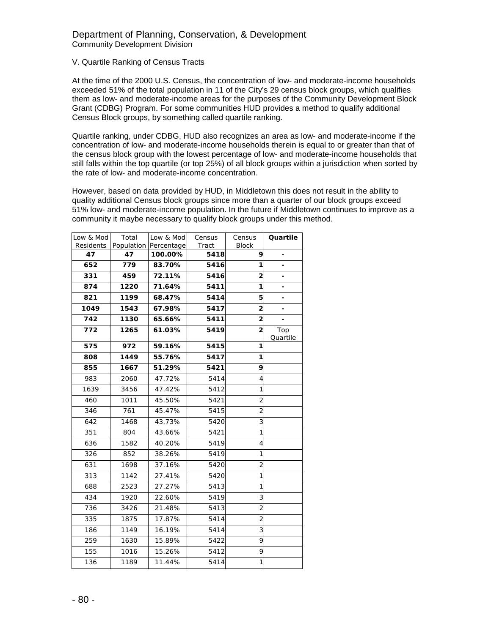# Department of Planning, Conservation, & Development Community Development Division

# V. Quartile Ranking of Census Tracts

At the time of the 2000 U.S. Census, the concentration of low- and moderate-income households exceeded 51% of the total population in 11 of the City's 29 census block groups, which qualifies them as low- and moderate-income areas for the purposes of the Community Development Block Grant (CDBG) Program. For some communities HUD provides a method to qualify additional Census Block groups, by something called quartile ranking.

Quartile ranking, under CDBG, HUD also recognizes an area as low- and moderate-income if the concentration of low- and moderate-income households therein is equal to or greater than that of the census block group with the lowest percentage of low- and moderate-income households that still falls within the top quartile (or top 25%) of all block groups within a jurisdiction when sorted by the rate of low- and moderate-income concentration.

However, based on data provided by HUD, in Middletown this does not result in the ability to quality additional Census block groups since more than a quarter of our block groups exceed 51% low- and moderate-income population. In the future if Middletown continues to improve as a community it maybe necessary to qualify block groups under this method.

| Low & Mod<br>Residents | Total<br>Population | Low & Mod<br>Percentage | Census<br>Tract | Census<br><b>Block</b> | Quartile                 |
|------------------------|---------------------|-------------------------|-----------------|------------------------|--------------------------|
| 47                     | 47                  | 100.00%                 | 5418            | 9                      |                          |
| 652                    | 779                 | 83.70%                  | 5416            | 1                      |                          |
| 331                    | 459                 | 72.11%                  | 5416            | $\overline{2}$         | -                        |
| 874                    | 1220                | 71.64%                  | 5411            | 1                      | $\overline{\phantom{a}}$ |
| 821                    | 1199                | 68.47%                  | 5414            | 5                      | $\overline{\phantom{a}}$ |
| 1049                   | 1543                | 67.98%                  | 5417            | $\overline{2}$         |                          |
| 742                    | 1130                | 65.66%                  | 5411            | $\overline{a}$         |                          |
| 772                    | 1265                | 61.03%                  | 5419            | $\overline{2}$         | Top<br>Quartile          |
| 575                    | 972                 | 59.16%                  | 5415            | 1                      |                          |
| 808                    | 1449                | 55.76%                  | 5417            | 1                      |                          |
| 855                    | 1667                | 51.29%                  | 5421            | 9                      |                          |
| 983                    | 2060                | 47.72%                  | 5414            | 4                      |                          |
| 1639                   | 3456                | 47.42%                  | 5412            | 1                      |                          |
| 460                    | 1011                | 45.50%                  | 5421            | $\overline{2}$         |                          |
| 346                    | 761                 | 45.47%                  | 5415            | $\overline{2}$         |                          |
| 642                    | 1468                | 43.73%                  | 5420            | 3                      |                          |
| 351                    | 804                 | 43.66%                  | 5421            | $\overline{1}$         |                          |
| 636                    | 1582                | 40.20%                  | 5419            | 4                      |                          |
| 326                    | 852                 | 38.26%                  | 5419            | 1                      |                          |
| 631                    | 1698                | 37.16%                  | 5420            | $\overline{2}$         |                          |
| 313                    | 1142                | 27.41%                  | 5420            | 1                      |                          |
| 688                    | 2523                | 27.27%                  | 5413            | 1                      |                          |
| 434                    | 1920                | 22.60%                  | 5419            | 3                      |                          |
| 736                    | 3426                | 21.48%                  | 5413            | $\overline{2}$         |                          |
| 335                    | 1875                | 17.87%                  | 5414            | $\overline{2}$         |                          |
| 186                    | 1149                | 16.19%                  | 5414            | 3                      |                          |
| 259                    | 1630                | 15.89%                  | 5422            | 9                      |                          |
| 155                    | 1016                | 15.26%                  | 5412            | 9                      |                          |
| 136                    | 1189                | 11.44%                  | 5414            | 1                      |                          |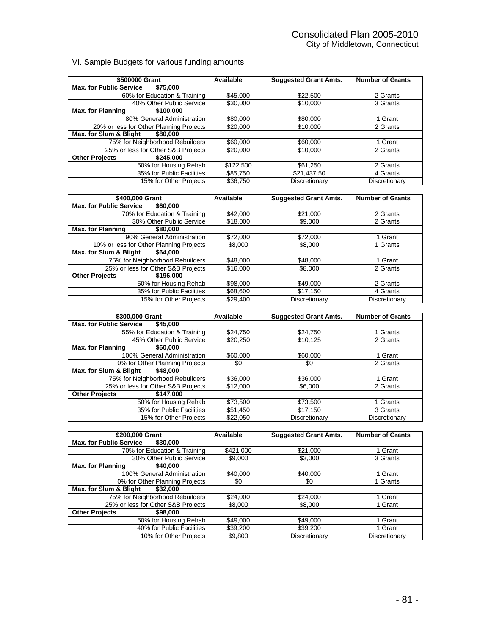# VI. Sample Budgets for various funding amounts

| \$500000 Grant                          |                                                     | Available           | <b>Suggested Grant Amts.</b> | <b>Number of Grants</b>  |
|-----------------------------------------|-----------------------------------------------------|---------------------|------------------------------|--------------------------|
| <b>Max. for Public Service</b>          | \$75,000                                            |                     |                              |                          |
|                                         | 60% for Education & Training                        | \$45,000            | \$22,500                     | 2 Grants                 |
|                                         | 40% Other Public Service                            | \$30,000            | \$10,000                     | 3 Grants                 |
| <b>Max. for Planning</b>                | \$100,000                                           |                     |                              |                          |
|                                         | 80% General Administration                          | \$80,000            | \$80,000                     | 1 Grant                  |
| 20% or less for Other Planning Projects |                                                     | \$20,000            | \$10,000                     | 2 Grants                 |
| Max. for Slum & Blight                  | \$80,000                                            |                     |                              |                          |
|                                         | 75% for Neighborhood Rebuilders                     | \$60,000            | \$60,000                     | 1 Grant                  |
|                                         | 25% or less for Other S&B Projects                  | \$20,000            | \$10,000                     | 2 Grants                 |
| <b>Other Projects</b>                   | \$245,000                                           |                     |                              |                          |
|                                         | 50% for Housing Rehab                               | \$122,500           | \$61,250                     | 2 Grants                 |
|                                         | 35% for Public Facilities                           | \$85,750            | \$21,437.50                  | 4 Grants                 |
|                                         | 15% for Other Projects                              | \$36,750            | Discretionary                | Discretionary            |
|                                         |                                                     |                     |                              |                          |
|                                         |                                                     |                     |                              |                          |
| \$400,000 Grant                         |                                                     | Available           | <b>Suggested Grant Amts.</b> | <b>Number of Grants</b>  |
| <b>Max. for Public Service</b>          | \$60,000                                            |                     |                              |                          |
|                                         | 70% for Education & Training                        | \$42,000            | \$21,000                     | 2 Grants                 |
|                                         | 30% Other Public Service                            | \$18,000            | \$9,000                      | 2 Grants                 |
| <b>Max. for Planning</b>                | \$80,000                                            |                     |                              |                          |
|                                         | 90% General Administration                          | \$72,000            | \$72,000                     | 1 Grant                  |
| 10% or less for Other Planning Projects |                                                     | \$8,000             | \$8,000                      | 1 Grants                 |
| Max. for Slum & Blight                  | \$64,000                                            |                     |                              |                          |
|                                         | 75% for Neighborhood Rebuilders                     | \$48,000            | \$48,000                     | 1 Grant                  |
|                                         | 25% or less for Other S&B Projects                  | \$16,000            | \$8,000                      | 2 Grants                 |
| <b>Other Projects</b>                   | \$196,000                                           |                     |                              |                          |
|                                         | 50% for Housing Rehab                               | \$98,000            | \$49,000                     | $\overline{2}$ Grants    |
|                                         | 35% for Public Facilities                           | \$68,600            | \$17,150                     | 4 Grants                 |
|                                         | 15% for Other Projects                              | \$29,400            | Discretionary                | Discretionary            |
|                                         |                                                     |                     |                              |                          |
|                                         |                                                     |                     |                              |                          |
|                                         |                                                     |                     |                              |                          |
| \$300,000 Grant                         |                                                     | Available           | <b>Suggested Grant Amts.</b> | <b>Number of Grants</b>  |
| <b>Max. for Public Service</b>          | \$45,000                                            |                     |                              |                          |
|                                         | 55% for Education & Training                        | \$24,750            | \$24,750                     | 1 Grants                 |
|                                         | 45% Other Public Service                            | \$20,250            | \$10,125                     | 2 Grants                 |
| <b>Max. for Planning</b>                | \$60,000                                            |                     |                              |                          |
|                                         | 100% General Administration                         | \$60,000            | \$60,000                     | 1 Grant                  |
|                                         | 0% for Other Planning Projects                      | \$0                 | \$0                          | 2 Grants                 |
| Max. for Slum & Blight                  | \$48,000                                            |                     |                              |                          |
|                                         | 75% for Neighborhood Rebuilders                     | \$36,000            | \$36,000                     | 1 Grant                  |
|                                         | 25% or less for Other S&B Projects                  | \$12,000            | \$6,000                      | 2 Grants                 |
| <b>Other Projects</b>                   | \$147,000                                           |                     |                              |                          |
|                                         | 50% for Housing Rehab                               | \$73,500            | \$73,500                     | 1 Grants                 |
|                                         | 35% for Public Facilities                           | \$51,450            | \$17,150                     | 3 Grants                 |
|                                         | 15% for Other Projects                              | \$22,050            | <b>Discretionary</b>         | Discretionary            |
|                                         |                                                     |                     |                              |                          |
| \$200,000 Grant                         |                                                     | Available           | <b>Suggested Grant Amts.</b> | <b>Number of Grants</b>  |
|                                         |                                                     |                     |                              |                          |
| <b>Max. for Public Service</b>          | \$30,000                                            |                     |                              |                          |
|                                         | 70% for Education & Training                        | \$421,000           | \$21,000                     | 1 Grant                  |
|                                         | 30% Other Public Service                            | \$9,000             | \$3,000                      | 3 Grants                 |
| <b>Max. for Planning</b>                | \$40,000                                            |                     |                              |                          |
|                                         | 100% General Administration                         | \$40,000            | \$40,000                     | 1 Grant                  |
|                                         | 0% for Other Planning Projects                      | \$0                 | \$0                          | 1 Grants                 |
| Max. for Slum & Blight                  | \$32,000                                            |                     |                              |                          |
|                                         | 75% for Neighborhood Rebuilders                     | \$24,000            | \$24,000                     | 1 Grant                  |
|                                         | 25% or less for Other S&B Projects                  | \$8,000             | \$8,000                      | 1 Grant                  |
| <b>Other Projects</b>                   | \$98,000                                            |                     |                              |                          |
|                                         | 50% for Housing Rehab                               | \$49,000            | \$49,000                     | 1 Grant                  |
|                                         | 40% for Public Facilities<br>10% for Other Projects | \$39,200<br>\$9,800 | \$39,200<br>Discretionary    | 1 Grant<br>Discretionary |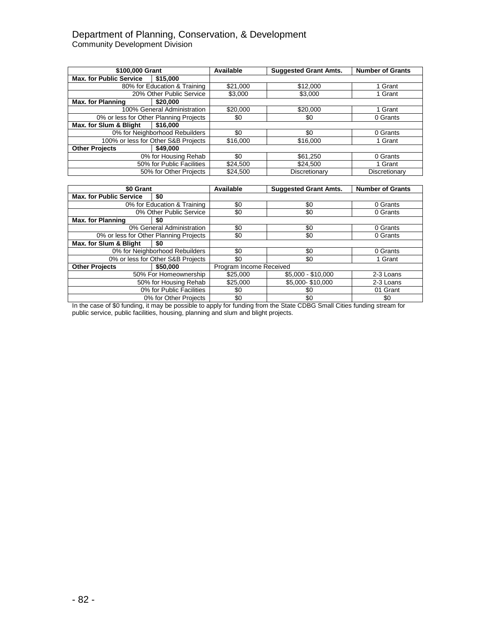# Department of Planning, Conservation, & Development Community Development Division

| \$100,000 Grant                |                                        | Available | <b>Suggested Grant Amts.</b> | <b>Number of Grants</b> |
|--------------------------------|----------------------------------------|-----------|------------------------------|-------------------------|
| <b>Max. for Public Service</b> | \$15,000                               |           |                              |                         |
|                                | 80% for Education & Training           | \$21,000  | \$12,000                     | 1 Grant                 |
|                                | 20% Other Public Service               | \$3,000   | \$3,000                      | 1 Grant                 |
| <b>Max. for Planning</b>       | \$20,000                               |           |                              |                         |
|                                | 100% General Administration            | \$20,000  | \$20,000                     | 1 Grant                 |
|                                | 0% or less for Other Planning Projects | \$0       | \$0                          | 0 Grants                |
| Max. for Slum & Blight         | \$16,000                               |           |                              |                         |
|                                | 0% for Neighborhood Rebuilders         | \$0       | \$0                          | 0 Grants                |
|                                | 100% or less for Other S&B Projects    | \$16,000  | \$16,000                     | 1 Grant                 |
| <b>Other Projects</b>          | \$49,000                               |           |                              |                         |
|                                | 0% for Housing Rehab                   | \$0       | \$61,250                     | 0 Grants                |
|                                | 50% for Public Facilities              | \$24,500  | \$24.500                     | 1 Grant                 |
|                                | 50% for Other Projects                 | \$24.500  | Discretionary                | Discretionary           |

| \$0 Grant                              |                                   | Available               | <b>Suggested Grant Amts.</b> | <b>Number of Grants</b> |
|----------------------------------------|-----------------------------------|-------------------------|------------------------------|-------------------------|
| <b>Max. for Public Service</b>         | \$0                               |                         |                              |                         |
|                                        | 0% for Education & Training       | \$0                     | \$0                          | 0 Grants                |
|                                        | 0% Other Public Service           | \$0                     | \$0                          | 0 Grants                |
| <b>Max. for Planning</b>               | \$0                               |                         |                              |                         |
|                                        | 0% General Administration         | \$0                     | \$0                          | 0 Grants                |
| 0% or less for Other Planning Projects |                                   | \$0                     | \$0                          | 0 Grants                |
| Max. for Slum & Blight                 | \$0                               |                         |                              |                         |
|                                        | 0% for Neighborhood Rebuilders    | \$0                     | \$0                          | 0 Grants                |
|                                        | 0% or less for Other S&B Projects | \$0                     | \$0                          | 1 Grant                 |
| <b>Other Projects</b>                  | \$50,000                          | Program Income Received |                              |                         |
|                                        | 50% For Homeownership             | \$25,000                | \$5,000 - \$10,000           | 2-3 Loans               |
|                                        | 50% for Housing Rehab             | \$25,000                | \$5,000-\$10,000             | 2-3 Loans               |
| 0% for Public Facilities               |                                   | \$0                     | \$0                          | 01 Grant                |
|                                        | 0% for Other Projects             | \$0                     | \$0                          | \$0                     |

In the case of \$0 funding, it may be possible to apply for funding from the State CDBG Small Cities funding stream for public service, public facilities, housing, planning and slum and blight projects.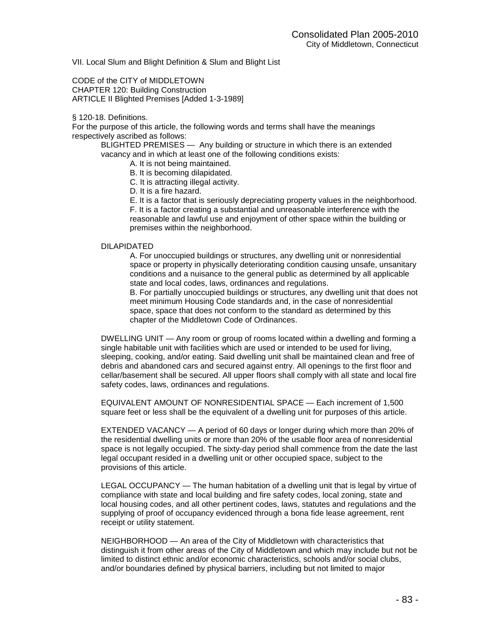VII. Local Slum and Blight Definition & Slum and Blight List

CODE of the CITY of MIDDLETOWN CHAPTER 120: Building Construction ARTICLE II Blighted Premises [Added 1-3-1989]

#### § 120-18. Definitions.

For the purpose of this article, the following words and terms shall have the meanings respectively ascribed as follows:

BLIGHTED PREMISES — Any building or structure in which there is an extended vacancy and in which at least one of the following conditions exists:

A. It is not being maintained.

B. It is becoming dilapidated.

C. It is attracting illegal activity.

D. It is a fire hazard.

E. It is a factor that is seriously depreciating property values in the neighborhood. F. It is a factor creating a substantial and unreasonable interference with the reasonable and lawful use and enjoyment of other space within the building or premises within the neighborhood.

## DILAPIDATED

A. For unoccupied buildings or structures, any dwelling unit or nonresidential space or property in physically deteriorating condition causing unsafe, unsanitary conditions and a nuisance to the general public as determined by all applicable state and local codes, laws, ordinances and regulations.

B. For partially unoccupied buildings or structures, any dwelling unit that does not meet minimum Housing Code standards and, in the case of nonresidential space, space that does not conform to the standard as determined by this chapter of the Middletown Code of Ordinances.

DWELLING UNIT — Any room or group of rooms located within a dwelling and forming a single habitable unit with facilities which are used or intended to be used for living, sleeping, cooking, and/or eating. Said dwelling unit shall be maintained clean and free of debris and abandoned cars and secured against entry. All openings to the first floor and cellar/basement shall be secured. All upper floors shall comply with all state and local fire safety codes, laws, ordinances and regulations.

EQUIVALENT AMOUNT OF NONRESIDENTIAL SPACE — Each increment of 1,500 square feet or less shall be the equivalent of a dwelling unit for purposes of this article.

EXTENDED VACANCY — A period of 60 days or longer during which more than 20% of the residential dwelling units or more than 20% of the usable floor area of nonresidential space is not legally occupied. The sixty-day period shall commence from the date the last legal occupant resided in a dwelling unit or other occupied space, subject to the provisions of this article.

LEGAL OCCUPANCY — The human habitation of a dwelling unit that is legal by virtue of compliance with state and local building and fire safety codes, local zoning, state and local housing codes, and all other pertinent codes, laws, statutes and regulations and the supplying of proof of occupancy evidenced through a bona fide lease agreement, rent receipt or utility statement.

NEIGHBORHOOD — An area of the City of Middletown with characteristics that distinguish it from other areas of the City of Middletown and which may include but not be limited to distinct ethnic and/or economic characteristics, schools and/or social clubs, and/or boundaries defined by physical barriers, including but not limited to major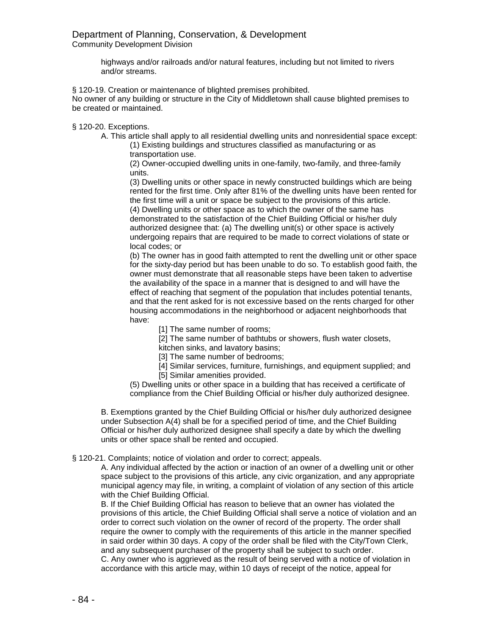highways and/or railroads and/or natural features, including but not limited to rivers and/or streams.

§ 120-19. Creation or maintenance of blighted premises prohibited.

No owner of any building or structure in the City of Middletown shall cause blighted premises to be created or maintained.

§ 120-20. Exceptions.

A. This article shall apply to all residential dwelling units and nonresidential space except:

(1) Existing buildings and structures classified as manufacturing or as transportation use.

(2) Owner-occupied dwelling units in one-family, two-family, and three-family units.

(3) Dwelling units or other space in newly constructed buildings which are being rented for the first time. Only after 81% of the dwelling units have been rented for the first time will a unit or space be subject to the provisions of this article. (4) Dwelling units or other space as to which the owner of the same has demonstrated to the satisfaction of the Chief Building Official or his/her duly authorized designee that: (a) The dwelling unit(s) or other space is actively undergoing repairs that are required to be made to correct violations of state or local codes; or

(b) The owner has in good faith attempted to rent the dwelling unit or other space for the sixty-day period but has been unable to do so. To establish good faith, the owner must demonstrate that all reasonable steps have been taken to advertise the availability of the space in a manner that is designed to and will have the effect of reaching that segment of the population that includes potential tenants, and that the rent asked for is not excessive based on the rents charged for other housing accommodations in the neighborhood or adjacent neighborhoods that have:

[1] The same number of rooms;

[2] The same number of bathtubs or showers, flush water closets, kitchen sinks, and lavatory basins;

[3] The same number of bedrooms;

[4] Similar services, furniture, furnishings, and equipment supplied; and [5] Similar amenities provided.

(5) Dwelling units or other space in a building that has received a certificate of compliance from the Chief Building Official or his/her duly authorized designee.

B. Exemptions granted by the Chief Building Official or his/her duly authorized designee under Subsection A(4) shall be for a specified period of time, and the Chief Building Official or his/her duly authorized designee shall specify a date by which the dwelling units or other space shall be rented and occupied.

§ 120-21. Complaints; notice of violation and order to correct; appeals.

A. Any individual affected by the action or inaction of an owner of a dwelling unit or other space subject to the provisions of this article, any civic organization, and any appropriate municipal agency may file, in writing, a complaint of violation of any section of this article with the Chief Building Official.

B. If the Chief Building Official has reason to believe that an owner has violated the provisions of this article, the Chief Building Official shall serve a notice of violation and an order to correct such violation on the owner of record of the property. The order shall require the owner to comply with the requirements of this article in the manner specified in said order within 30 days. A copy of the order shall be filed with the City/Town Clerk, and any subsequent purchaser of the property shall be subject to such order.

C. Any owner who is aggrieved as the result of being served with a notice of violation in accordance with this article may, within 10 days of receipt of the notice, appeal for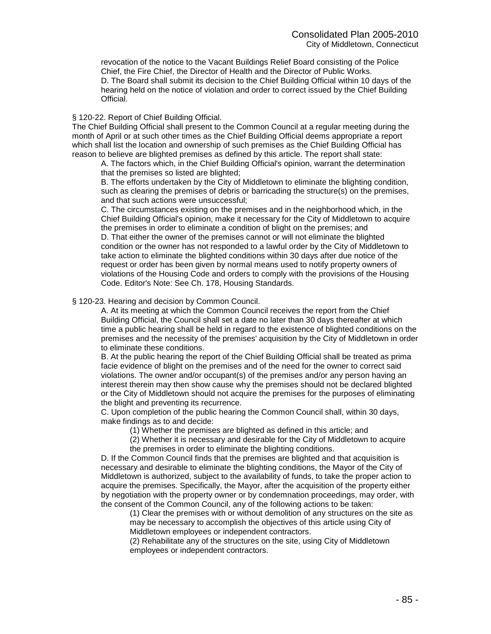revocation of the notice to the Vacant Buildings Relief Board consisting of the Police Chief, the Fire Chief, the Director of Health and the Director of Public Works. D. The Board shall submit its decision to the Chief Building Official within 10 days of the hearing held on the notice of violation and order to correct issued by the Chief Building Official.

# § 120-22. Report of Chief Building Official.

The Chief Building Official shall present to the Common Council at a regular meeting during the month of April or at such other times as the Chief Building Official deems appropriate a report which shall list the location and ownership of such premises as the Chief Building Official has reason to believe are blighted premises as defined by this article. The report shall state:

A. The factors which, in the Chief Building Official's opinion, warrant the determination that the premises so listed are blighted;

B. The efforts undertaken by the City of Middletown to eliminate the blighting condition, such as clearing the premises of debris or barricading the structure(s) on the premises, and that such actions were unsuccessful;

C. The circumstances existing on the premises and in the neighborhood which, in the Chief Building Official's opinion, make it necessary for the City of Middletown to acquire the premises in order to eliminate a condition of blight on the premises; and D. That either the owner of the premises cannot or will not eliminate the blighted condition or the owner has not responded to a lawful order by the City of Middletown to take action to eliminate the blighted conditions within 30 days after due notice of the request or order has been given by normal means used to notify property owners of violations of the Housing Code and orders to comply with the provisions of the Housing Code. Editor's Note: See Ch. 178, Housing Standards.

# § 120-23. Hearing and decision by Common Council.

A. At its meeting at which the Common Council receives the report from the Chief Building Official, the Council shall set a date no later than 30 days thereafter at which time a public hearing shall be held in regard to the existence of blighted conditions on the premises and the necessity of the premises' acquisition by the City of Middletown in order to eliminate these conditions.

B. At the public hearing the report of the Chief Building Official shall be treated as prima facie evidence of blight on the premises and of the need for the owner to correct said violations. The owner and/or occupant(s) of the premises and/or any person having an interest therein may then show cause why the premises should not be declared blighted or the City of Middletown should not acquire the premises for the purposes of eliminating the blight and preventing its recurrence.

C. Upon completion of the public hearing the Common Council shall, within 30 days, make findings as to and decide:

- (1) Whether the premises are blighted as defined in this article; and
- (2) Whether it is necessary and desirable for the City of Middletown to acquire the premises in order to eliminate the blighting conditions.

D. If the Common Council finds that the premises are blighted and that acquisition is necessary and desirable to eliminate the blighting conditions, the Mayor of the City of Middletown is authorized, subject to the availability of funds, to take the proper action to acquire the premises. Specifically, the Mayor, after the acquisition of the property either by negotiation with the property owner or by condemnation proceedings, may order, with the consent of the Common Council, any of the following actions to be taken:

(1) Clear the premises with or without demolition of any structures on the site as may be necessary to accomplish the objectives of this article using City of Middletown employees or independent contractors.

(2) Rehabilitate any of the structures on the site, using City of Middletown employees or independent contractors.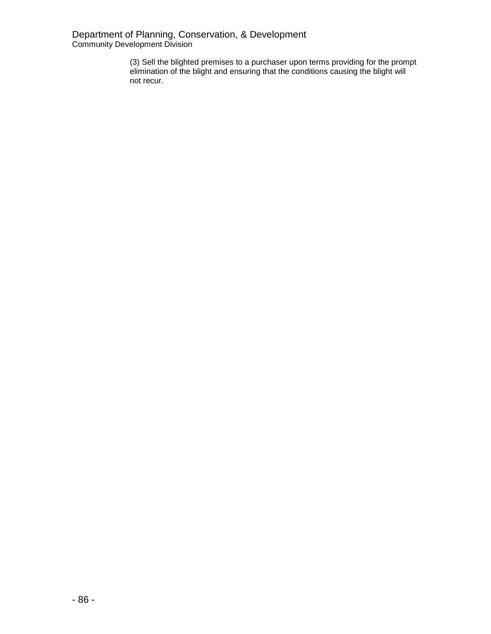(3) Sell the blighted premises to a purchaser upon terms providing for the prompt elimination of the blight and ensuring that the conditions causing the blight will not recur.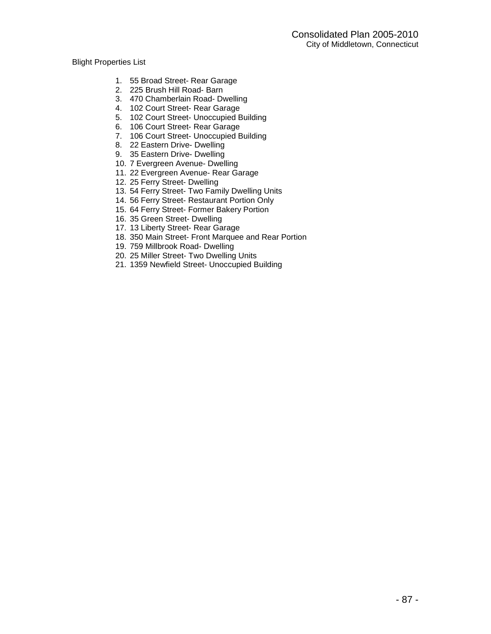# Blight Properties List

- 1. 55 Broad Street- Rear Garage
- 2. 225 Brush Hill Road- Barn
- 3. 470 Chamberlain Road- Dwelling
- 4. 102 Court Street- Rear Garage
- 5. 102 Court Street- Unoccupied Building
- 6. 106 Court Street- Rear Garage
- 7. 106 Court Street- Unoccupied Building
- 8. 22 Eastern Drive- Dwelling
- 9. 35 Eastern Drive- Dwelling
- 10. 7 Evergreen Avenue- Dwelling
- 11. 22 Evergreen Avenue- Rear Garage
- 12. 25 Ferry Street- Dwelling
- 13. 54 Ferry Street- Two Family Dwelling Units
- 14. 56 Ferry Street- Restaurant Portion Only
- 15. 64 Ferry Street- Former Bakery Portion
- 16. 35 Green Street- Dwelling
- 17. 13 Liberty Street- Rear Garage
- 18. 350 Main Street- Front Marquee and Rear Portion
- 19. 759 Millbrook Road- Dwelling
- 20. 25 Miller Street- Two Dwelling Units
- 21. 1359 Newfield Street- Unoccupied Building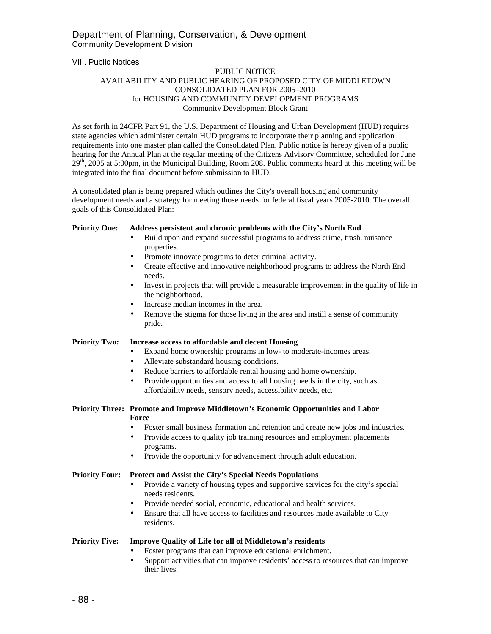VIII. Public Notices

## PUBLIC NOTICE AVAILABILITY AND PUBLIC HEARING OF PROPOSED CITY OF MIDDLETOWN CONSOLIDATED PLAN FOR 2005–2010 for HOUSING AND COMMUNITY DEVELOPMENT PROGRAMS Community Development Block Grant

As set forth in 24CFR Part 91, the U.S. Department of Housing and Urban Development (HUD) requires state agencies which administer certain HUD programs to incorporate their planning and application requirements into one master plan called the Consolidated Plan. Public notice is hereby given of a public hearing for the Annual Plan at the regular meeting of the Citizens Advisory Committee, scheduled for June  $29<sup>th</sup>$ , 2005 at 5:00pm, in the Municipal Building, Room 208. Public comments heard at this meeting will be integrated into the final document before submission to HUD.

A consolidated plan is being prepared which outlines the City's overall housing and community development needs and a strategy for meeting those needs for federal fiscal years 2005-2010. The overall goals of this Consolidated Plan:

#### **Priority One: Address persistent and chronic problems with the City's North End**

- Build upon and expand successful programs to address crime, trash, nuisance properties.
- Promote innovate programs to deter criminal activity.
- Create effective and innovative neighborhood programs to address the North End needs.
- Invest in projects that will provide a measurable improvement in the quality of life in the neighborhood.
- Increase median incomes in the area.
- Remove the stigma for those living in the area and instill a sense of community pride.

## **Priority Two: Increase access to affordable and decent Housing**

- Expand home ownership programs in low- to moderate-incomes areas.
- Alleviate substandard housing conditions.
- Reduce barriers to affordable rental housing and home ownership.
- Provide opportunities and access to all housing needs in the city, such as affordability needs, sensory needs, accessibility needs, etc.

#### **Priority Three: Promote and Improve Middletown's Economic Opportunities and Labor Force**

- Foster small business formation and retention and create new jobs and industries.
- Provide access to quality job training resources and employment placements programs.
- Provide the opportunity for advancement through adult education.

#### **Priority Four: Protect and Assist the City's Special Needs Populations**

- Provide a variety of housing types and supportive services for the city's special needs residents.
- Provide needed social, economic, educational and health services.
- Ensure that all have access to facilities and resources made available to City residents.

## **Priority Five: Improve Quality of Life for all of Middletown's residents**

- Foster programs that can improve educational enrichment.
- Support activities that can improve residents' access to resources that can improve their lives.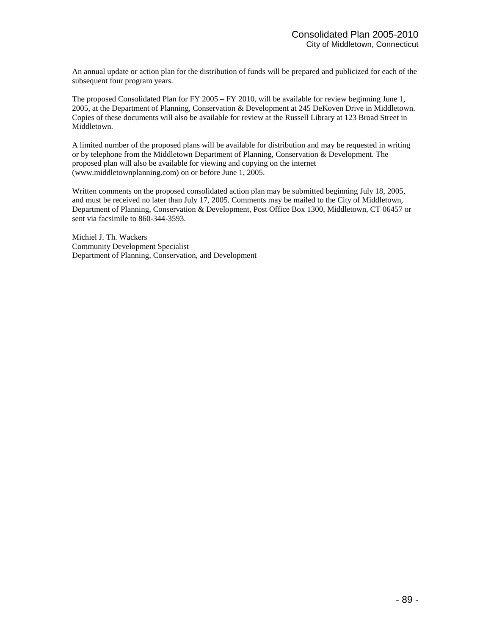An annual update or action plan for the distribution of funds will be prepared and publicized for each of the subsequent four program years.

The proposed Consolidated Plan for FY 2005 – FY 2010, will be available for review beginning June 1, 2005, at the Department of Planning, Conservation & Development at 245 DeKoven Drive in Middletown. Copies of these documents will also be available for review at the Russell Library at 123 Broad Street in Middletown.

A limited number of the proposed plans will be available for distribution and may be requested in writing or by telephone from the Middletown Department of Planning, Conservation & Development. The proposed plan will also be available for viewing and copying on the internet (www.middletownplanning.com) on or before June 1, 2005.

Written comments on the proposed consolidated action plan may be submitted beginning July 18, 2005, and must be received no later than July 17, 2005. Comments may be mailed to the City of Middletown, Department of Planning, Conservation & Development, Post Office Box 1300, Middletown, CT 06457 or sent via facsimile to 860-344-3593.

Michiel J. Th. Wackers Community Development Specialist Department of Planning, Conservation, and Development